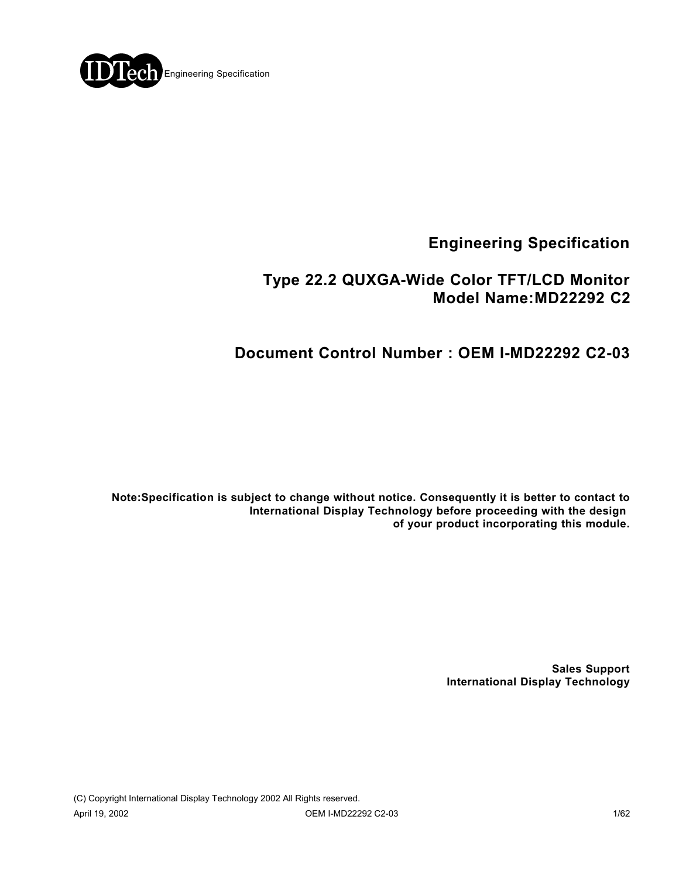

# **Engineering Specification**

# **Type 22.2 QUXGA-Wide Color TFT/LCD Monitor Model Name:MD22292 C2**

# **Document Control Number : OEM I-MD22292 C2-03**

**Note:Specification is subject to change without notice. Consequently it is better to contact to International Display Technology before proceeding with the design of your product incorporating this module.**

> **Sales Support International Display Technology**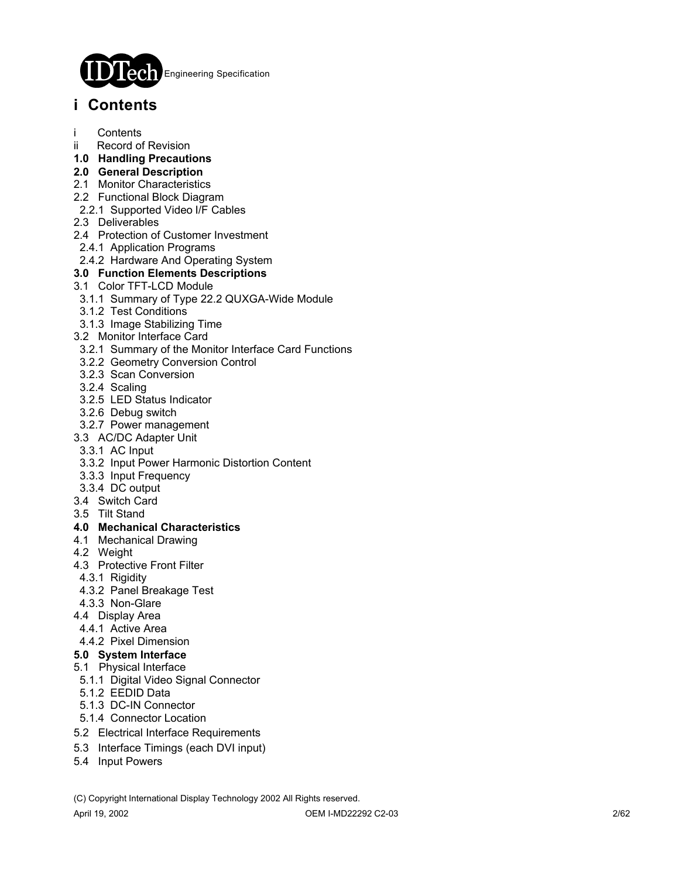

# **i Contents**

- **Contents**
- ii Record of Revision
- **1.0 Handling Precautions**
- **2.0 General Description**
- 2.1 Monitor Characteristics
- 2.2 Functional Block Diagram
- 2.2.1 Supported Video I/F Cables
- 2.3 Deliverables
- 2.4 Protection of Customer Investment
- 2.4.1 Application Programs
- 2.4.2 Hardware And Operating System

### **3.0 Function Elements Descriptions**

- 3.1 Color TFT-LCD Module
- 3.1.1 Summary of Type 22.2 QUXGA-Wide Module
- 3.1.2 Test Conditions
- 3.1.3 Image Stabilizing Time
- 3.2 Monitor Interface Card
- 3.2.1 Summary of the Monitor Interface Card Functions
- 3.2.2 Geometry Conversion Control
- 3.2.3 Scan Conversion
- 3.2.4 Scaling
- 3.2.5 LED Status Indicator
- 3.2.6 Debug switch
- 3.2.7 Power management
- 3.3 AC/DC Adapter Unit
- 3.3.1 AC Input
- 3.3.2 Input Power Harmonic Distortion Content
- 3.3.3 Input Frequency
- 3.3.4 DC output
- 3.4 Switch Card
- 3.5 Tilt Stand

### **4.0 Mechanical Characteristics**

- 4.1 Mechanical Drawing
- 4.2 Weight
- 4.3 Protective Front Filter
- 4.3.1 Rigidity
- 4.3.2 Panel Breakage Test
- 4.3.3 Non-Glare
- 4.4 Display Area
- 4.4.1 Active Area

### 4.4.2 Pixel Dimension

- **5.0 System Interface**
- 5.1 Physical Interface
- 5.1.1 Digital Video Signal Connector
- 5.1.2 EEDID Data
- 5.1.3 DC-IN Connector
- 5.1.4 Connector Location
- 5.2 Electrical Interface Requirements
- 5.3 Interface Timings (each DVI input)
- 5.4 Input Powers

(C) Copyright International Display Technology 2002 All Rights reserved.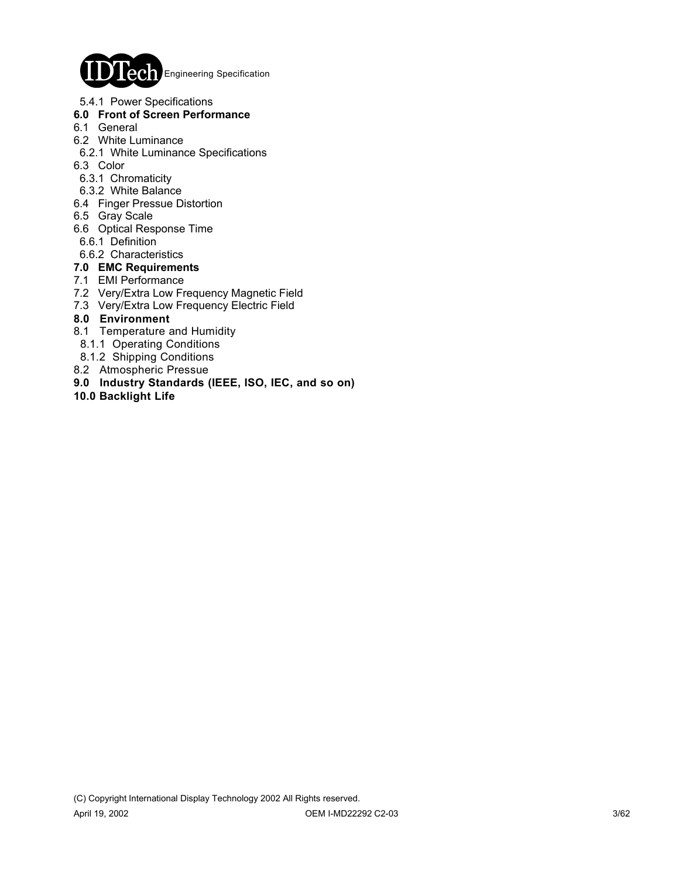

5.4.1 Power Specifications

### **6.0 Front of Screen Performance**

- 6.1 General
- 6.2 White Luminance
- 6.2.1 White Luminance Specifications
- 6.3 Color
- 6.3.1 Chromaticity
- 6.3.2 White Balance
- 6.4 Finger Pressue Distortion
- 6.5 Gray Scale
- 6.6 Optical Response Time
- 6.6.1 Definition
- 6.6.2 Characteristics

### **7.0 EMC Requirements**

- 7.1 EMI Performance
- 7.2 Very/Extra Low Frequency Magnetic Field
- 7.3 Very/Extra Low Frequency Electric Field

### **8.0 Environment**

- 8.1 Temperature and Humidity
- 8.1.1 Operating Conditions
- 8.1.2 Shipping Conditions
- 8.2 Atmospheric Pressue
- **9.0 Industry Standards (IEEE, ISO, IEC, and so on)**
- **10.0 Backlight Life**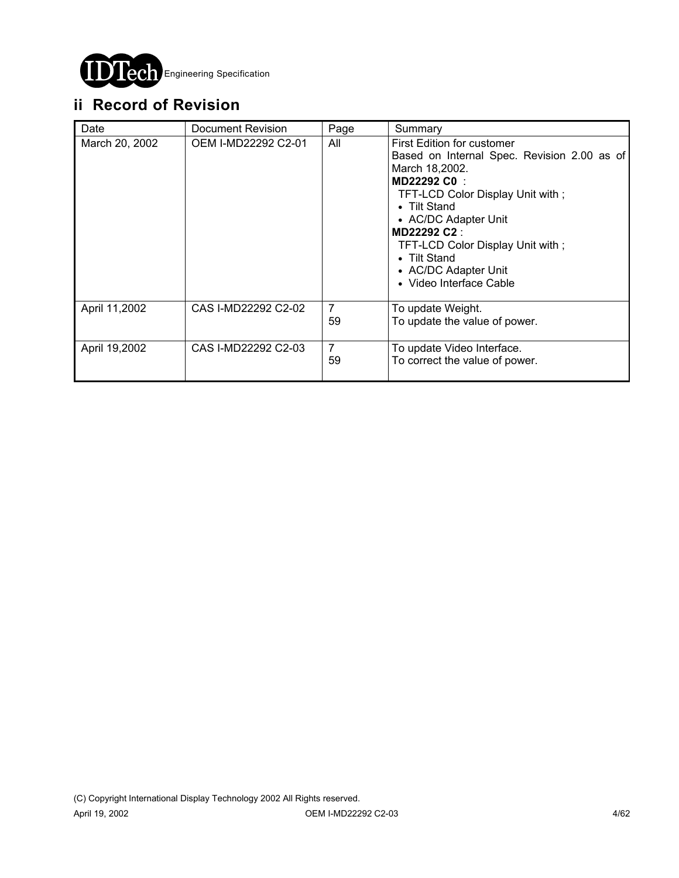

# **ii Record of Revision**

| Date           | Document Revision   | Page                 | Summary                                                                                                                                                                                                                                                                                                     |
|----------------|---------------------|----------------------|-------------------------------------------------------------------------------------------------------------------------------------------------------------------------------------------------------------------------------------------------------------------------------------------------------------|
| March 20, 2002 | OEM I-MD22292 C2-01 | All                  | First Edition for customer<br>Based on Internal Spec. Revision 2.00 as of<br>March 18,2002.<br>MD22292 C0<br>TFT-LCD Color Display Unit with;<br>• Tilt Stand<br>• AC/DC Adapter Unit<br>MD22292 C2:<br>TFT-LCD Color Display Unit with;<br>• Tilt Stand<br>• AC/DC Adapter Unit<br>• Video Interface Cable |
| April 11,2002  | CAS I-MD22292 C2-02 | $\overline{7}$<br>59 | To update Weight.<br>To update the value of power.                                                                                                                                                                                                                                                          |
| April 19,2002  | CAS I-MD22292 C2-03 | $\overline{7}$<br>59 | To update Video Interface.<br>To correct the value of power.                                                                                                                                                                                                                                                |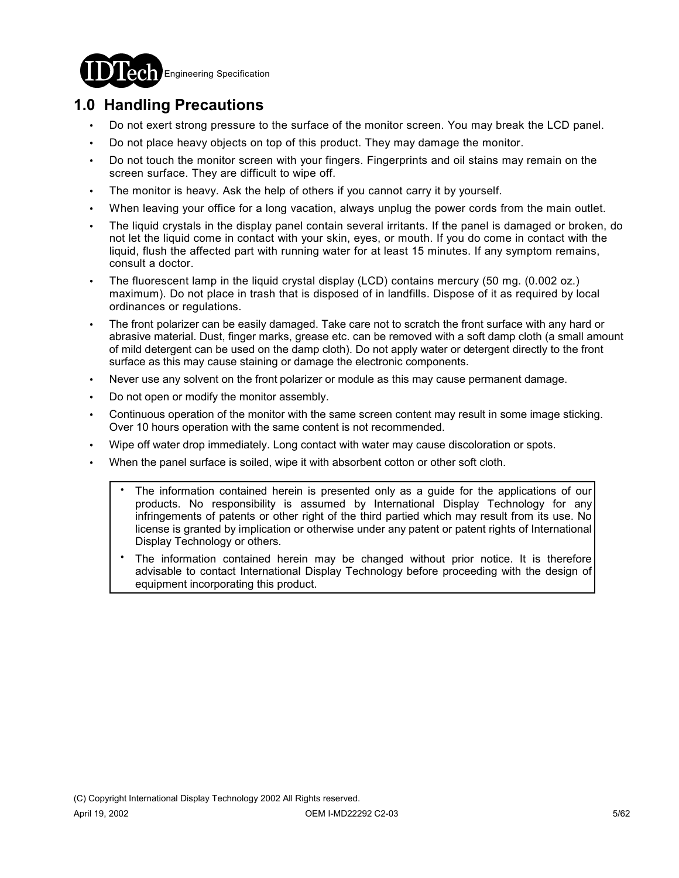

# **1.0 Handling Precautions**

- ! Do not exert strong pressure to the surface of the monitor screen. You may break the LCD panel.
- ! Do not place heavy objects on top of this product. They may damage the monitor.
- ! Do not touch the monitor screen with your fingers. Fingerprints and oil stains may remain on the screen surface. They are difficult to wipe off.
- The monitor is heavy. Ask the help of others if you cannot carry it by yourself.
- When leaving your office for a long vacation, always unplug the power cords from the main outlet.
- ! The liquid crystals in the display panel contain several irritants. If the panel is damaged or broken, do not let the liquid come in contact with your skin, eyes, or mouth. If you do come in contact with the liquid, flush the affected part with running water for at least 15 minutes. If any symptom remains, consult a doctor.
- ! The fluorescent lamp in the liquid crystal display (LCD) contains mercury (50 mg. (0.002 oz.) maximum). Do not place in trash that is disposed of in landfills. Dispose of it as required by local ordinances or regulations.
- The front polarizer can be easily damaged. Take care not to scratch the front surface with any hard or abrasive material. Dust, finger marks, grease etc. can be removed with a soft damp cloth (a small amount of mild detergent can be used on the damp cloth). Do not apply water or detergent directly to the front surface as this may cause staining or damage the electronic components.
- Never use any solvent on the front polarizer or module as this may cause permanent damage.
- ! Do not open or modify the monitor assembly.
- Continuous operation of the monitor with the same screen content may result in some image sticking. Over 10 hours operation with the same content is not recommended.
- Wipe off water drop immediately. Long contact with water may cause discoloration or spots.
- When the panel surface is soiled, wipe it with absorbent cotton or other soft cloth.
	- The information contained herein is presented only as a guide for the applications of our products. No responsibility is assumed by International Display Technology for any infringements of patents or other right of the third partied which may result from its use. No license is granted by implication or otherwise under any patent or patent rights of International Display Technology or others. .
	- The information contained herein may be changed without prior notice. It is therefore advisable to contact International Display Technology before proceeding with the design of equipment incorporating this product. .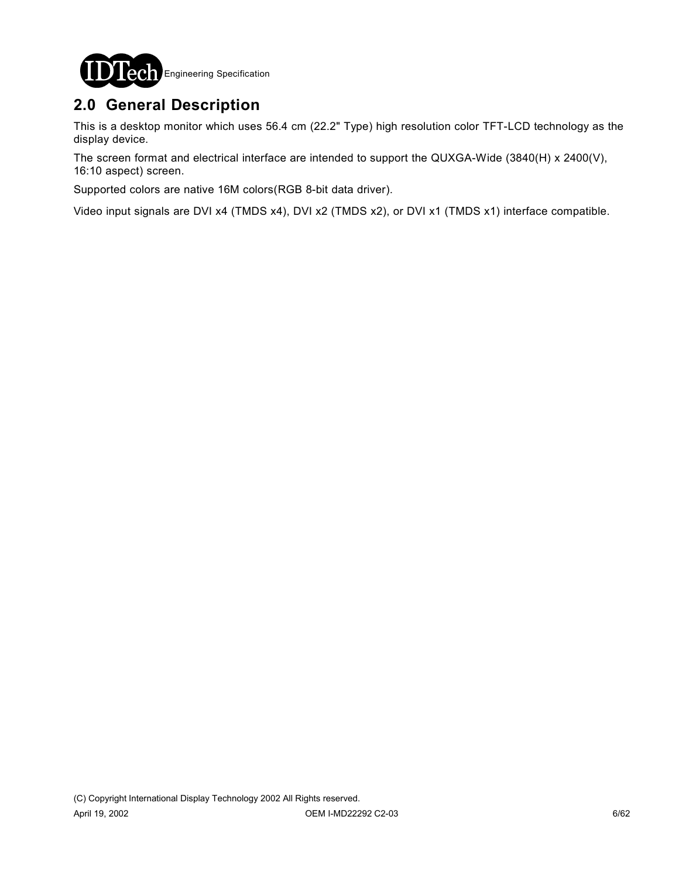

# **2.0 General Description**

This is a desktop monitor which uses 56.4 cm (22.2" Type) high resolution color TFT-LCD technology as the display device.

The screen format and electrical interface are intended to support the QUXGA-Wide (3840(H) x 2400(V), 16:10 aspect) screen.

Supported colors are native 16M colors(RGB 8-bit data driver).

Video input signals are DVI x4 (TMDS x4), DVI x2 (TMDS x2), or DVI x1 (TMDS x1) interface compatible.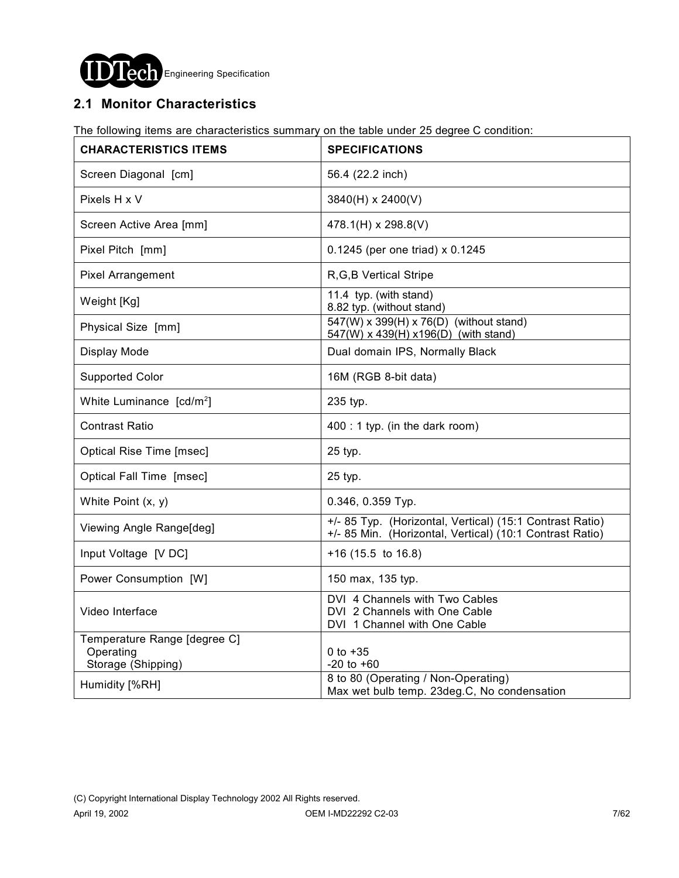

# **2.1 Monitor Characteristics**

The following items are characteristics summary on the table under 25 degree C condition:

| <b>CHARACTERISTICS ITEMS</b>                                    | <b>SPECIFICATIONS</b>                                                                                                |
|-----------------------------------------------------------------|----------------------------------------------------------------------------------------------------------------------|
| Screen Diagonal [cm]                                            | 56.4 (22.2 inch)                                                                                                     |
| Pixels H x V                                                    | 3840(H) x 2400(V)                                                                                                    |
| Screen Active Area [mm]                                         | 478.1(H) x 298.8(V)                                                                                                  |
| Pixel Pitch [mm]                                                | 0.1245 (per one triad) x 0.1245                                                                                      |
| <b>Pixel Arrangement</b>                                        | R, G, B Vertical Stripe                                                                                              |
| Weight [Kg]                                                     | 11.4 typ. (with stand)<br>8.82 typ. (without stand)                                                                  |
| Physical Size [mm]                                              | 547(W) x 399(H) x 76(D) (without stand)<br>547(W) x 439(H) x 196(D) (with stand)                                     |
| Display Mode                                                    | Dual domain IPS, Normally Black                                                                                      |
| <b>Supported Color</b>                                          | 16M (RGB 8-bit data)                                                                                                 |
| White Luminance [cd/m <sup>2</sup> ]                            | 235 typ.                                                                                                             |
| <b>Contrast Ratio</b>                                           | 400 : 1 typ. (in the dark room)                                                                                      |
| Optical Rise Time [msec]                                        | 25 typ.                                                                                                              |
| Optical Fall Time [msec]                                        | 25 typ.                                                                                                              |
| White Point $(x, y)$                                            | 0.346, 0.359 Тур.                                                                                                    |
| Viewing Angle Range[deg]                                        | +/- 85 Typ. (Horizontal, Vertical) (15:1 Contrast Ratio)<br>+/- 85 Min. (Horizontal, Vertical) (10:1 Contrast Ratio) |
| Input Voltage [V DC]                                            | $+16$ (15.5 to 16.8)                                                                                                 |
| Power Consumption [W]                                           | 150 max, 135 typ.                                                                                                    |
| Video Interface                                                 | DVI 4 Channels with Two Cables<br>DVI 2 Channels with One Cable<br>DVI 1 Channel with One Cable                      |
| Temperature Range [degree C]<br>Operating<br>Storage (Shipping) | 0 to $+35$<br>$-20$ to $+60$                                                                                         |
| Humidity [%RH]                                                  | 8 to 80 (Operating / Non-Operating)<br>Max wet bulb temp. 23deg.C, No condensation                                   |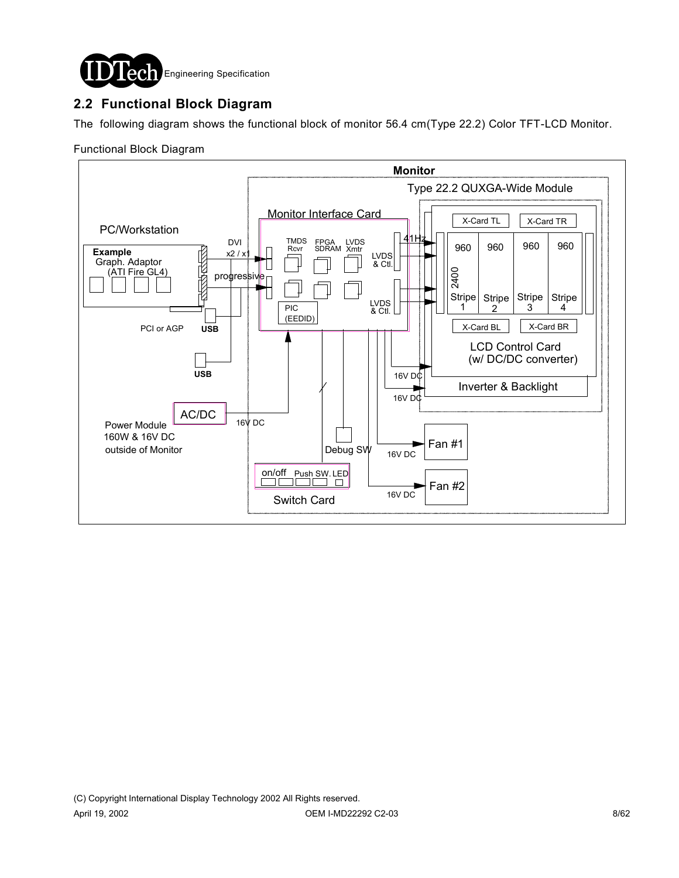

# **2.2 Functional Block Diagram**

The following diagram shows the functional block of monitor 56.4 cm(Type 22.2) Color TFT-LCD Monitor.

### Functional Block Diagram

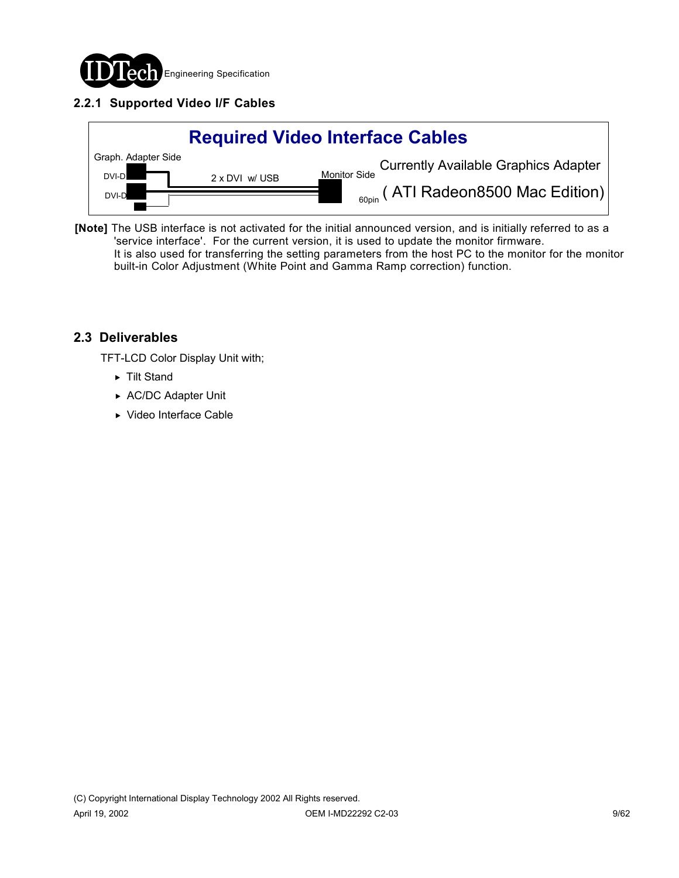

# **2.2.1 Supported Video I/F Cables**



**[Note]** The USB interface is not activated for the initial announced version, and is initially referred to as a 'service interface'. For the current version, it is used to update the monitor firmware. It is also used for transferring the setting parameters from the host PC to the monitor for the monitor built-in Color Adjustment (White Point and Gamma Ramp correction) function.

### **2.3 Deliverables**

TFT-LCD Color Display Unit with;

- ► Tilt Stand
- ▶ AC/DC Adapter Unit
- ▶ Video Interface Cable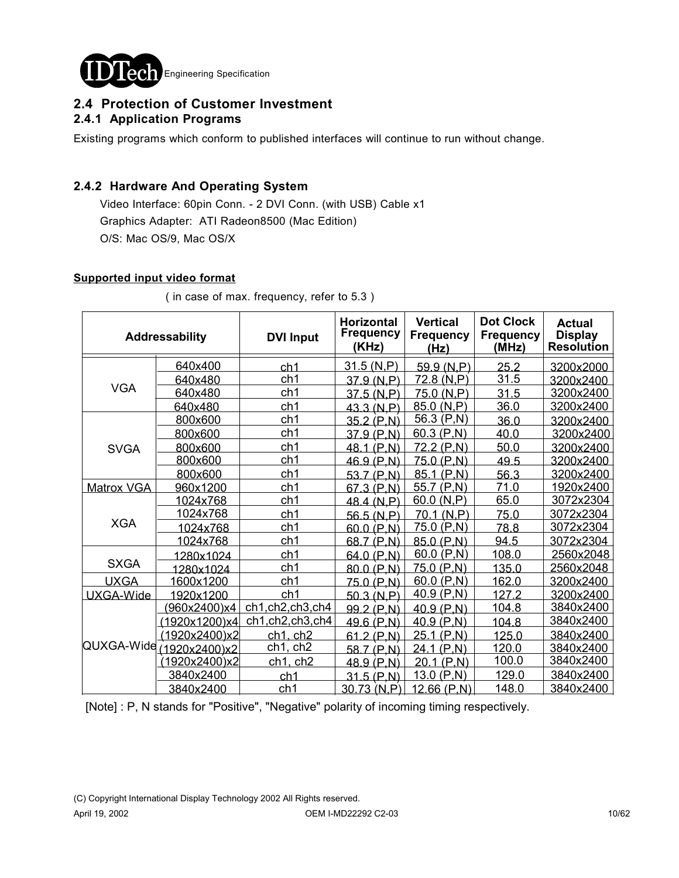

### **2.4 Protection of Customer Investment 2.4.1 Application Programs**

Existing programs which conform to published interfaces will continue to run without change.

### **2.4.2 Hardware And Operating System**

 Video Interface: 60pin Conn. - 2 DVI Conn. (with USB) Cable x1 Graphics Adapter: ATI Radeon8500 (Mac Edition) O/S: Mac OS/9, Mac OS/X

### **Supported input video format**

|                          | Addressability | <b>DVI Input</b> | <b>Horizontal</b><br><b>Frequency</b><br>(KHz) | <b>Vertical</b><br><b>Frequency</b><br>(Hz) | <b>Dot Clock</b><br><b>Frequency</b><br>(MHz) | <b>Actual</b><br><b>Display</b><br><b>Resolution</b> |
|--------------------------|----------------|------------------|------------------------------------------------|---------------------------------------------|-----------------------------------------------|------------------------------------------------------|
|                          | 640x400        | ch <sub>1</sub>  | 31.5 (N,P)                                     | 59.9(N,P)                                   | 25.2                                          | 3200x2000                                            |
|                          | 640x480        | ch1              | 37.9 (N.P)                                     | 72.8 (N,P)                                  | 31.5                                          | 3200x2400                                            |
| <b>VGA</b>               | 640x480        | ch1              | 37.5 (N.P)                                     | 75.0 (N.P)                                  | 31.5                                          | 3200x2400                                            |
|                          | 640x480        | ch <sub>1</sub>  | 43.3 (N,P)                                     | 85.0(N,P)                                   | 36.0                                          | 3200x2400                                            |
|                          | 800x600        | ch1              | 35.2 (P,N)                                     | 56.3(P,N)                                   | 36.0                                          | 3200x2400                                            |
|                          | 800x600        | ch1              | 37.9(P,N)                                      | 60.3(P,N)                                   | 40.0                                          | 3200x2400                                            |
| <b>SVGA</b>              | 800x600        | ch1              | 48.1 (P,N)                                     | 72.2 (P,N)                                  | 50.0                                          | 3200x2400                                            |
|                          | 800x600        | ch1              | 46.9 (P,N)                                     | 75.0(P,N)                                   | 49.5                                          | 3200x2400                                            |
|                          | 800x600        | ch1              | 53.7 (P,N)                                     | 85.1 (P,N)                                  | 56.3                                          | 3200x2400                                            |
| Matrox VGA               | 960x1200       | ch1              | 67.3 (P,N)                                     | 55.7(P,N)                                   | 71.0                                          | 1920x2400                                            |
|                          | 1024x768       | ch1              | 48.4 (N,P)                                     | 60.0 (N, P)                                 | 65.0                                          | 3072x2304                                            |
|                          | 1024x768       | ch <sub>1</sub>  | 56.5 (N.P)                                     | 70.1 (N.P)                                  | 75.0                                          | 3072x2304                                            |
| <b>XGA</b>               | 1024x768       | ch1              | 60.0 (P,N)                                     | 75.0(P,N)                                   | 78.8                                          | 3072x2304                                            |
|                          | 1024x768       | ch1              | 68.7 (P,N)                                     | 85.0 (P,N)                                  | 94.5                                          | 3072x2304                                            |
|                          | 1280x1024      | ch1              | 64.0 (P.N)                                     | 60.0 $(P,N)$                                | 108.0                                         | 2560x2048                                            |
| <b>SXGA</b>              | 1280x1024      | ch1              | 80.0 (P,N)                                     | 75.0(P,N)                                   | 135.0                                         | 2560x2048                                            |
| <b>UXGA</b>              | 1600x1200      | ch1              | 75.0 (P,N)                                     | 60.0(P,N)                                   | 162.0                                         | 3200x2400                                            |
| UXGA-Wide                | 1920x1200      | ch <sub>1</sub>  | 50.3 (N.P)                                     | 40.9 $(P,N)$                                | 127.2                                         | 3200x2400                                            |
|                          | 960x2400)x4    | ch1,ch2,ch3,ch4  | 99.2 (P,N)                                     | 40.9(P,N)                                   | 104.8                                         | 3840x2400                                            |
|                          | (1920x1200)x4  | ch1,ch2,ch3,ch4  | $49.6$ (P,N)                                   | 40.9(P,N)                                   | 104.8                                         | 3840x2400                                            |
| QUXGA-Wide (1920x2400)x2 | (1920x2400)x2  | ch1. ch2         | 61.2 (P,N)                                     | 25.1 (P,N)                                  | 125.0                                         | 3840x2400                                            |
|                          |                | ch1, ch2         | 58.7 (P.N)                                     | 24.1 (P,N)                                  | 120.0                                         | 3840x2400                                            |
|                          | (1920x2400)x2  | $ch1$ , $ch2$    | 48.9 (P,N)                                     | 20.1 (P,N)                                  | 100.0                                         | 3840x2400                                            |
|                          | 3840x2400      | ch <sub>1</sub>  | 31.5(P,N)                                      | 13.0(P,N)                                   | 129.0                                         | 3840x2400                                            |
|                          | 3840x2400      | ch1              | 30.73(N,P)                                     | 12.66(P,N)                                  | 148.0                                         | 3840x2400                                            |

( in case of max. frequency, refer to 5.3 )

[Note] : P, N stands for "Positive", "Negative" polarity of incoming timing respectively.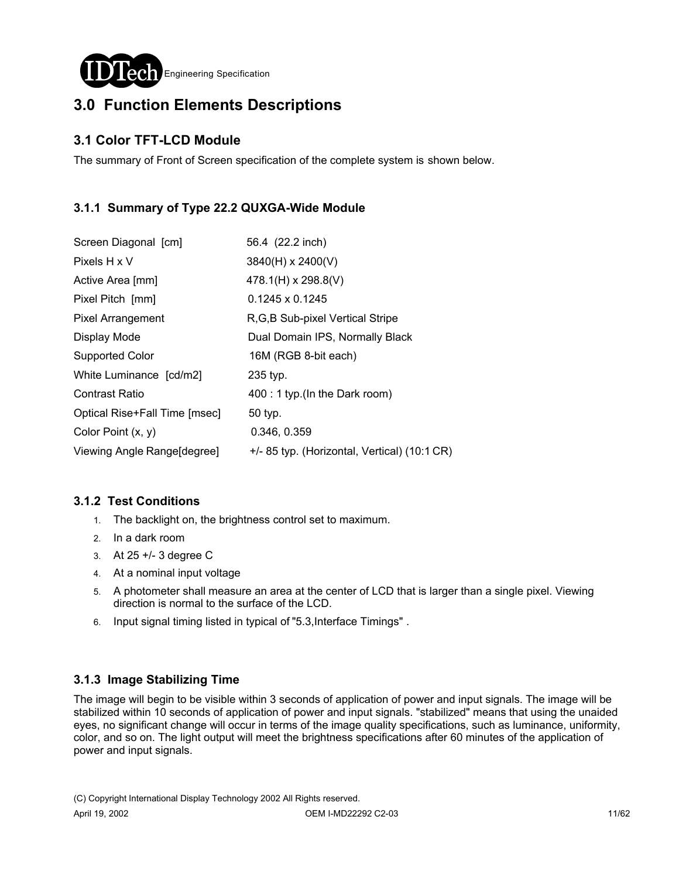

# **3.0 Function Elements Descriptions**

# **3.1 Color TFT-LCD Module**

The summary of Front of Screen specification of the complete system is shown below.

# **3.1.1 Summary of Type 22.2 QUXGA-Wide Module**

| Screen Diagonal [cm]          | 56.4 (22.2 inch)                             |
|-------------------------------|----------------------------------------------|
| Pixels H x V                  | 3840(H) x 2400(V)                            |
| Active Area [mm]              | 478.1(H) x 298.8(V)                          |
| Pixel Pitch [mm]              | $0.1245 \times 0.1245$                       |
| <b>Pixel Arrangement</b>      | R, G, B Sub-pixel Vertical Stripe            |
| Display Mode                  | Dual Domain IPS, Normally Black              |
| Supported Color               | 16M (RGB 8-bit each)                         |
| White Luminance [cd/m2]       | 235 typ.                                     |
| <b>Contrast Ratio</b>         | 400 : 1 typ.(In the Dark room)               |
| Optical Rise+Fall Time [msec] | 50 typ.                                      |
| Color Point $(x, y)$          | 0.346, 0.359                                 |
| Viewing Angle Range[degree]   | +/- 85 typ. (Horizontal, Vertical) (10:1 CR) |

### **3.1.2 Test Conditions**

- 1. The backlight on, the brightness control set to maximum.
- 2. In a dark room
- 3. At 25 +/- 3 degree C
- 4. At a nominal input voltage
- 5. A photometer shall measure an area at the center of LCD that is larger than a single pixel. Viewing direction is normal to the surface of the LCD.
- 6. Input signal timing listed in typical of "5.3,Interface Timings" .

### **3.1.3 Image Stabilizing Time**

The image will begin to be visible within 3 seconds of application of power and input signals. The image will be stabilized within 10 seconds of application of power and input signals. "stabilized" means that using the unaided eyes, no significant change will occur in terms of the image quality specifications, such as luminance, uniformity, color, and so on. The light output will meet the brightness specifications after 60 minutes of the application of power and input signals.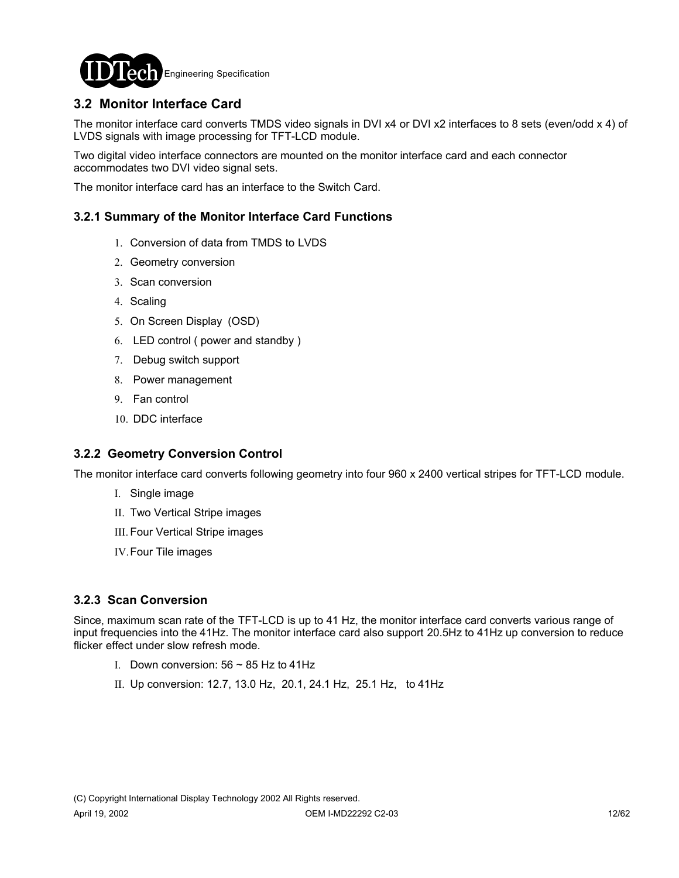

# **3.2 Monitor Interface Card**

The monitor interface card converts TMDS video signals in DVI x4 or DVI x2 interfaces to 8 sets (even/odd x 4) of LVDS signals with image processing for TFT-LCD module.

Two digital video interface connectors are mounted on the monitor interface card and each connector accommodates two DVI video signal sets.

The monitor interface card has an interface to the Switch Card.

### **3.2.1 Summary of the Monitor Interface Card Functions**

- 1. Conversion of data from TMDS to LVDS
- 2. Geometry conversion
- 3. Scan conversion
- 4. Scaling
- 5. On Screen Display (OSD)
- 6. LED control ( power and standby )
- 7. Debug switch support
- 8. Power management
- 9. Fan control
- 10. DDC interface

### **3.2.2 Geometry Conversion Control**

The monitor interface card converts following geometry into four 960 x 2400 vertical stripes for TFT-LCD module.

- I. Single image
- II. Two Vertical Stripe images
- III. Four Vertical Stripe images
- IV.Four Tile images

### **3.2.3 Scan Conversion**

Since, maximum scan rate of the TFT-LCD is up to 41 Hz, the monitor interface card converts various range of input frequencies into the 41Hz. The monitor interface card also support 20.5Hz to 41Hz up conversion to reduce flicker effect under slow refresh mode.

- I. Down conversion:  $56 \sim 85$  Hz to 41Hz
- II. Up conversion: 12.7, 13.0 Hz, 20.1, 24.1 Hz, 25.1 Hz, to 41Hz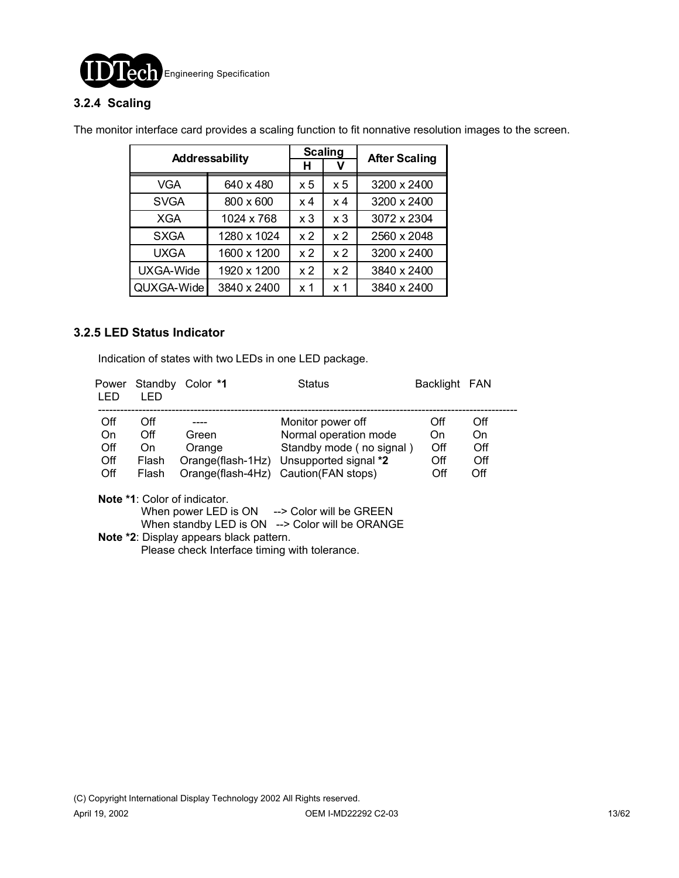

### **3.2.4 Scaling**

The monitor interface card provides a scaling function to fit nonnative resolution images to the screen.

|             |                | <b>Scaling</b> | <b>After Scaling</b> |             |
|-------------|----------------|----------------|----------------------|-------------|
|             | Addressability |                |                      |             |
| VGA         | 640 x 480      | x 5            | $\times 5$           | 3200 x 2400 |
| <b>SVGA</b> | 800 x 600      | x 4            | x 4                  | 3200 x 2400 |
| XGA         | 1024 x 768     | x <sub>3</sub> | x <sub>3</sub>       | 3072 x 2304 |
| <b>SXGA</b> | 1280 x 1024    | x <sub>2</sub> | x <sub>2</sub>       | 2560 x 2048 |
| <b>UXGA</b> | 1600 x 1200    | x <sub>2</sub> | x <sub>2</sub>       | 3200 x 2400 |
| UXGA-Wide   | 1920 x 1200    | x <sub>2</sub> | x <sub>2</sub>       | 3840 x 2400 |
| QUXGA-Wide  | 3840 x 2400    | x 1            | x <sub>1</sub>       | 3840 x 2400 |

### **3.2.5 LED Status Indicator**

Indication of states with two LEDs in one LED package.

| Power<br>LED | Standby<br>LED. | Color *1                            | <b>Status</b>                           | Backlight FAN |     |
|--------------|-----------------|-------------------------------------|-----------------------------------------|---------------|-----|
| Off          | Off             |                                     | Monitor power off                       | Off           | Off |
| On           | Off             | Green                               | Normal operation mode                   | On.           | On  |
| Off          | On              | Orange                              | Standby mode (no signal)                | Off           | Off |
| Off          | Flash           |                                     | Orange(flash-1Hz) Unsupported signal *2 | Off           | Off |
| Off          | Flash           |                                     | Orange(flash-4Hz) Caution(FAN stops)    | Off           | Off |
|              |                 | <b>Note *1:</b> Color of indicator. |                                         |               |     |
|              |                 | When power LED is ON                | --> Color will be GREEN                 |               |     |
|              |                 | When standby LED is ON              | --> Color will be ORANGE                |               |     |

 **Note \*2**: Display appears black pattern. Please check Interface timing with tolerance.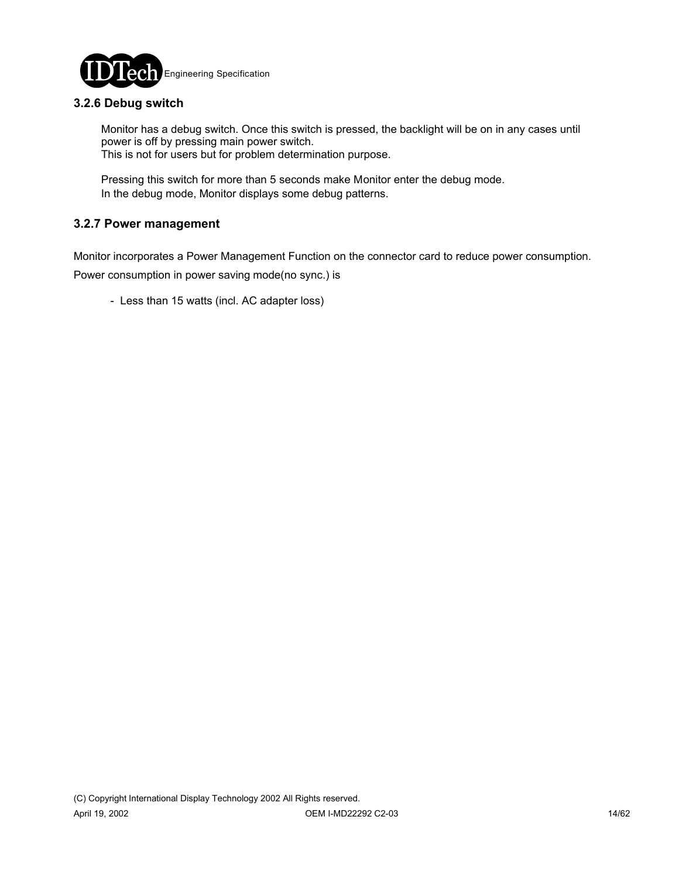

### **3.2.6 Debug switch**

 Monitor has a debug switch. Once this switch is pressed, the backlight will be on in any cases until power is off by pressing main power switch. This is not for users but for problem determination purpose.

 Pressing this switch for more than 5 seconds make Monitor enter the debug mode. In the debug mode, Monitor displays some debug patterns.

### **3.2.7 Power management**

Monitor incorporates a Power Management Function on the connector card to reduce power consumption.

Power consumption in power saving mode(no sync.) is

- Less than 15 watts (incl. AC adapter loss)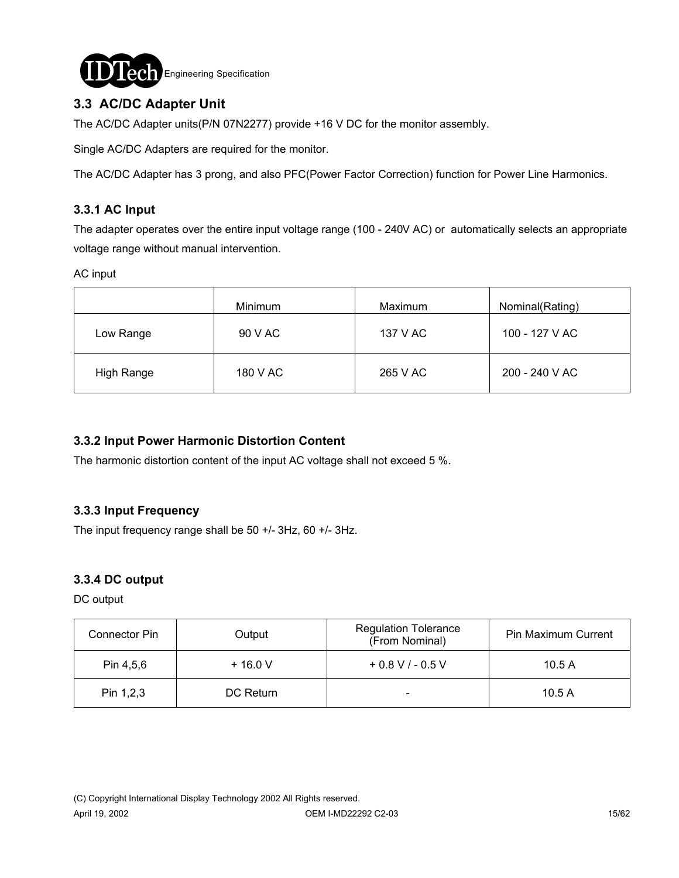

# **3.3 AC/DC Adapter Unit**

The AC/DC Adapter units(P/N 07N2277) provide +16 V DC for the monitor assembly.

Single AC/DC Adapters are required for the monitor.

The AC/DC Adapter has 3 prong, and also PFC(Power Factor Correction) function for Power Line Harmonics.

### **3.3.1 AC Input**

The adapter operates over the entire input voltage range (100 - 240V AC) or automatically selects an appropriate voltage range without manual intervention.

AC input

|            | Minimum  | Maximum  | Nominal(Rating) |
|------------|----------|----------|-----------------|
| Low Range  | 90 V AC  | 137 V AC | 100 - 127 V AC  |
| High Range | 180 V AC | 265 V AC | 200 - 240 V AC  |

### **3.3.2 Input Power Harmonic Distortion Content**

The harmonic distortion content of the input AC voltage shall not exceed 5 %.

### **3.3.3 Input Frequency**

The input frequency range shall be 50 +/- 3Hz, 60 +/- 3Hz.

### **3.3.4 DC output**

DC output

| Connector Pin | Output    | <b>Regulation Tolerance</b><br>(From Nominal) | <b>Pin Maximum Current</b> |
|---------------|-----------|-----------------------------------------------|----------------------------|
| Pin 4,5,6     | $+16.0V$  | $+0.8$ V / - 0.5 V                            | 10.5A                      |
| Pin 1,2,3     | DC Return |                                               | 10.5A                      |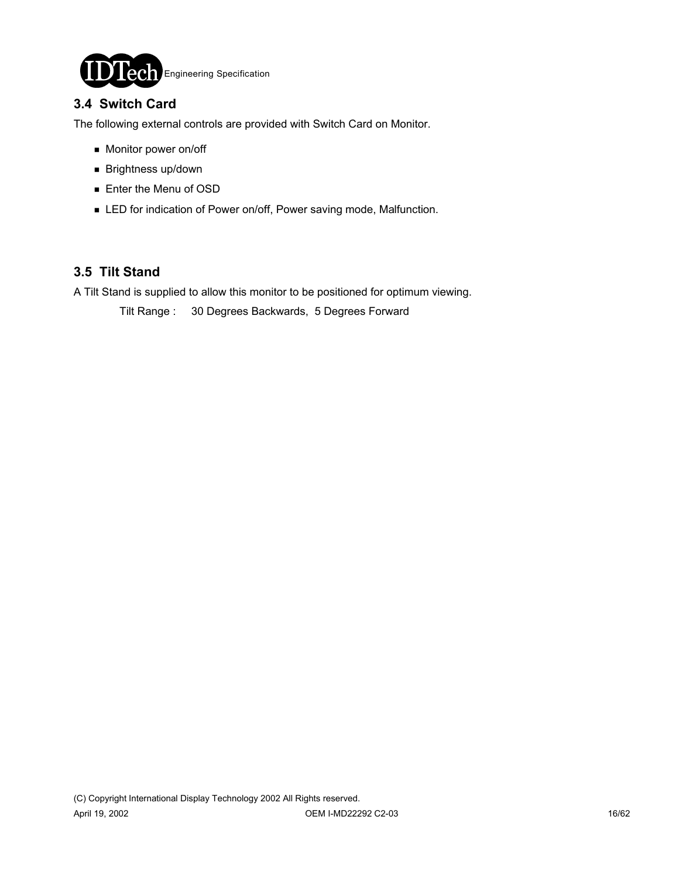

### **3.4 Switch Card**

The following external controls are provided with Switch Card on Monitor.

- **Monitor power on/off**
- **Brightness up/down**
- **Enter the Menu of OSD**
- **EXECT** for indication of Power on/off, Power saving mode, Malfunction.

### **3.5 Tilt Stand**

A Tilt Stand is supplied to allow this monitor to be positioned for optimum viewing.

Tilt Range : 30 Degrees Backwards, 5 Degrees Forward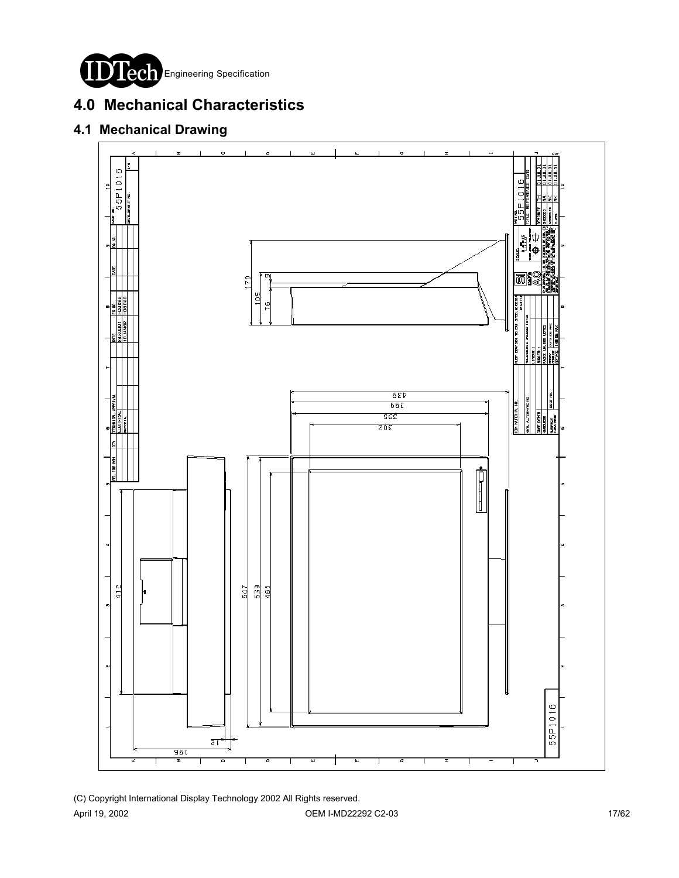

# **4.0 Mechanical Characteristics**

# **4.1 Mechanical Drawing**

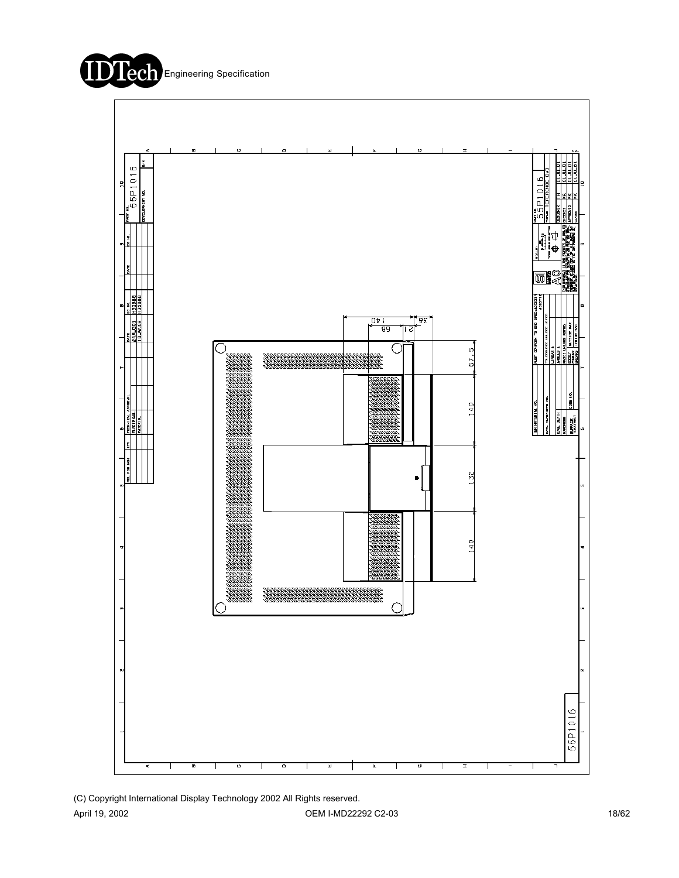



(C) Copyright International Display Technology 2002 All Rights reserved. April 19, 2002 **OEM I-MD22292 C2-03 OEM I-MD22292 C2-03** 18/62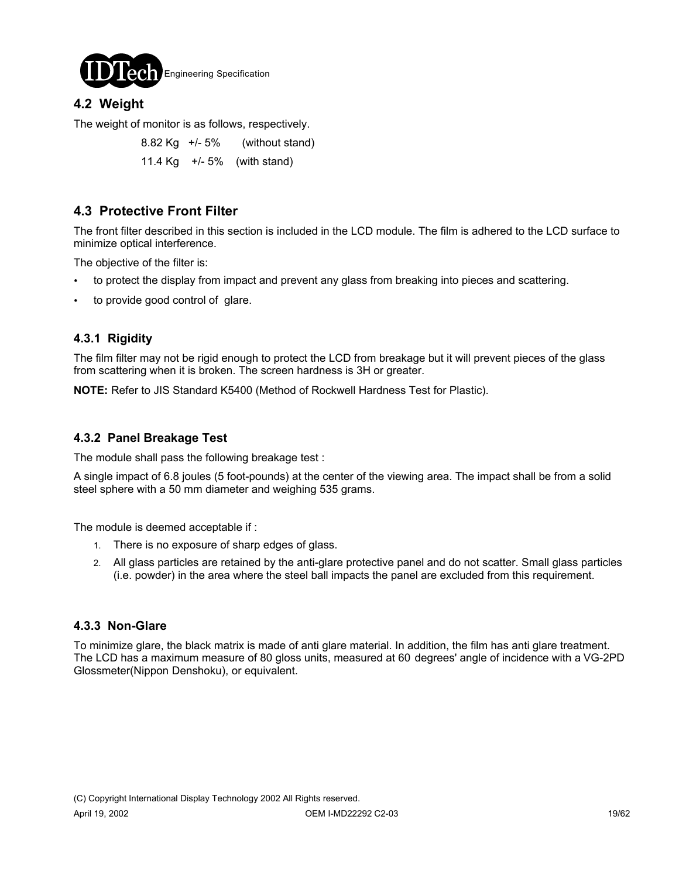

# **4.2 Weight**

The weight of monitor is as follows, respectively.

 8.82 Kg +/- 5% (without stand) 11.4 Kg +/- 5% (with stand)

# **4.3 Protective Front Filter**

The front filter described in this section is included in the LCD module. The film is adhered to the LCD surface to minimize optical interference.

The objective of the filter is:

- to protect the display from impact and prevent any glass from breaking into pieces and scattering.
- to provide good control of glare.

### **4.3.1 Rigidity**

The film filter may not be rigid enough to protect the LCD from breakage but it will prevent pieces of the glass from scattering when it is broken. The screen hardness is 3H or greater.

**NOTE:** Refer to JIS Standard K5400 (Method of Rockwell Hardness Test for Plastic).

### **4.3.2 Panel Breakage Test**

The module shall pass the following breakage test :

A single impact of 6.8 joules (5 foot-pounds) at the center of the viewing area. The impact shall be from a solid steel sphere with a 50 mm diameter and weighing 535 grams.

The module is deemed acceptable if :

- 1. There is no exposure of sharp edges of glass.
- 2. All glass particles are retained by the anti-glare protective panel and do not scatter. Small glass particles (i.e. powder) in the area where the steel ball impacts the panel are excluded from this requirement.

### **4.3.3 Non-Glare**

To minimize glare, the black matrix is made of anti glare material. In addition, the film has anti glare treatment. The LCD has a maximum measure of 80 gloss units, measured at 60 degrees' angle of incidence with a VG-2PD Glossmeter(Nippon Denshoku), or equivalent.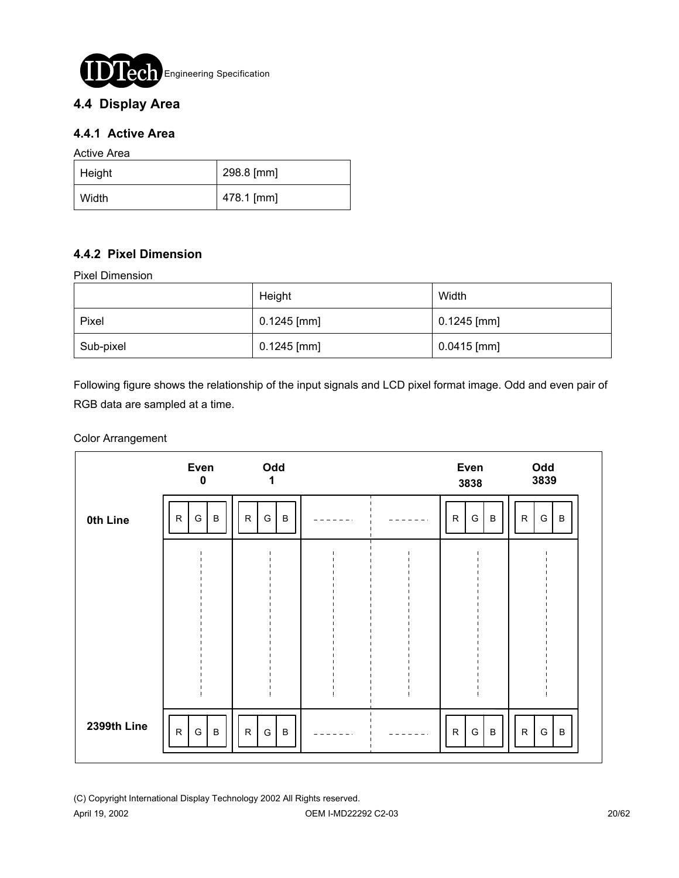

# **4.4 Display Area**

### **4.4.1 Active Area**

Active Area

| $ $ Height | 298.8 [mm] |
|------------|------------|
| Width      | 478.1 [mm] |

### **4.4.2 Pixel Dimension**

Pixel Dimension

|           | Height        | Width         |
|-----------|---------------|---------------|
| Pixel     | $0.1245$ [mm] | $0.1245$ [mm] |
| Sub-pixel | $0.1245$ [mm] | $0.0415$ [mm] |

Following figure shows the relationship of the input signals and LCD pixel format image. Odd and even pair of RGB data are sampled at a time.

### Color Arrangement

|             | Even<br>$\mathbf 0$               | Odd<br>1                        |  | Even<br>3838                          | Odd<br>3839                                |
|-------------|-----------------------------------|---------------------------------|--|---------------------------------------|--------------------------------------------|
| 0th Line    | $\, {\bf B}$<br>$\mathsf{R}$<br>G | G<br>${\sf R}$<br>$\, {\bf B}$  |  | G<br>${\sf R}$<br>$\sf B$             | G<br>${\sf R}$<br>$\, {\bf B}$             |
|             |                                   |                                 |  |                                       |                                            |
|             |                                   |                                 |  |                                       |                                            |
|             |                                   |                                 |  |                                       |                                            |
|             |                                   |                                 |  |                                       |                                            |
| 2399th Line | $\sf B$<br>${\sf R}$<br>G         | ${\sf R}$<br>${\mathsf G}$<br>B |  | ${\mathsf G}$<br>$\sf B$<br>${\sf R}$ | ${\mathsf G}$<br>${\sf R}$<br>$\, {\bf B}$ |

(C) Copyright International Display Technology 2002 All Rights reserved.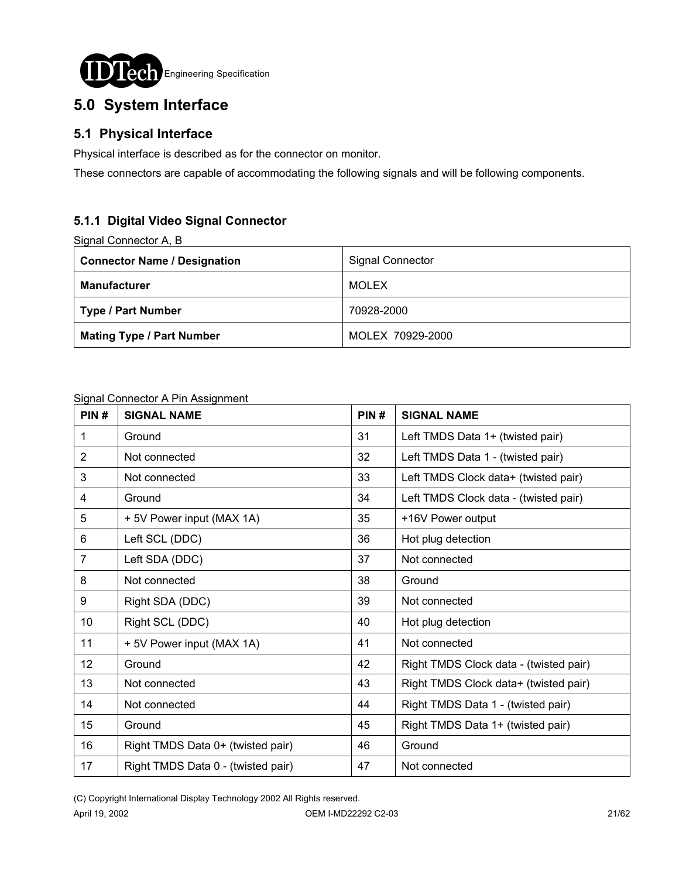

# **5.0 System Interface**

# **5.1 Physical Interface**

Physical interface is described as for the connector on monitor.

These connectors are capable of accommodating the following signals and will be following components.

# **5.1.1 Digital Video Signal Connector**

Signal Connector A, B

| <b>Connector Name / Designation</b> | <b>Signal Connector</b> |
|-------------------------------------|-------------------------|
| <b>Manufacturer</b>                 | MOLEX                   |
| Type / Part Number                  | 70928-2000              |
| <b>Mating Type / Part Number</b>    | MOLEX 70929-2000        |

### Signal Connector A Pin Assignment

| PIN#           | <b>SIGNAL NAME</b>                 | PIN# | <b>SIGNAL NAME</b>                     |
|----------------|------------------------------------|------|----------------------------------------|
| 1              | Ground                             | 31   | Left TMDS Data 1+ (twisted pair)       |
| 2              | Not connected                      | 32   | Left TMDS Data 1 - (twisted pair)      |
| 3              | Not connected                      | 33   | Left TMDS Clock data+ (twisted pair)   |
| 4              | Ground                             | 34   | Left TMDS Clock data - (twisted pair)  |
| 5              | + 5V Power input (MAX 1A)          | 35   | +16V Power output                      |
| 6              | Left SCL (DDC)                     | 36   | Hot plug detection                     |
| $\overline{7}$ | Left SDA (DDC)                     | 37   | Not connected                          |
| 8              | Not connected                      | 38   | Ground                                 |
| 9              | Right SDA (DDC)                    | 39   | Not connected                          |
| 10             | Right SCL (DDC)                    | 40   | Hot plug detection                     |
| 11             | + 5V Power input (MAX 1A)          | 41   | Not connected                          |
| 12             | Ground                             | 42   | Right TMDS Clock data - (twisted pair) |
| 13             | Not connected                      | 43   | Right TMDS Clock data+ (twisted pair)  |
| 14             | Not connected                      | 44   | Right TMDS Data 1 - (twisted pair)     |
| 15             | Ground                             | 45   | Right TMDS Data 1+ (twisted pair)      |
| 16             | Right TMDS Data 0+ (twisted pair)  | 46   | Ground                                 |
| 17             | Right TMDS Data 0 - (twisted pair) | 47   | Not connected                          |

(C) Copyright International Display Technology 2002 All Rights reserved.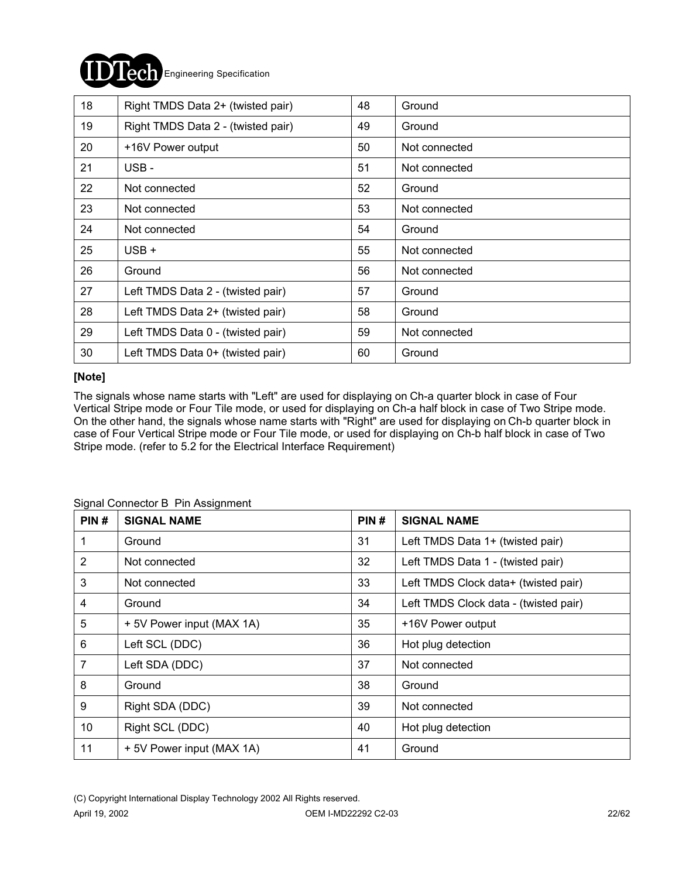# Engineering Specification

| 18 | Right TMDS Data 2+ (twisted pair)  | 48 | Ground        |
|----|------------------------------------|----|---------------|
| 19 | Right TMDS Data 2 - (twisted pair) | 49 | Ground        |
| 20 | +16V Power output                  | 50 | Not connected |
| 21 | USB-                               | 51 | Not connected |
| 22 | Not connected                      | 52 | Ground        |
| 23 | Not connected                      | 53 | Not connected |
| 24 | Not connected                      | 54 | Ground        |
| 25 | $USB +$                            | 55 | Not connected |
| 26 | Ground                             | 56 | Not connected |
| 27 | Left TMDS Data 2 - (twisted pair)  | 57 | Ground        |
| 28 | Left TMDS Data 2+ (twisted pair)   | 58 | Ground        |
| 29 | Left TMDS Data 0 - (twisted pair)  | 59 | Not connected |
| 30 | Left TMDS Data 0+ (twisted pair)   | 60 | Ground        |

### **[Note]**

The signals whose name starts with "Left" are used for displaying on Ch-a quarter block in case of Four Vertical Stripe mode or Four Tile mode, or used for displaying on Ch-a half block in case of Two Stripe mode. On the other hand, the signals whose name starts with "Right" are used for displaying on Ch-b quarter block in case of Four Vertical Stripe mode or Four Tile mode, or used for displaying on Ch-b half block in case of Two Stripe mode. (refer to 5.2 for the Electrical Interface Requirement)

| PIN#           | <b>SIGNAL NAME</b>        | PIN# | <b>SIGNAL NAME</b>                    |
|----------------|---------------------------|------|---------------------------------------|
|                | Ground                    | 31   | Left TMDS Data 1+ (twisted pair)      |
| $\overline{2}$ | Not connected             | 32   | Left TMDS Data 1 - (twisted pair)     |
| 3              | Not connected             | 33   | Left TMDS Clock data+ (twisted pair)  |
| 4              | Ground                    | 34   | Left TMDS Clock data - (twisted pair) |
| 5              | + 5V Power input (MAX 1A) | 35   | +16V Power output                     |
| 6              | Left SCL (DDC)            | 36   | Hot plug detection                    |
| 7              | Left SDA (DDC)            | 37   | Not connected                         |
| 8              | Ground                    | 38   | Ground                                |
| 9              | Right SDA (DDC)           | 39   | Not connected                         |
| 10             | Right SCL (DDC)           | 40   | Hot plug detection                    |
| 11             | + 5V Power input (MAX 1A) | 41   | Ground                                |

### Signal Connector B Pin Assignment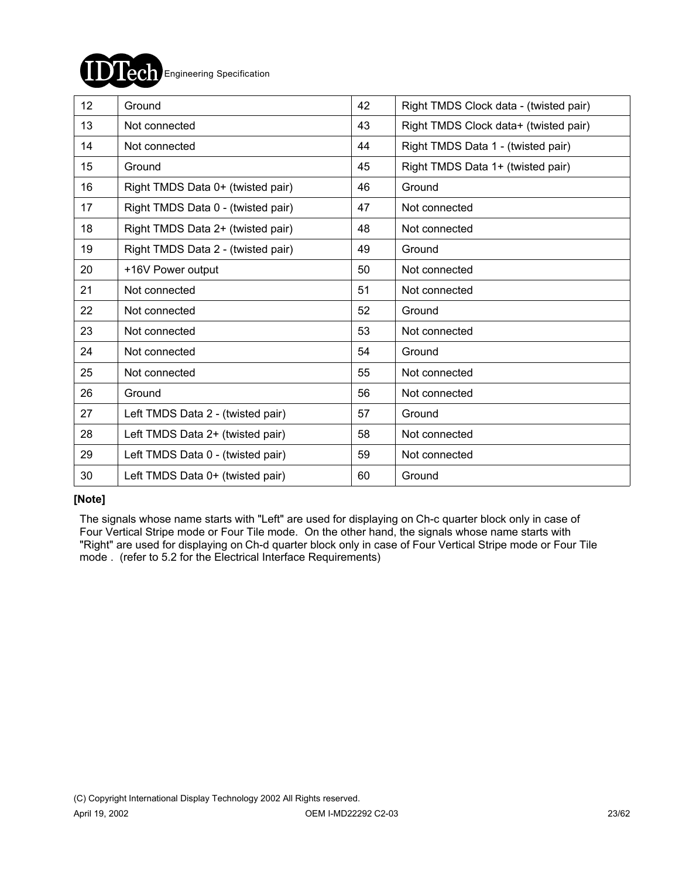

| 12 <sup>2</sup> | Ground                             | 42 | Right TMDS Clock data - (twisted pair) |
|-----------------|------------------------------------|----|----------------------------------------|
| 13              | Not connected                      | 43 | Right TMDS Clock data+ (twisted pair)  |
| 14              | Not connected                      | 44 | Right TMDS Data 1 - (twisted pair)     |
| 15              | Ground                             | 45 | Right TMDS Data 1+ (twisted pair)      |
| 16              | Right TMDS Data 0+ (twisted pair)  | 46 | Ground                                 |
| 17              | Right TMDS Data 0 - (twisted pair) | 47 | Not connected                          |
| 18              | Right TMDS Data 2+ (twisted pair)  | 48 | Not connected                          |
| 19              | Right TMDS Data 2 - (twisted pair) | 49 | Ground                                 |
| 20              | +16V Power output                  | 50 | Not connected                          |
| 21              | Not connected                      | 51 | Not connected                          |
| 22              | Not connected                      | 52 | Ground                                 |
| 23              | Not connected                      | 53 | Not connected                          |
| 24              | Not connected                      | 54 | Ground                                 |
| 25              | Not connected                      | 55 | Not connected                          |
| 26              | Ground                             | 56 | Not connected                          |
| 27              | Left TMDS Data 2 - (twisted pair)  | 57 | Ground                                 |
| 28              | Left TMDS Data 2+ (twisted pair)   | 58 | Not connected                          |
| 29              | Left TMDS Data 0 - (twisted pair)  | 59 | Not connected                          |
| 30              | Left TMDS Data 0+ (twisted pair)   | 60 | Ground                                 |

### **[Note]**

 The signals whose name starts with "Left" are used for displaying on Ch-c quarter block only in case of Four Vertical Stripe mode or Four Tile mode. On the other hand, the signals whose name starts with "Right" are used for displaying on Ch-d quarter block only in case of Four Vertical Stripe mode or Four Tile mode . (refer to 5.2 for the Electrical Interface Requirements)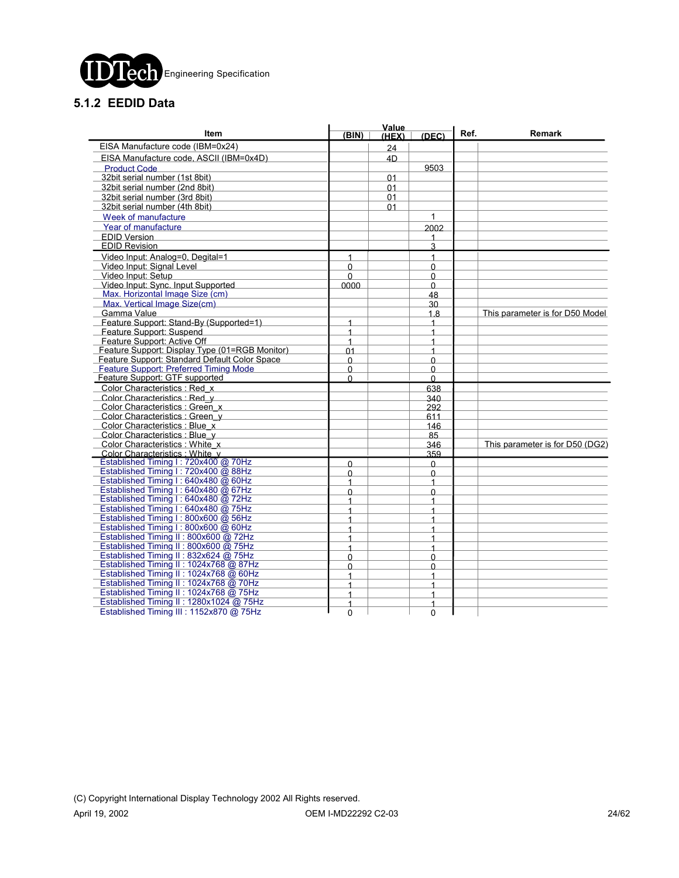

# **5.1.2 EEDID Data**

|                                                                    |                | Value |            |      |                                 |  |
|--------------------------------------------------------------------|----------------|-------|------------|------|---------------------------------|--|
| <b>Item</b>                                                        | (BIN)          | (HEX) | (DEC)      | Ref. | Remark                          |  |
| EISA Manufacture code (IBM=0x24)                                   |                | 24    |            |      |                                 |  |
| EISA Manufacture code, ASCII (IBM=0x4D)                            |                | 4D    |            |      |                                 |  |
| <b>Product Code</b>                                                |                |       | 9503       |      |                                 |  |
| 32bit serial number (1st 8bit)                                     |                | 01    |            |      |                                 |  |
| 32bit serial number (2nd 8bit)                                     |                | 01    |            |      |                                 |  |
| 32bit serial number (3rd 8bit)                                     |                | 01    |            |      |                                 |  |
| 32bit serial number (4th 8bit)                                     |                | 01    |            |      |                                 |  |
| Week of manufacture                                                |                |       | 1          |      |                                 |  |
| Year of manufacture                                                |                |       | 2002       |      |                                 |  |
| <b>EDID Version</b>                                                |                |       |            |      |                                 |  |
| <b>EDID Revision</b>                                               |                |       | 3          |      |                                 |  |
| Video Input: Analog=0. Degital=1                                   | 1              |       | 1          |      |                                 |  |
| Video Input: Signal Level                                          | $\Omega$       |       | $\Omega$   |      |                                 |  |
| Video Input: Setup                                                 | $\Omega$       |       | $\Omega$   |      |                                 |  |
| Video Input: Sync. Input Supported                                 | 0000           |       | $\Omega$   |      |                                 |  |
| Max. Horizontal Image Size (cm)                                    |                |       | 48         |      |                                 |  |
| Max. Vertical Image Size(cm)                                       |                |       | 30         |      |                                 |  |
| Gamma Value                                                        |                |       | 1.8        |      | This parameter is for D50 Model |  |
| Feature Support: Stand-By (Supported=1)                            | $\mathbf{1}$   |       | 1          |      |                                 |  |
| Feature Support: Suspend                                           | $\mathbf{1}$   |       | 1          |      |                                 |  |
| Feature Support: Active Off                                        | $\overline{1}$ |       | 1          |      |                                 |  |
| Feature Support: Display Type (01=RGB Monitor)                     | 01             |       | 1          |      |                                 |  |
| Feature Support: Standard Default Color Space                      | $\Omega$       |       | $\Omega$   |      |                                 |  |
| Feature Support: Preferred Timing Mode                             | $\Omega$       |       | $\Omega$   |      |                                 |  |
| Feature Support: GTF supported                                     | $\Omega$       |       | $\Omega$   |      |                                 |  |
| Color Characteristics: Red x                                       |                |       | 638        |      |                                 |  |
| Color Characteristics : Red y                                      |                |       | 340        |      |                                 |  |
| Color Characteristics : Green x                                    |                |       | 292        |      |                                 |  |
| Color Characteristics : Green_y                                    |                |       | 611        |      |                                 |  |
| Color Characteristics : Blue x                                     |                |       | 146        |      |                                 |  |
| Color Characteristics : Blue v                                     |                |       | 85         |      |                                 |  |
| Color Characteristics : White x<br>Color Characteristics : White v |                |       | 346<br>359 |      | This parameter is for D50 (DG2) |  |
| Established Timing I: 720x400 @ 70Hz                               |                |       |            |      |                                 |  |
| Established Timing I: 720x400 @ 88Hz                               | $\Omega$       |       | $\Omega$   |      |                                 |  |
| Established Timing I: 640x480 @ 60Hz                               | $\Omega$<br>1  |       | 0<br>1     |      |                                 |  |
| Established Timing I: 640x480 @ 67Hz                               | $\mathbf{0}$   |       | $\Omega$   |      |                                 |  |
| Established Timing I: 640x480 @ 72Hz                               | 1              |       | 1          |      |                                 |  |
| Established Timing I: 640x480 @ 75Hz                               | 1              |       | 1          |      |                                 |  |
| Established Timing I: 800x600 @ 56Hz                               | 1              |       | 1          |      |                                 |  |
| Established Timing I: 800x600 @ 60Hz                               | $\mathbf{1}$   |       | 1          |      |                                 |  |
| Established Timing II: 800x600 @ 72Hz                              | $\mathbf{1}$   |       | 1          |      |                                 |  |
| Established Timing II: 800x600 @ 75Hz                              | 1              |       | 1          |      |                                 |  |
| Established Timing II: 832x624 @ 75Hz                              | $\Omega$       |       | $\Omega$   |      |                                 |  |
| Established Timing II: 1024x768 @ 87Hz                             | $\Omega$       |       | 0          |      |                                 |  |
| Established Timing II: 1024x768 @ 60Hz                             | 1              |       | 4          |      |                                 |  |
| Established Timing II: 1024x768 @ 70Hz                             | 1              |       | 1          |      |                                 |  |
| Established Timing II: 1024x768 @ 75Hz                             | $\mathbf{1}$   |       | 1          |      |                                 |  |
| Established Timing II: 1280x1024 @ 75Hz                            | 1              |       | 1          |      |                                 |  |
| Established Timing III : 1152x870 @ 75Hz                           | 0              |       | 0          |      |                                 |  |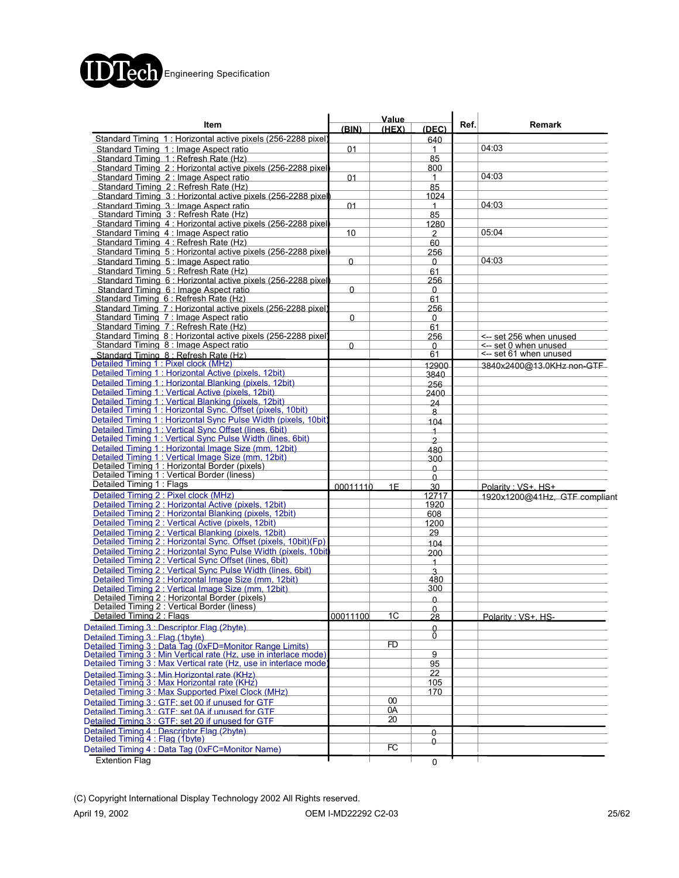

|                                                                                                       | Value        |        |                         |      |                               |  |  |
|-------------------------------------------------------------------------------------------------------|--------------|--------|-------------------------|------|-------------------------------|--|--|
| Item                                                                                                  | (BIN)        | (HEX)  | (DEC)                   | Ref. | Remark                        |  |  |
| Standard Timing 1: Horizontal active pixels (256-2288 pixel                                           |              |        | 640                     |      |                               |  |  |
| Standard Timing 1: Image Aspect ratio                                                                 | 01           |        | 1                       |      | 04:03                         |  |  |
| Standard Timing 1: Refresh Rate (Hz)                                                                  |              |        | 85                      |      |                               |  |  |
| Standard Timing 2: Horizontal active pixels (256-2288 pixel                                           |              |        | 800                     |      |                               |  |  |
| Standard Timing 2: Image Aspect ratio                                                                 | 01           |        | 1                       |      | 04:03                         |  |  |
| Standard Timing 2: Refresh Rate (Hz)                                                                  |              |        | 85                      |      |                               |  |  |
| Standard Timing 3: Horizontal active pixels (256-2288 pixel)                                          |              |        | 1024                    |      |                               |  |  |
| Standard Timing 3 : Image Aspect ratio                                                                | 01           |        | $\mathbf{1}$            |      | 04:03                         |  |  |
| Standard Timing 3 : Refresh Rate (Hz)                                                                 |              |        | 85                      |      |                               |  |  |
| Standard Timing 4: Horizontal active pixels (256-2288 pixel                                           |              |        | 1280                    |      |                               |  |  |
| Standard Timing 4 : Image Aspect ratio                                                                | 10           |        | 2                       |      | 05:04                         |  |  |
| Standard Timing 4: Refresh Rate (Hz)                                                                  |              |        | 60                      |      |                               |  |  |
| Standard Timing 5: Horizontal active pixels (256-2288 pixel                                           |              |        | 256                     |      |                               |  |  |
| Standard Timing 5: Image Aspect ratio                                                                 | $\mathbf{0}$ |        | 0                       |      | 04:03                         |  |  |
| Standard Timing 5: Refresh Rate (Hz)                                                                  |              |        | 61                      |      |                               |  |  |
| Standard Timing 6 : Horizontal active pixels (256-2288 pixel                                          |              |        | 256                     |      |                               |  |  |
| Standard Timing 6 : Image Aspect ratio                                                                | $\Omega$     |        | 0                       |      |                               |  |  |
| Standard Timing 6 : Refresh Rate (Hz)                                                                 |              |        | 61                      |      |                               |  |  |
| Standard Timing 7: Horizontal active pixels (256-2288 pixel)                                          |              |        | 256                     |      |                               |  |  |
| Standard Timing 7 : Image Aspect ratio                                                                | 0            |        | 0                       |      |                               |  |  |
| Standard Timing 7: Refresh Rate (Hz)                                                                  |              |        | 61                      |      |                               |  |  |
| Standard Timing 8 : Horizontal active pixels (256-2288 pixel)                                         |              |        | 256                     |      | <-- set 256 when unused       |  |  |
| Standard Timing 8 : Image Aspect ratio                                                                | 0            |        | 0                       |      | <-- set 0 when unused         |  |  |
| Standard Timing 8: Refresh Rate (Hz)                                                                  |              |        | 61                      |      | <-- set 61 when unused        |  |  |
| Detailed Timing 1: Pixel clock (MHz)                                                                  |              |        | 12900                   |      | 3840x2400@13.0KHz non-GTF     |  |  |
| Detailed Timing 1 : Horizontal Active (pixels, 12bit)                                                 |              |        | 3840                    |      |                               |  |  |
| Detailed Timing 1: Horizontal Blanking (pixels, 12bit)                                                |              |        | 256                     |      |                               |  |  |
| Detailed Timing 1: Vertical Active (pixels, 12bit)                                                    |              |        | 2400                    |      |                               |  |  |
| Detailed Timing 1: Vertical Blanking (pixels, 12bit)                                                  |              |        | 24                      |      |                               |  |  |
| Detailed Timing 1 : Horizontal Sync. Offset (pixels, 10bit)                                           |              |        | 8                       |      |                               |  |  |
| Detailed Timing 1: Horizontal Sync Pulse Width (pixels, 10bit)                                        |              |        | 104                     |      |                               |  |  |
| Detailed Timing 1: Vertical Sync Offset (lines, 6bit)                                                 |              |        | $\overline{1}$          |      |                               |  |  |
| Detailed Timing 1: Vertical Sync Pulse Width (lines, 6bit)                                            |              |        | $\overline{2}$          |      |                               |  |  |
| Detailed Timing 1: Horizontal Image Size (mm, 12bit)                                                  |              |        | 480                     |      |                               |  |  |
|                                                                                                       |              |        | 300                     |      |                               |  |  |
| Detailed Timing 1 : Vertical Image Size (mm, 12bit)<br>Detailed Timing 1 : Horizontal Border (pixels) |              |        | 0                       |      |                               |  |  |
| Detailed Timing 1 : Vertical Border (liness)                                                          |              |        | 0                       |      |                               |  |  |
| Detailed Timing 1: Flags                                                                              | 00011110     | 1F     | 30                      |      | Polarity: VS+. HS+            |  |  |
| Detailed Timing 2 : Pixel clock (MHz)                                                                 |              |        | 12717                   |      | 1920x1200@41Hz, GTF compliant |  |  |
| Detailed Timing 2 : Horizontal Active (pixels, 12bit)                                                 |              |        | 1920                    |      |                               |  |  |
| Detailed Timing 2 : Horizontal Blanking (pixels, 12bit)                                               |              |        | 608                     |      |                               |  |  |
| Detailed Timing 2 : Vertical Active (pixels, 12bit)                                                   |              |        | 1200                    |      |                               |  |  |
| Detailed Timing 2 : Vertical Blanking (pixels, 12bit)                                                 |              |        | 29                      |      |                               |  |  |
| Detailed Timing 2 : Horizontal Sync. Offset (pixels, 10bit)(Fp)                                       |              |        | 104                     |      |                               |  |  |
| Detailed Timing 2 : Horizontal Sync Pulse Width (pixels, 10bit                                        |              |        | 200                     |      |                               |  |  |
| Detailed Timing 2 : Vertical Sync Offset (lines, 6bit)                                                |              |        | $\overline{\mathbf{1}}$ |      |                               |  |  |
| Detailed Timing 2 : Vertical Sync Pulse Width (lines, 6bit)                                           |              |        | 3                       |      |                               |  |  |
| Detailed Timing 2 : Horizontal Image Size (mm, 12bit)                                                 |              |        | 480                     |      |                               |  |  |
| Detailed Timing 2 : Vertical Image Size (mm, 12bit)                                                   |              |        | 300                     |      |                               |  |  |
| Detailed Timing 2 : Horizontal Border (pixels)                                                        |              |        | 0                       |      |                               |  |  |
| Detailed Timing 2 : Vertical Border (liness)                                                          |              |        | 0                       |      |                               |  |  |
| Detailed Timing 2 : Flags                                                                             | 00011100     | 1C     | 28                      |      | Polarity: VS+. HS-            |  |  |
| Detailed Timing 3 : Descriptor Flag (2byte)                                                           |              |        | 0                       |      |                               |  |  |
| Detailed Timing 3 : Flag (1byte)                                                                      |              |        | 0                       |      |                               |  |  |
| Detailed Timing 3 : Data Tag (0xFD=Monitor Range Limits)                                              |              | FD     |                         |      |                               |  |  |
| Detailed Timing 3 : Min Vertical rate (Hz, use in interlace mode)                                     |              |        | 9                       |      |                               |  |  |
| Detailed Timing 3 : Max Vertical rate (Hz, use in interlace mode)                                     |              |        | 95                      |      |                               |  |  |
|                                                                                                       |              |        | 22                      |      |                               |  |  |
| Detailed Timing 3 : Min Horizontal rate (KHz)<br>Detailed Timing 3 : Max Horizontal rate (KHz)        |              |        | 105                     |      |                               |  |  |
| Detailed Timing 3: Max Supported Pixel Clock (MHz)                                                    |              |        | 170                     |      |                               |  |  |
| Detailed Timing 3 : GTF: set 00 if unused for GTF                                                     |              | $00\,$ |                         |      |                               |  |  |
| Detailed Timing 3 : GTF: set 0A if unused for GTF                                                     |              | 0A     |                         |      |                               |  |  |
| Detailed Timing 3 : GTF: set 20 if unused for GTF                                                     |              | 20     |                         |      |                               |  |  |
|                                                                                                       |              |        |                         |      |                               |  |  |
| Detailed Timing 4 : Descriptor Flag (2byte)<br>Detailed Timing 4 : Flag (1byte)                       |              |        | 0<br>Û                  |      |                               |  |  |
| Detailed Timing 4 : Data Tag (0xFC=Monitor Name)                                                      |              | FC     |                         |      |                               |  |  |
| <b>Extention Flag</b>                                                                                 |              |        |                         |      |                               |  |  |
|                                                                                                       |              |        | 0                       |      |                               |  |  |

(C) Copyright International Display Technology 2002 All Rights reserved.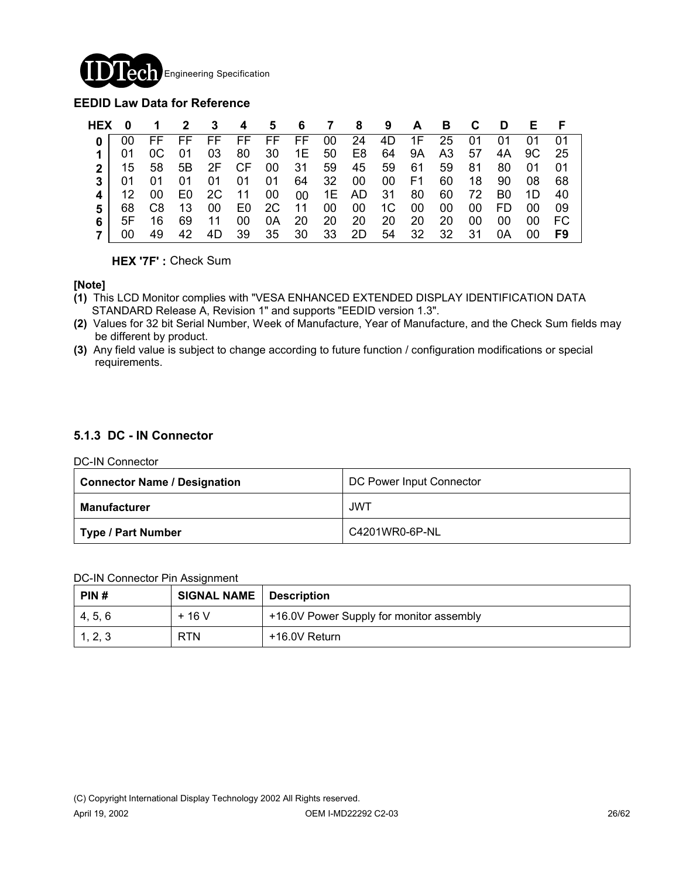

### **EEDID Law Data for Reference**

| HEX 0 |             | $\mathbf 1$ |       |             |    |  | 2 3 4 5 6 7 8 9 A B C D                            |             |     |       |    | E F  |      |
|-------|-------------|-------------|-------|-------------|----|--|----------------------------------------------------|-------------|-----|-------|----|------|------|
|       |             |             |       |             |    |  | FF FF FF FF FF FF 00 24 4D 1F 25 01                |             |     |       | 01 | 01   | - 01 |
|       |             | OC          |       |             |    |  | 01  03  80  30  1E  50  E8  64  9A  A3  57  4A  9C |             |     |       |    |      | - 25 |
|       |             |             |       |             |    |  | 15 58 5B 2F CF 00 31 59 45 59 61                   |             |     | 59 81 | 80 | - 01 |      |
|       | 01 01       |             |       |             |    |  | 01  01  01  01  64  32  00  00  F1                 |             |     | 60 18 | 90 | - 08 | 68   |
|       | <u> 12 </u> |             |       | 00 E0 2C 11 |    |  | 00 00 1E AD 31 80 60 72 B0 1D                      |             |     |       |    |      | -40  |
| 5.    |             |             |       |             |    |  | 68 C8 13 00 E0 2C 11 00 00 1C                      | 00 00 00 FD |     |       |    | -00  |      |
|       | 5F -        | 16.         | 69 11 |             | 00 |  | 0A 20 20 20 20                                     | -20         | -20 | 00    | 00 | -00  | - FC |
|       |             | 49.         |       |             |    |  | 42 4D 39 35 30 33 2D 54 32 32 31                   |             |     |       | 0A | -00  | F9   |

**HEX '7F' :** Check Sum

### **[Note]**

- **(1)** This LCD Monitor complies with "VESA ENHANCED EXTENDED DISPLAY IDENTIFICATION DATA STANDARD Release A, Revision 1" and supports "EEDID version 1.3".
- **(2)** Values for 32 bit Serial Number, Week of Manufacture, Year of Manufacture, and the Check Sum fields may be different by product.
- **(3)** Any field value is subject to change according to future function / configuration modifications or special requirements.

### **5.1.3 DC - IN Connector**

DC-IN Connector

| <b>Connector Name / Designation</b> | DC Power Input Connector |
|-------------------------------------|--------------------------|
| Manufacturer                        | JWT                      |
| Type / Part Number                  | C4201WR0-6P-NL           |

### DC-IN Connector Pin Assignment

| PIN#    | <b>SIGNAL NAME</b> | Description                              |
|---------|--------------------|------------------------------------------|
| 4, 5, 6 | $+16V$             | +16.0V Power Supply for monitor assembly |
| 1, 2, 3 | <b>RTN</b>         | +16.0V Return                            |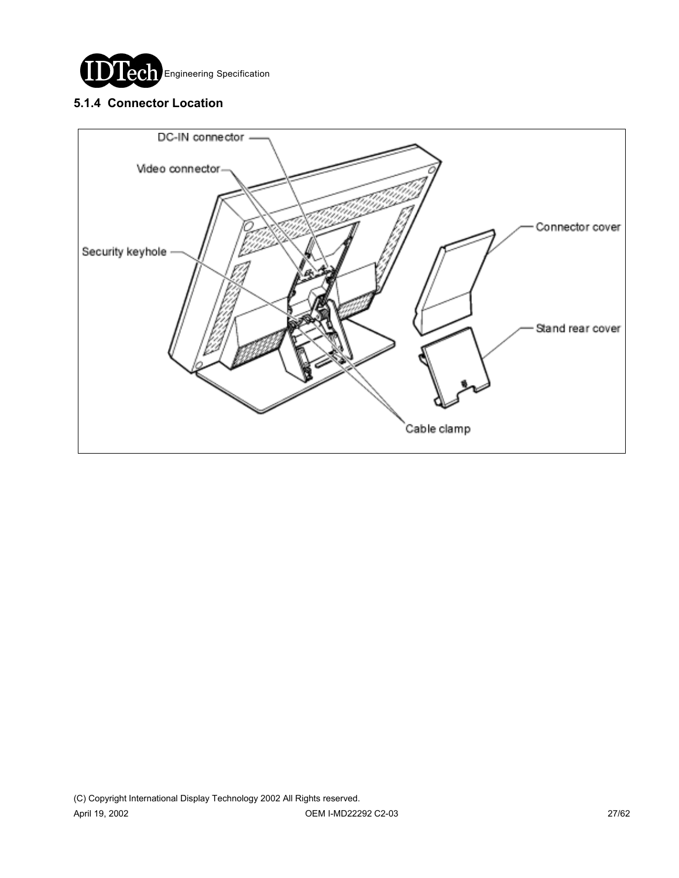

# **5.1.4 Connector Location**

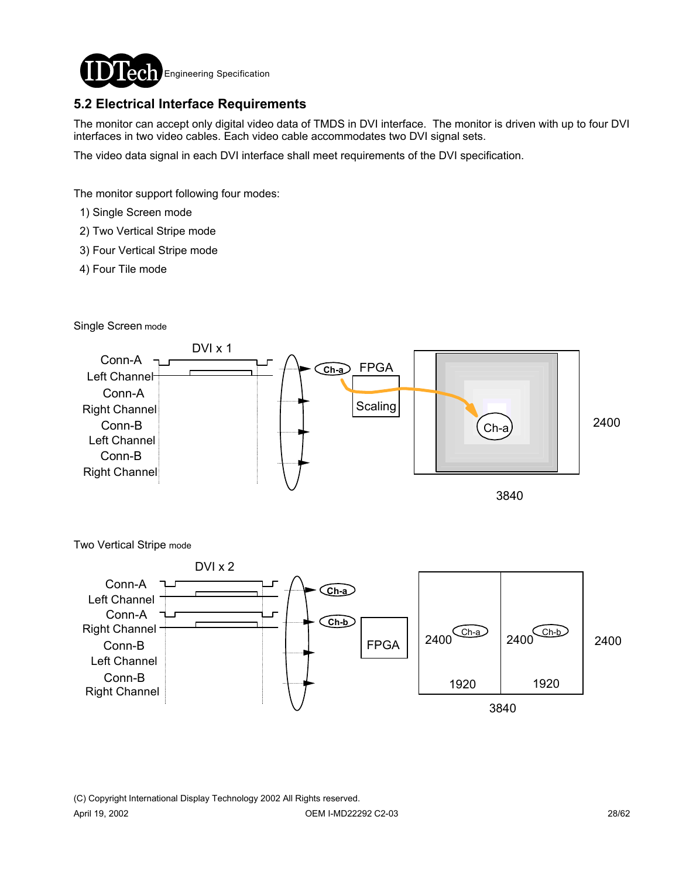

# **5.2 Electrical Interface Requirements**

The monitor can accept only digital video data of TMDS in DVI interface. The monitor is driven with up to four DVI interfaces in two video cables. Each video cable accommodates two DVI signal sets.

The video data signal in each DVI interface shall meet requirements of the DVI specification.

The monitor support following four modes:

- 1) Single Screen mode
- 2) Two Vertical Stripe mode
- 3) Four Vertical Stripe mode
- 4) Four Tile mode

Single Screen mode





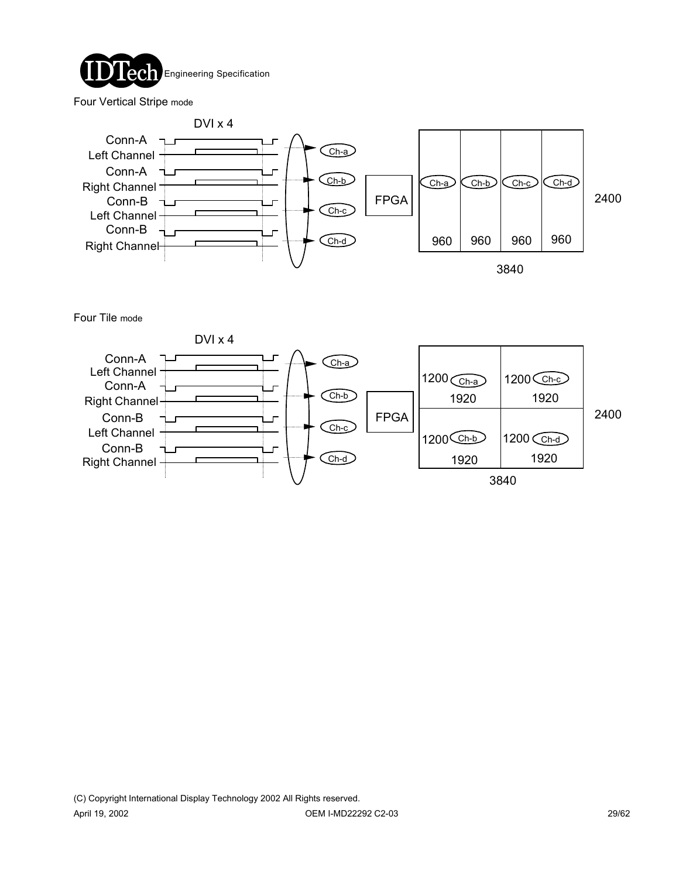

Four Vertical Stripe mode



Four Tile mode

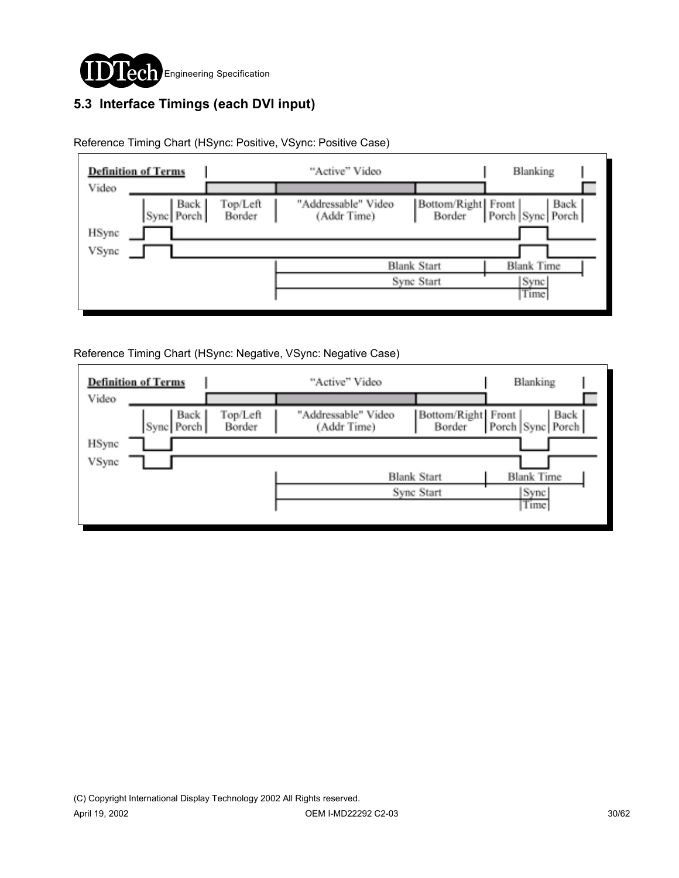

# **5.3 Interface Timings (each DVI input)**

|                | <b>Definition of Terms</b> |                    | "Active" Video                     |                                  | Blanking                                       |  |
|----------------|----------------------------|--------------------|------------------------------------|----------------------------------|------------------------------------------------|--|
| Video          | Back<br>Sync Porch         | Top/Left<br>Border | "Addressable" Video<br>(Addr Time) | Bottom/Right Front<br>Border     | Back  <br>Porch Sync Porch                     |  |
| HSync<br>VSync |                            |                    |                                    |                                  |                                                |  |
|                |                            |                    |                                    | <b>Blank Start</b><br>Sync Start | <b>Blank Time</b><br>Sync <sup>1</sup><br>Time |  |
|                |                            |                    |                                    |                                  |                                                |  |

Reference Timing Chart (HSync: Positive, VSync: Positive Case)

Reference Timing Chart (HSync: Negative, VSync: Negative Case)

|       | <b>Definition of Terms</b> |                    | "Active" Video                     |                              | Blanking                 |
|-------|----------------------------|--------------------|------------------------------------|------------------------------|--------------------------|
| Video |                            |                    |                                    |                              |                          |
|       | Back  <br>Sync Porch       | Top/Left<br>Border | "Addressable" Video<br>(Addr Time) | Bottom/Right Front<br>Border | Back<br>Porch Sync Porch |
| HSync |                            |                    |                                    |                              |                          |
| VSync |                            |                    |                                    |                              |                          |
|       |                            |                    |                                    | <b>Blank Start</b>           | <b>Blank Time</b>        |
|       |                            |                    | Sync <sup>[</sup>                  |                              |                          |
|       |                            |                    |                                    |                              | Time                     |
|       |                            |                    |                                    |                              |                          |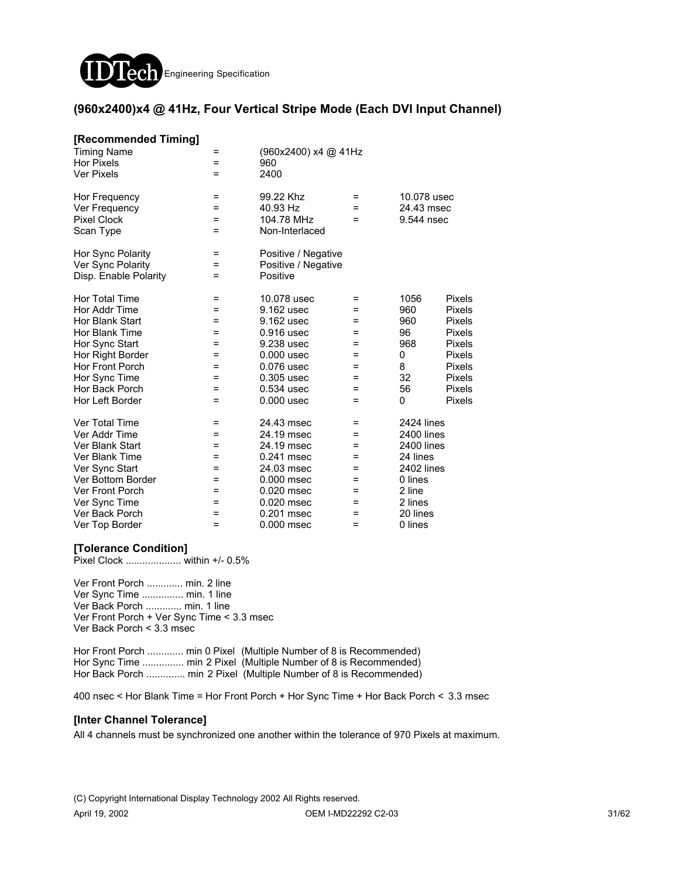

### **(960x2400)x4 @ 41Hz, Four Vertical Stripe Mode (Each DVI Input Channel)**

| [Recommended Timing]<br><b>Timing Name</b><br><b>Hor Pixels</b><br><b>Ver Pixels</b> | =<br>=<br>=        | (960x2400) x4 @ 41Hz<br>960<br>2400                    |                 |                                         |               |  |  |
|--------------------------------------------------------------------------------------|--------------------|--------------------------------------------------------|-----------------|-----------------------------------------|---------------|--|--|
| Hor Frequency<br>Ver Frequency<br><b>Pixel Clock</b><br>Scan Type                    | =<br>$=$<br>=<br>= | 99.22 Khz<br>40.93 Hz<br>104.78 MHz<br>Non-Interlaced  | $=$<br>$=$<br>= | 10.078 usec<br>24.43 msec<br>9.544 nsec |               |  |  |
| Hor Sync Polarity<br>Ver Sync Polarity<br>Disp. Enable Polarity                      | =<br>=<br>Ξ        | Positive / Negative<br>Positive / Negative<br>Positive |                 |                                         |               |  |  |
| Hor Total Time                                                                       | Ξ                  | 10.078 usec                                            | Ξ               | 1056                                    | <b>Pixels</b> |  |  |
| Hor Addr Time                                                                        | =                  | 9.162 usec                                             | =               | 960                                     | <b>Pixels</b> |  |  |
| Hor Blank Start                                                                      | =                  | 9.162 usec                                             | =               | 960                                     | <b>Pixels</b> |  |  |
| Hor Blank Time                                                                       | =                  | 0.916 usec                                             | =               | 96                                      | <b>Pixels</b> |  |  |
| Hor Sync Start                                                                       | =                  | 9.238 usec                                             | =               | 968                                     | <b>Pixels</b> |  |  |
| Hor Right Border                                                                     | =                  | $0.000$ usec                                           | =               | 0                                       | <b>Pixels</b> |  |  |
| Hor Front Porch                                                                      | $=$                | 0.076 usec                                             | $=$             | 8                                       | <b>Pixels</b> |  |  |
| Hor Sync Time                                                                        | $=$                | 0.305 usec                                             | =               | 32                                      | <b>Pixels</b> |  |  |
| Hor Back Porch                                                                       | =                  | 0.534 usec                                             | =               | 56                                      | <b>Pixels</b> |  |  |
| Hor Left Border                                                                      | =                  | $0.000$ usec                                           | =               | 0                                       | Pixels        |  |  |
| Ver Total Time                                                                       | =                  | 24.43 msec                                             | =               | 2424 lines                              |               |  |  |
| Ver Addr Time                                                                        | =                  | 24.19 msec                                             | =               | 2400 lines                              |               |  |  |
| Ver Blank Start                                                                      | =                  | 24.19 msec                                             | =               | <b>2400 lines</b>                       |               |  |  |
| Ver Blank Time                                                                       | =                  | 0.241 msec                                             | =               | 24 lines                                |               |  |  |
| Ver Sync Start                                                                       | =                  | 24.03 msec                                             | =               | 2402 lines                              |               |  |  |
| Ver Bottom Border                                                                    | =                  | 0.000 msec                                             | =               | 0 lines                                 |               |  |  |
| <b>Ver Front Porch</b>                                                               | =                  | 0.020 msec                                             | =               | 2 line                                  |               |  |  |
| Ver Sync Time                                                                        | =                  | 0.020 msec                                             | =               | 2 lines                                 |               |  |  |
| Ver Back Porch                                                                       | =                  | 0.201 msec                                             | $=$             | 20 lines                                |               |  |  |
| Ver Top Border                                                                       | =                  | $0.000$ msec                                           | $=$             | 0 lines                                 |               |  |  |

### **[Tolerance Condition]**

Pixel Clock .................... within +/- 0.5%

Ver Front Porch ............. min. 2 line Ver Sync Time ............... min. 1 line Ver Back Porch ............. min. 1 line Ver Front Porch + Ver Sync Time < 3.3 msec Ver Back Porch < 3.3 msec

Hor Front Porch ............. min 0 Pixel (Multiple Number of 8 is Recommended) Hor Sync Time ................ min 2 Pixel (Multiple Number of 8 is Recommended) Hor Back Porch ............... min 2 Pixel (Multiple Number of 8 is Recommended)

400 nsec < Hor Blank Time = Hor Front Porch + Hor Sync Time + Hor Back Porch < 3.3 msec

#### **[Inter Channel Tolerance]**

All 4 channels must be synchronized one another within the tolerance of 970 Pixels at maximum.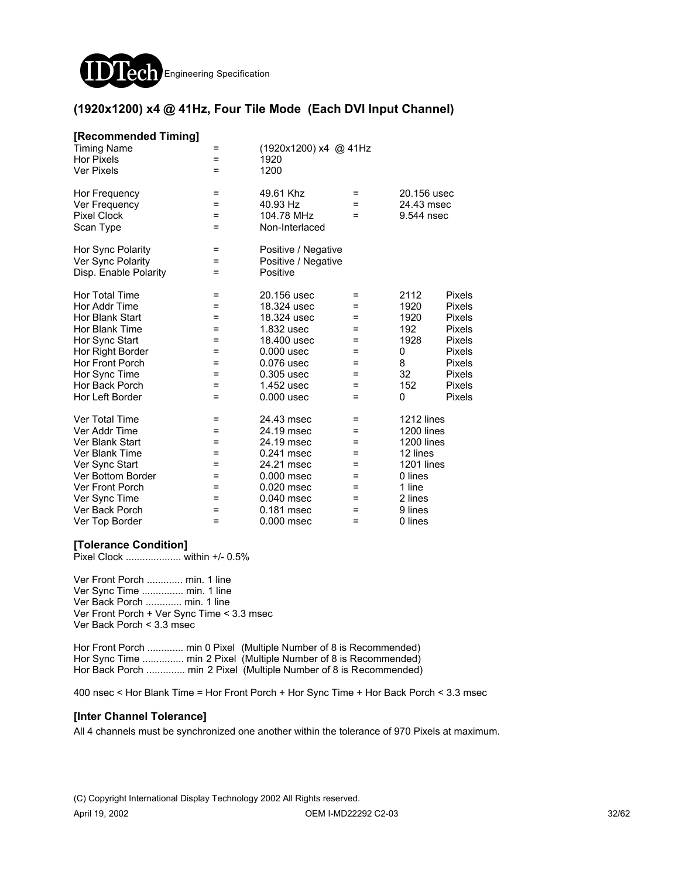

### **(1920x1200) x4 @ 41Hz, Four Tile Mode (Each DVI Input Channel)**

| [Recommended Timing]<br><b>Timing Name</b><br><b>Hor Pixels</b><br><b>Ver Pixels</b>                                                                                                              | =<br>$=$<br>=                                        | (1920x1200) x4 @ 41Hz<br>1920<br>1200                                                                                                            |                                                        |                                                                                                                                      |                                                                                                  |
|---------------------------------------------------------------------------------------------------------------------------------------------------------------------------------------------------|------------------------------------------------------|--------------------------------------------------------------------------------------------------------------------------------------------------|--------------------------------------------------------|--------------------------------------------------------------------------------------------------------------------------------------|--------------------------------------------------------------------------------------------------|
| Hor Frequency<br>Ver Frequency<br><b>Pixel Clock</b><br>Scan Type                                                                                                                                 | =<br>Ξ<br>=<br>=                                     | 49.61 Khz<br>40.93 Hz<br>104.78 MHz<br>Non-Interlaced                                                                                            | $=$<br>$=$<br>=                                        | 20.156 usec<br>24.43 msec<br>9.544 nsec                                                                                              |                                                                                                  |
| Hor Sync Polarity<br>Ver Sync Polarity<br>Disp. Enable Polarity                                                                                                                                   | =<br>=<br>=                                          | Positive / Negative<br>Positive / Negative<br>Positive                                                                                           |                                                        |                                                                                                                                      |                                                                                                  |
| <b>Hor Total Time</b><br>Hor Addr Time<br>Hor Blank Start<br>Hor Blank Time<br>Hor Sync Start<br>Hor Right Border<br><b>Hor Front Porch</b><br>Hor Sync Time<br>Hor Back Porch<br>Hor Left Border | =<br>=<br>Ξ<br>Ξ<br>Ξ<br>=<br>$=$<br>$=$<br>=<br>$=$ | 20.156 usec<br>18.324 usec<br>18,324 usec<br>1.832 usec<br>18,400 usec<br>$0.000$ usec<br>0.076 usec<br>0.305 usec<br>1.452 usec<br>$0.000$ usec | =<br>=<br>=<br>Ξ<br>Ξ<br>$=$<br>$=$<br>$=$<br>=<br>$=$ | 2112<br>1920<br>1920<br>192<br>1928<br>0<br>8<br>32<br>152<br>0                                                                      | Pixels<br>Pixels<br>Pixels<br>Pixels<br>Pixels<br>Pixels<br>Pixels<br>Pixels<br>Pixels<br>Pixels |
| Ver Total Time<br>Ver Addr Time<br>Ver Blank Start<br>Ver Blank Time<br>Ver Sync Start<br>Ver Bottom Border<br>Ver Front Porch<br>Ver Sync Time<br>Ver Back Porch<br>Ver Top Border               | =<br>=<br>$=$<br>=<br>=<br>=<br>=<br>=<br>=<br>$=$   | 24.43 msec<br>24.19 msec<br>24.19 msec<br>0.241 msec<br>24.21 msec<br>$0.000$ msec<br>0.020 msec<br>0.040 msec<br>0.181 msec<br>0.000 msec       | =<br>=<br>$=$<br>=<br>=<br>=<br>=<br>=<br>=<br>$=$     | 1212 lines<br>1200 lines<br><b>1200 lines</b><br>12 lines<br><b>1201 lines</b><br>0 lines<br>1 line<br>2 lines<br>9 lines<br>0 lines |                                                                                                  |

#### **[Tolerance Condition]**

Pixel Clock .................... within +/- 0.5%

Ver Front Porch ............. min. 1 line Ver Sync Time ............... min. 1 line Ver Back Porch ............. min. 1 line Ver Front Porch + Ver Sync Time < 3.3 msec Ver Back Porch < 3.3 msec

Hor Front Porch ............. min 0 Pixel (Multiple Number of 8 is Recommended) Hor Sync Time ............... min 2 Pixel (Multiple Number of 8 is Recommended) Hor Back Porch .............. min 2 Pixel (Multiple Number of 8 is Recommended)

400 nsec < Hor Blank Time = Hor Front Porch + Hor Sync Time + Hor Back Porch < 3.3 msec

#### **[Inter Channel Tolerance]**

All 4 channels must be synchronized one another within the tolerance of 970 Pixels at maximum.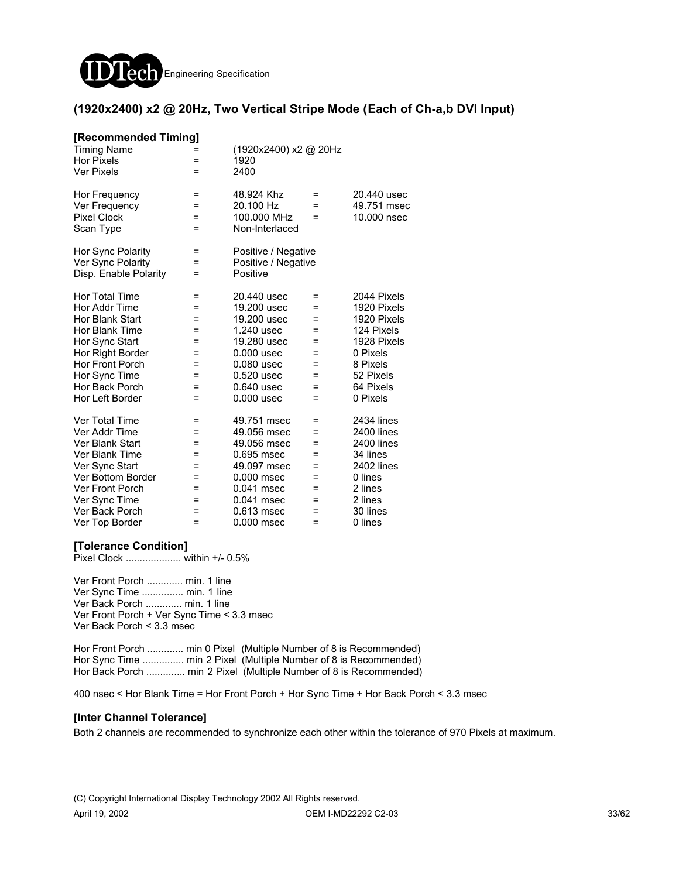

### **(1920x2400) x2 @ 20Hz, Two Vertical Stripe Mode (Each of Ch-a,b DVI Input)**

| [Recommended Timing]   |     |                       |     |                   |
|------------------------|-----|-----------------------|-----|-------------------|
| <b>Timing Name</b>     |     | (1920x2400) x2 @ 20Hz |     |                   |
| <b>Hor Pixels</b>      | =   | 1920                  |     |                   |
| <b>Ver Pixels</b>      | =   | 2400                  |     |                   |
| Hor Frequency          | Ξ   | 48.924 Khz            | =   | 20.440 usec       |
| Ver Frequency          | Ξ   | 20.100 Hz             | =   | 49.751 msec       |
| <b>Pixel Clock</b>     | =   | 100,000 MHz           | =   | 10,000 nsec       |
| Scan Type              | $=$ | Non-Interlaced        |     |                   |
| Hor Sync Polarity      | =   | Positive / Negative   |     |                   |
| Ver Sync Polarity      | =   | Positive / Negative   |     |                   |
| Disp. Enable Polarity  | =   | Positive              |     |                   |
| <b>Hor Total Time</b>  | Ξ   | 20.440 usec           | =   | 2044 Pixels       |
| Hor Addr Time          | Ξ   | 19,200 usec           | =   | 1920 Pixels       |
| Hor Blank Start        | =   | 19,200 usec           | =   | 1920 Pixels       |
| Hor Blank Time         | =   | 1.240 usec            | =   | 124 Pixels        |
| Hor Sync Start         | =   | 19,280 usec           | =   | 1928 Pixels       |
| Hor Right Border       | =   | $0.000$ usec          | $=$ | 0 Pixels          |
| <b>Hor Front Porch</b> | =   | 0.080 usec            | =   | 8 Pixels          |
| Hor Sync Time          | =   | 0.520 usec            | =   | 52 Pixels         |
| Hor Back Porch         | =   | 0.640 usec            | =   | 64 Pixels         |
| Hor Left Border        | =   | $0.000$ usec          | =   | 0 Pixels          |
| Ver Total Time         | =   | 49.751 msec           | =   | <b>2434 lines</b> |
| Ver Addr Time          | Ξ   | 49.056 msec           | Ξ   | 2400 lines        |
| Ver Blank Start        | =   | 49.056 msec           | =   | 2400 lines        |
| Ver Blank Time         | Ξ   | 0.695 msec            | =   | 34 lines          |
| Ver Sync Start         | =   | 49.097 msec           | =   | 2402 lines        |
| Ver Bottom Border      | =   | 0.000 msec            | =   | 0 lines           |
| <b>Ver Front Porch</b> | =   | 0.041 msec            | =   | 2 lines           |
| Ver Sync Time          | =   | 0.041 msec            | =   | 2 lines           |
| Ver Back Porch         | =   | 0.613 msec            | $=$ | 30 lines          |
| Ver Top Border         | $=$ | 0.000 msec            | $=$ | 0 lines           |

#### **[Tolerance Condition]**

Pixel Clock .................... within +/- 0.5%

Ver Front Porch ............. min. 1 line Ver Sync Time ............... min. 1 line Ver Back Porch ............. min. 1 line Ver Front Porch + Ver Sync Time < 3.3 msec Ver Back Porch < 3.3 msec

Hor Front Porch .............. min 0 Pixel (Multiple Number of 8 is Recommended) Hor Sync Time ................ min 2 Pixel (Multiple Number of 8 is Recommended) Hor Back Porch ............... min 2 Pixel (Multiple Number of 8 is Recommended)

400 nsec < Hor Blank Time = Hor Front Porch + Hor Sync Time + Hor Back Porch < 3.3 msec

#### **[Inter Channel Tolerance]**

Both 2 channels are recommended to synchronize each other within the tolerance of 970 Pixels at maximum.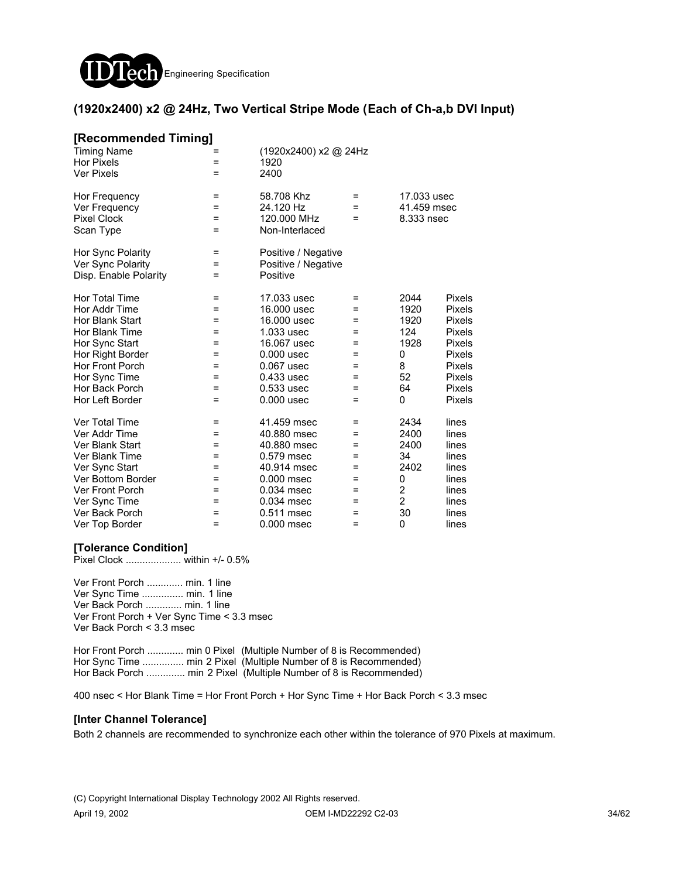

### **(1920x2400) x2 @ 24Hz, Two Vertical Stripe Mode (Each of Ch-a,b DVI Input)**

| [Recommended Timing]   |     |                       |     |                |               |
|------------------------|-----|-----------------------|-----|----------------|---------------|
| <b>Timing Name</b>     |     | (1920x2400) x2 @ 24Hz |     |                |               |
| <b>Hor Pixels</b>      | =   | 1920                  |     |                |               |
| Ver Pixels             | =   | 2400                  |     |                |               |
| Hor Frequency          | =   | 58.708 Khz            | =   | 17.033 usec    |               |
| Ver Frequency          | =   | 24.120 Hz             | $=$ | 41.459 msec    |               |
| <b>Pixel Clock</b>     | =   | 120,000 MHz           | =   | 8.333 nsec     |               |
| Scan Type              | $=$ | Non-Interlaced        |     |                |               |
| Hor Sync Polarity      | Ξ   | Positive / Negative   |     |                |               |
| Ver Sync Polarity      | =   | Positive / Negative   |     |                |               |
| Disp. Enable Polarity  | Ξ   | Positive              |     |                |               |
| Hor Total Time         | =   | 17.033 usec           | =   | 2044           | Pixels        |
| Hor Addr Time          | =   | 16,000 usec           | =   | 1920           | Pixels        |
| Hor Blank Start        | =   | 16,000 usec           | =   | 1920           | <b>Pixels</b> |
| Hor Blank Time         | =   | 1.033 usec            | =   | 124            | Pixels        |
| Hor Sync Start         | =   | 16.067 usec           | =   | 1928           | Pixels        |
| Hor Right Border       | =   | $0.000$ usec          | $=$ | 0              | <b>Pixels</b> |
| Hor Front Porch        | =   | 0.067 usec            | =   | 8              | <b>Pixels</b> |
| Hor Sync Time          | =   | 0.433 usec            | =   | 52             | <b>Pixels</b> |
| Hor Back Porch         | =   | 0.533 usec            | =   | 64             | <b>Pixels</b> |
| Hor Left Border        | $=$ | $0.000$ usec          | $=$ | 0              | <b>Pixels</b> |
| Ver Total Time         | =   | 41.459 msec           | =   | 2434           | lines         |
| Ver Addr Time          | $=$ | 40.880 msec           | $=$ | 2400           | lines         |
| Ver Blank Start        | $=$ | 40.880 msec           | =   | 2400           | lines         |
| Ver Blank Time         | $=$ | 0.579 msec            | =   | 34             | lines         |
| Ver Sync Start         | =   | 40.914 msec           | =   | 2402           | lines         |
| Ver Bottom Border      | =   | $0.000$ msec          | =   | 0              | lines         |
| <b>Ver Front Porch</b> | =   | 0.034 msec            | =   | 2              | lines         |
| Ver Sync Time          | =   | 0.034 msec            | =   | $\overline{2}$ | lines         |
| Ver Back Porch         | =   | 0.511 msec            | $=$ | 30             | lines         |
| Ver Top Border         | $=$ | 0.000 msec            | $=$ | 0              | lines         |

### **[Tolerance Condition]**

Pixel Clock .................... within +/- 0.5%

Ver Front Porch ............. min. 1 line Ver Sync Time ............... min. 1 line Ver Back Porch ............. min. 1 line Ver Front Porch + Ver Sync Time < 3.3 msec Ver Back Porch < 3.3 msec

Hor Front Porch ............. min 0 Pixel (Multiple Number of 8 is Recommended) Hor Sync Time ............... min 2 Pixel (Multiple Number of 8 is Recommended) Hor Back Porch .............. min 2 Pixel (Multiple Number of 8 is Recommended)

400 nsec < Hor Blank Time = Hor Front Porch + Hor Sync Time + Hor Back Porch < 3.3 msec

#### **[Inter Channel Tolerance]**

Both 2 channels are recommended to synchronize each other within the tolerance of 970 Pixels at maximum.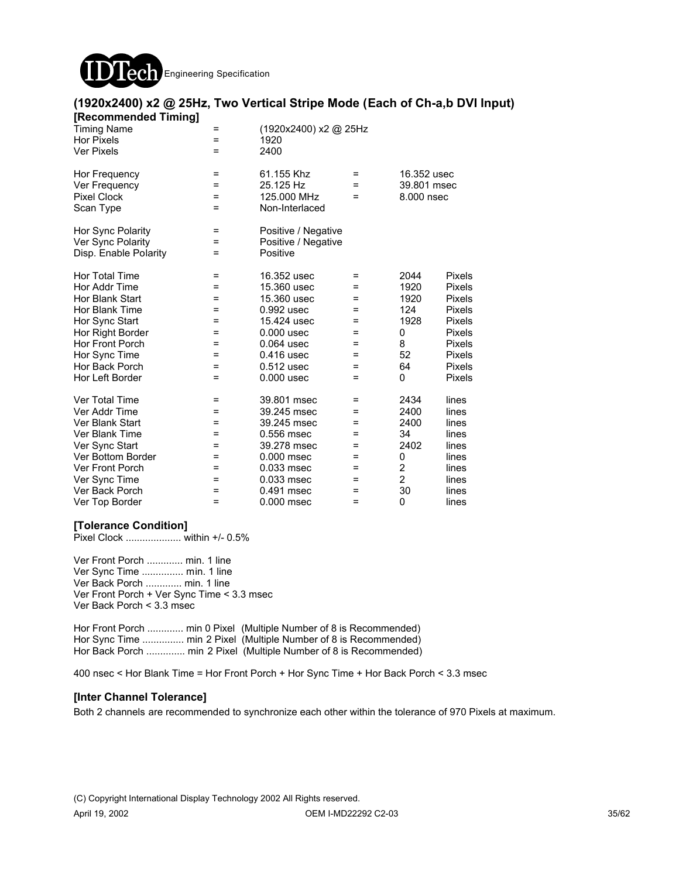

| [Recommended Timing]<br><b>Timing Name</b><br><b>Hor Pixels</b><br><b>Ver Pixels</b>                                                                                                | =<br>=<br>$=$                                      | (1920x2400) x2 @ 25Hz<br>1920<br>2400                                                                                                              |                                                  |                                                                           |                                                                                                                                                          |
|-------------------------------------------------------------------------------------------------------------------------------------------------------------------------------------|----------------------------------------------------|----------------------------------------------------------------------------------------------------------------------------------------------------|--------------------------------------------------|---------------------------------------------------------------------------|----------------------------------------------------------------------------------------------------------------------------------------------------------|
| Hor Frequency<br>Ver Frequency<br><b>Pixel Clock</b><br>Scan Type                                                                                                                   | $=$<br>$=$<br>$=$<br>$=$                           | 61.155 Khz<br>25.125 Hz<br>125,000 MHz<br>Non-Interlaced                                                                                           | $=$<br>$=$<br>=                                  | 16.352 usec<br>39.801 msec<br>8.000 nsec                                  |                                                                                                                                                          |
| Hor Sync Polarity<br>Ver Sync Polarity<br>Disp. Enable Polarity                                                                                                                     | $\equiv$<br>=<br>Ξ                                 | Positive / Negative<br>Positive / Negative<br>Positive                                                                                             |                                                  |                                                                           |                                                                                                                                                          |
| Hor Total Time<br>Hor Addr Time<br>Hor Blank Start<br>Hor Blank Time<br>Hor Sync Start<br>Hor Right Border<br>Hor Front Porch<br>Hor Sync Time<br>Hor Back Porch<br>Hor Left Border | =<br>=<br>=<br>=<br>=<br>=<br>=<br>=<br>=<br>$=$   | 16.352 usec<br>15.360 usec<br>15.360 usec<br>0.992 usec<br>15.424 usec<br>$0.000$ usec<br>0.064 usec<br>0.416 usec<br>$0.512$ usec<br>$0.000$ usec | =<br>=<br>=<br>=<br>=<br>=<br>=<br>=<br>=<br>$=$ | 2044<br>1920<br>1920<br>124<br>1928<br>0<br>8<br>52<br>64<br>0            | <b>Pixels</b><br>Pixels<br><b>Pixels</b><br><b>Pixels</b><br>Pixels<br><b>Pixels</b><br><b>Pixels</b><br><b>Pixels</b><br><b>Pixels</b><br><b>Pixels</b> |
| Ver Total Time<br>Ver Addr Time<br>Ver Blank Start<br>Ver Blank Time<br>Ver Sync Start<br>Ver Bottom Border<br>Ver Front Porch<br>Ver Sync Time<br>Ver Back Porch<br>Ver Top Border | =<br>=<br>$=$<br>Ξ<br>$=$<br>=<br>=<br>=<br>=<br>= | 39.801 msec<br>39.245 msec<br>39.245 msec<br>0.556 msec<br>39.278 msec<br>0.000 msec<br>0.033 msec<br>0.033 msec<br>0.491 msec<br>$0.000$ msec     | Ξ<br>=<br>$=$<br>Ξ<br>=<br>=<br>=<br>=<br>=<br>= | 2434<br>2400<br>2400<br>34<br>2402<br>0<br>2<br>$\overline{2}$<br>30<br>0 | lines<br>lines<br>lines<br>lines<br>lines<br>lines<br>lines<br>lines<br>lines<br>lines                                                                   |

# **(1920x2400) x2 @ 25Hz, Two Vertical Stripe Mode (Each of Ch-a,b DVI Input)**

### **[Tolerance Condition]**

Pixel Clock .................... within +/- 0.5%

Ver Front Porch ............. min. 1 line Ver Sync Time ............... min. 1 line Ver Back Porch ............. min. 1 line Ver Front Porch + Ver Sync Time < 3.3 msec Ver Back Porch < 3.3 msec

Hor Front Porch ............. min 0 Pixel (Multiple Number of 8 is Recommended) Hor Sync Time ............... min 2 Pixel (Multiple Number of 8 is Recommended) Hor Back Porch ............... min 2 Pixel (Multiple Number of 8 is Recommended)

400 nsec < Hor Blank Time = Hor Front Porch + Hor Sync Time + Hor Back Porch < 3.3 msec

### **[Inter Channel Tolerance]**

Both 2 channels are recommended to synchronize each other within the tolerance of 970 Pixels at maximum.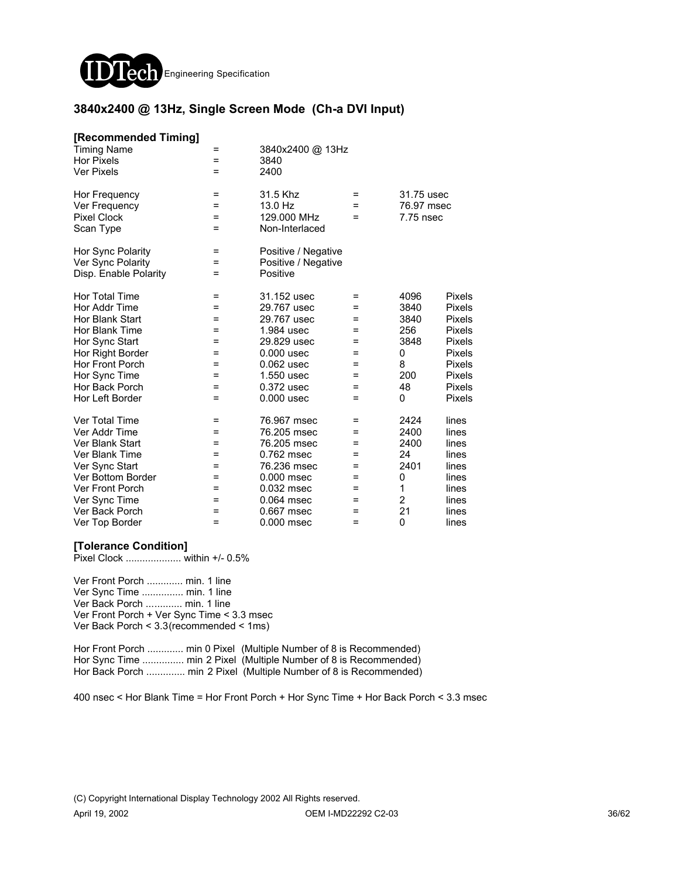

### **3840x2400 @ 13Hz, Single Screen Mode (Ch-a DVI Input)**

| [Recommended Timing]<br><b>Timing Name</b><br><b>Hor Pixels</b><br><b>Ver Pixels</b>                                                                                                              | =<br>$=$<br>=                                      | 3840x2400 @ 13Hz<br>3840<br>2400                                                                                                                 |                                                      |                                                                           |                                                                                                  |
|---------------------------------------------------------------------------------------------------------------------------------------------------------------------------------------------------|----------------------------------------------------|--------------------------------------------------------------------------------------------------------------------------------------------------|------------------------------------------------------|---------------------------------------------------------------------------|--------------------------------------------------------------------------------------------------|
| Hor Frequency<br>Ver Frequency<br><b>Pixel Clock</b><br>Scan Type                                                                                                                                 | Ξ<br>=<br>=<br>$=$                                 | 31.5 Khz<br>13.0 Hz<br>129.000 MHz<br>Non-Interlaced                                                                                             | $=$<br>=<br>=                                        | 31.75 usec<br>76.97 msec<br>7.75 nsec                                     |                                                                                                  |
| Hor Sync Polarity<br>Ver Sync Polarity<br>Disp. Enable Polarity                                                                                                                                   | Ξ<br>=<br>=                                        | Positive / Negative<br>Positive / Negative<br>Positive                                                                                           |                                                      |                                                                           |                                                                                                  |
| <b>Hor Total Time</b><br>Hor Addr Time<br>Hor Blank Start<br>Hor Blank Time<br>Hor Sync Start<br>Hor Right Border<br><b>Hor Front Porch</b><br>Hor Sync Time<br>Hor Back Porch<br>Hor Left Border | =<br>=<br>=<br>=<br>Ξ<br>=<br>$=$<br>$=$<br>=<br>= | 31.152 usec<br>29.767 usec<br>29.767 usec<br>1.984 usec<br>29.829 usec<br>$0.000$ usec<br>0.062 usec<br>1.550 usec<br>0.372 usec<br>$0.000$ usec | =<br>=<br>=<br>=<br>Ξ<br>=<br>$=$<br>$=$<br>=<br>$=$ | 4096<br>3840<br>3840<br>256<br>3848<br>0<br>8<br>200<br>48<br>0           | Pixels<br>Pixels<br>Pixels<br>Pixels<br>Pixels<br>Pixels<br>Pixels<br>Pixels<br>Pixels<br>Pixels |
| <b>Ver Total Time</b><br>Ver Addr Time<br>Ver Blank Start<br>Ver Blank Time<br>Ver Sync Start<br>Ver Bottom Border<br><b>Ver Front Porch</b><br>Ver Sync Time<br>Ver Back Porch<br>Ver Top Border | Ξ<br>=<br>=<br>=<br>=<br>=<br>=<br>=<br>=<br>=     | 76.967 msec<br>76.205 msec<br>76.205 msec<br>0.762 msec<br>76.236 msec<br>$0.000$ msec<br>0.032 msec<br>0.064 msec<br>0.667 msec<br>0.000 msec   | =<br>=<br>=<br>=<br>=<br>=<br>=<br>=<br>$=$<br>=     | 2424<br>2400<br>2400<br>24<br>2401<br>0<br>1<br>$\overline{2}$<br>21<br>0 | lines<br>lines<br>lines<br>lines<br>lines<br>lines<br>lines<br>lines<br>lines<br>lines           |

#### **[Tolerance Condition]**

Pixel Clock .................... within +/- 0.5%

Ver Front Porch ............. min. 1 line Ver Sync Time ............... min. 1 line Ver Back Porch ............. min. 1 line Ver Front Porch + Ver Sync Time < 3.3 msec Ver Back Porch < 3.3(recommended < 1ms)

Hor Front Porch ............. min 0 Pixel (Multiple Number of 8 is Recommended) Hor Sync Time ................ min 2 Pixel (Multiple Number of 8 is Recommended) Hor Back Porch ............... min 2 Pixel (Multiple Number of 8 is Recommended)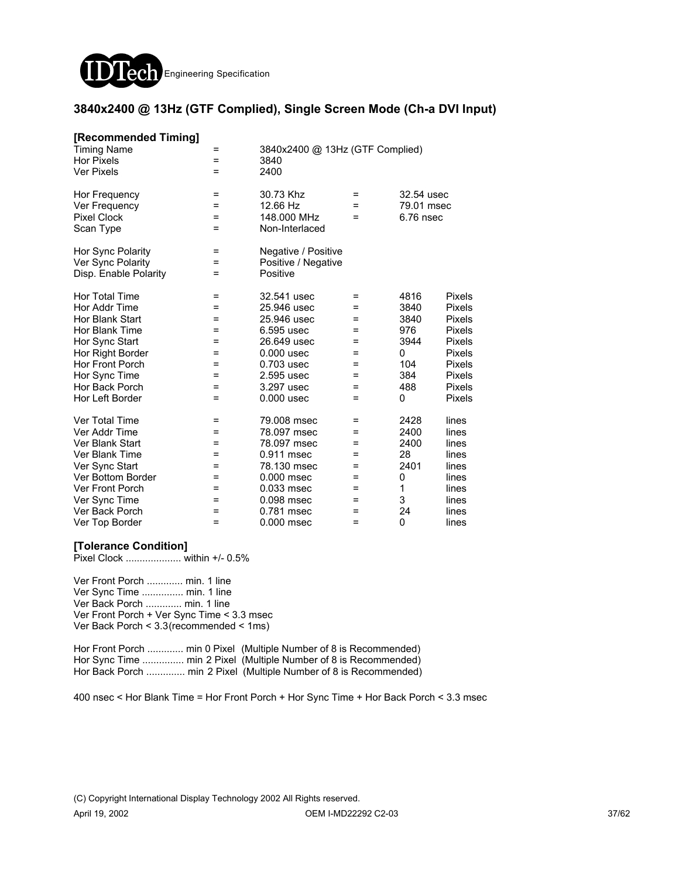

### **3840x2400 @ 13Hz (GTF Complied), Single Screen Mode (Ch-a DVI Input)**

| [Recommended Timing]   |          |                                 |   |             |        |
|------------------------|----------|---------------------------------|---|-------------|--------|
| <b>Timing Name</b>     | =        | 3840x2400 @ 13Hz (GTF Complied) |   |             |        |
| <b>Hor Pixels</b>      | =        | 3840                            |   |             |        |
| <b>Ver Pixels</b>      | =        | 2400                            |   |             |        |
| Hor Frequency          | =        | 30.73 Khz                       | = | 32.54 usec  |        |
| Ver Frequency          | =        | 12.66 Hz                        | = | 79.01 msec  |        |
| <b>Pixel Clock</b>     | =        | 148,000 MHz                     | = | $6.76$ nsec |        |
| Scan Type              | $=$      | Non-Interlaced                  |   |             |        |
| Hor Sync Polarity      | =        | Negative / Positive             |   |             |        |
| Ver Sync Polarity      | =        | Positive / Negative             |   |             |        |
| Disp. Enable Polarity  | Ξ        | Positive                        |   |             |        |
| Hor Total Time         | $\equiv$ | 32.541 usec                     | Ξ | 4816        | Pixels |
| Hor Addr Time          | =        | 25.946 usec                     | = | 3840        | Pixels |
| Hor Blank Start        | =        | 25.946 usec                     | = | 3840        | Pixels |
| Hor Blank Time         | =        | 6.595 usec                      | = | 976         | Pixels |
| Hor Sync Start         | =        | 26.649 usec                     | = | 3944        | Pixels |
| Hor Right Border       | =        | $0.000$ usec                    | = | 0           | Pixels |
| Hor Front Porch        | =        | 0.703 usec                      | = | 104         | Pixels |
| Hor Sync Time          | $=$      | 2.595 usec                      | = | 384         | Pixels |
| Hor Back Porch         | $=$      | 3.297 usec                      | Ξ | 488         | Pixels |
| Hor Left Border        | Ξ        | $0.000$ usec                    | Ξ | 0           | Pixels |
| <b>Ver Total Time</b>  | =        | 79.008 msec                     | = | 2428        | lines  |
| Ver Addr Time          | =        | 78.097 msec                     | = | 2400        | lines  |
| Ver Blank Start        | =        | 78.097 msec                     | = | 2400        | lines  |
| Ver Blank Time         | =        | 0.911 msec                      | = | 28          | lines  |
| Ver Sync Start         | $=$      | 78.130 msec                     | = | 2401        | lines  |
| Ver Bottom Border      | =        | $0.000$ msec                    | = | 0           | lines  |
| <b>Ver Front Porch</b> | =        | 0.033 msec                      | = | 1           | lines  |
| Ver Sync Time          | =        | 0.098 msec                      | = | 3           | lines  |
| Ver Back Porch         | =        | 0.781 msec                      | = | 24          | lines  |
| Ver Top Border         | Ξ        | $0.000$ msec                    | Ξ | 0           | lines  |
|                        |          |                                 |   |             |        |

#### **[Tolerance Condition]**

Pixel Clock .................... within +/- 0.5%

Ver Front Porch ............. min. 1 line Ver Sync Time ............... min. 1 line Ver Back Porch ............. min. 1 line Ver Front Porch + Ver Sync Time < 3.3 msec Ver Back Porch < 3.3(recommended < 1ms)

Hor Front Porch .............. min 0 Pixel (Multiple Number of 8 is Recommended) Hor Sync Time ................ min 2 Pixel (Multiple Number of 8 is Recommended) Hor Back Porch .............. min 2 Pixel (Multiple Number of 8 is Recommended)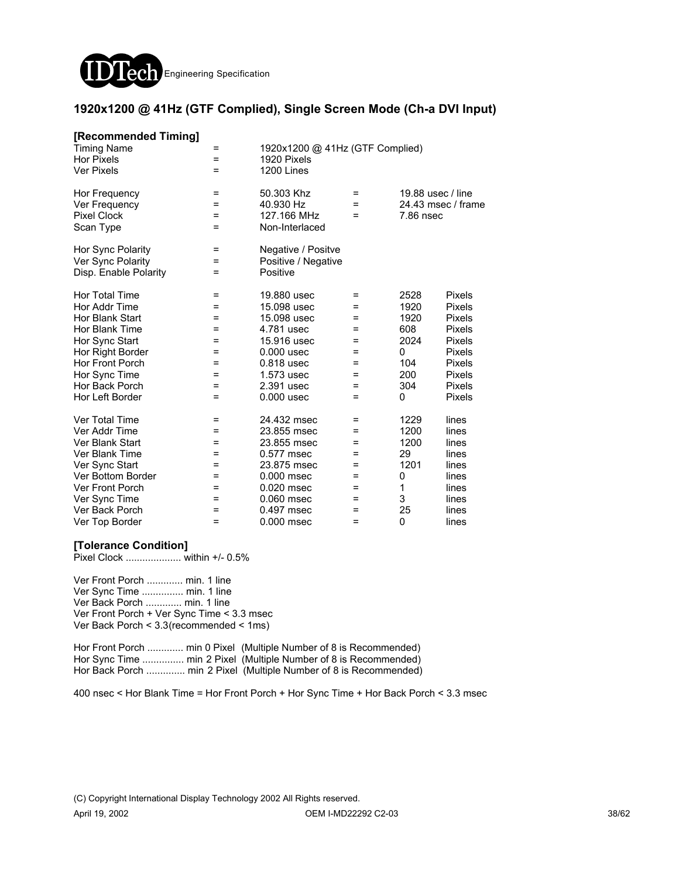

### **1920x1200 @ 41Hz (GTF Complied), Single Screen Mode (Ch-a DVI Input)**

| [Recommended Timing]<br><b>Timing Name</b><br><b>Hor Pixels</b><br><b>Ver Pixels</b>                                                                                                | =<br>=<br>$=$                                            | 1920x1200 @ 41Hz (GTF Complied)<br>1920 Pixels<br>1200 Lines                                                                                       |                                                              |                                                                    |                                                                                                                                                   |
|-------------------------------------------------------------------------------------------------------------------------------------------------------------------------------------|----------------------------------------------------------|----------------------------------------------------------------------------------------------------------------------------------------------------|--------------------------------------------------------------|--------------------------------------------------------------------|---------------------------------------------------------------------------------------------------------------------------------------------------|
| Hor Frequency<br>Ver Frequency<br><b>Pixel Clock</b><br>Scan Type                                                                                                                   | =<br>$=$<br>$=$<br>$=$                                   | 50.303 Khz<br>40.930 Hz<br>127.166 MHz<br>Non-Interlaced                                                                                           | $=$<br>$=$<br>$=$                                            | 19.88 usec / line<br>24.43 msec / frame<br>7.86 nsec               |                                                                                                                                                   |
| Hor Sync Polarity<br>Ver Sync Polarity<br>Disp. Enable Polarity                                                                                                                     | Ξ<br>=<br>=                                              | Negative / Positve<br>Positive / Negative<br>Positive                                                                                              |                                                              |                                                                    |                                                                                                                                                   |
| Hor Total Time<br>Hor Addr Time<br>Hor Blank Start<br>Hor Blank Time<br>Hor Sync Start<br>Hor Right Border<br>Hor Front Porch<br>Hor Sync Time<br>Hor Back Porch<br>Hor Left Border | $=$<br>=<br>=<br>$=$<br>Ξ<br>=<br>=<br>$=$<br>$=$<br>$=$ | 19,880 usec<br>15.098 usec<br>15.098 usec<br>4.781 usec<br>15.916 usec<br>$0.000$ usec<br>0.818 usec<br>1.573 usec<br>2.391 usec<br>$0.000$ usec   | $=$<br>=<br>=<br>$=$<br>=<br>$=$<br>=<br>$=$<br>$=$<br>$=$   | 2528<br>1920<br>1920<br>608<br>2024<br>0<br>104<br>200<br>304<br>0 | Pixels<br>Pixels<br><b>Pixels</b><br><b>Pixels</b><br><b>Pixels</b><br><b>Pixels</b><br><b>Pixels</b><br><b>Pixels</b><br>Pixels<br><b>Pixels</b> |
| Ver Total Time<br>Ver Addr Time<br>Ver Blank Start<br>Ver Blank Time<br>Ver Sync Start<br>Ver Bottom Border<br>Ver Front Porch<br>Ver Sync Time<br>Ver Back Porch<br>Ver Top Border | $=$<br>Ξ<br>=<br>=<br>$=$<br>=<br>=<br>=<br>=<br>=       | 24.432 msec<br>23.855 msec<br>23.855 msec<br>0.577 msec<br>23.875 msec<br>$0.000$ msec<br>$0.020$ msec<br>0.060 msec<br>0.497 msec<br>$0.000$ msec | $=$<br>$=$<br>$=$<br>=<br>$=$<br>$=$<br>$=$<br>$=$<br>=<br>= | 1229<br>1200<br>1200<br>29<br>1201<br>0<br>1<br>3<br>25<br>0       | lines<br>lines<br>lines<br>lines<br>lines<br>lines<br>lines<br>lines<br>lines<br>lines                                                            |

### **[Tolerance Condition]**

Pixel Clock .................... within +/- 0.5%

Ver Front Porch ............. min. 1 line Ver Sync Time ............... min. 1 line Ver Back Porch ............. min. 1 line Ver Front Porch + Ver Sync Time < 3.3 msec Ver Back Porch < 3.3(recommended < 1ms)

Hor Front Porch ............. min 0 Pixel (Multiple Number of 8 is Recommended) Hor Sync Time ................ min 2 Pixel (Multiple Number of 8 is Recommended) Hor Back Porch .............. min 2 Pixel (Multiple Number of 8 is Recommended)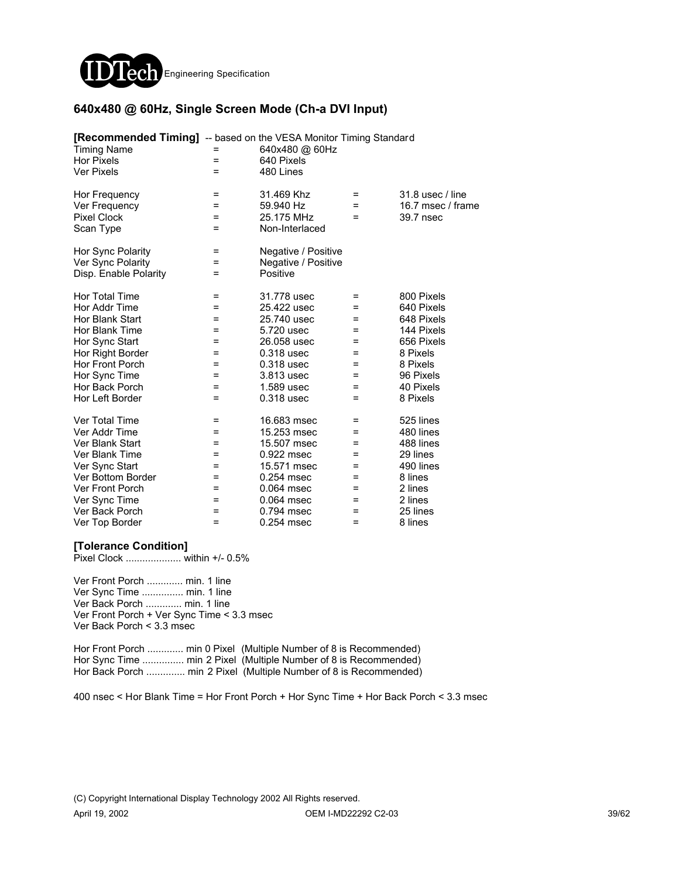

### **640x480 @ 60Hz, Single Screen Mode (Ch-a DVI Input)**

| [Recommended Timing] -- based on the VESA Monitor Timing Standard |          |                     |     |                   |
|-------------------------------------------------------------------|----------|---------------------|-----|-------------------|
| <b>Timing Name</b>                                                |          | 640x480 @ 60Hz      |     |                   |
| <b>Hor Pixels</b>                                                 | $=$      | 640 Pixels          |     |                   |
| <b>Ver Pixels</b>                                                 | $=$      | 480 Lines           |     |                   |
| Hor Frequency                                                     | Ξ        | 31.469 Khz          | $=$ | 31.8 usec / line  |
| Ver Frequency                                                     | Ξ        | 59.940 Hz           | =   | 16.7 msec / frame |
| <b>Pixel Clock</b>                                                | =        | 25.175 MHz          | =   | 39.7 nsec         |
| Scan Type                                                         | =        | Non-Interlaced      |     |                   |
| Hor Sync Polarity                                                 | =        | Negative / Positive |     |                   |
| Ver Sync Polarity                                                 | =        | Negative / Positive |     |                   |
| Disp. Enable Polarity                                             | Ξ        | Positive            |     |                   |
| Hor Total Time                                                    | $\equiv$ | 31.778 usec         | Ξ   | 800 Pixels        |
| Hor Addr Time                                                     | =        | 25.422 usec         | =   | 640 Pixels        |
| Hor Blank Start                                                   | =        | 25.740 usec         | =   | 648 Pixels        |
| Hor Blank Time                                                    | =        | 5.720 usec          | =   | 144 Pixels        |
| Hor Sync Start                                                    | =        | 26.058 usec         | =   | 656 Pixels        |
| Hor Right Border                                                  | =        | 0.318 usec          | =   | 8 Pixels          |
| Hor Front Porch                                                   | $=$      | 0.318 usec          | $=$ | 8 Pixels          |
| Hor Sync Time                                                     | Ξ        | 3.813 usec          | $=$ | 96 Pixels         |
| Hor Back Porch                                                    | =        | 1.589 usec          | =   | 40 Pixels         |
| Hor Left Border                                                   | =        | 0.318 usec          | =   | 8 Pixels          |
| Ver Total Time                                                    | =        | 16.683 msec         | =   | 525 lines         |
| Ver Addr Time                                                     | $=$      | 15.253 msec         | =   | 480 lines         |
| Ver Blank Start                                                   | Ξ        | 15.507 msec         | =   | 488 lines         |
| Ver Blank Time                                                    | $=$      | 0.922 msec          | $=$ | 29 lines          |
| Ver Sync Start                                                    | $=$      | 15.571 msec         | =   | 490 lines         |
| Ver Bottom Border                                                 | =        | 0.254 msec          | =   | 8 lines           |
| <b>Ver Front Porch</b>                                            | =        | 0.064 msec          | =   | 2 lines           |
| Ver Sync Time                                                     | =        | 0.064 msec          | =   | 2 lines           |
| Ver Back Porch                                                    | =        | 0.794 msec          | =   | 25 lines          |
| Ver Top Border                                                    | =        | 0.254 msec          | =   | 8 lines           |

#### **[Tolerance Condition]**

Pixel Clock .................... within +/- 0.5%

Ver Front Porch ............. min. 1 line Ver Sync Time ............... min. 1 line Ver Back Porch ............. min. 1 line Ver Front Porch + Ver Sync Time < 3.3 msec Ver Back Porch < 3.3 msec

Hor Front Porch ............. min 0 Pixel (Multiple Number of 8 is Recommended) Hor Sync Time ................ min 2 Pixel (Multiple Number of 8 is Recommended) Hor Back Porch .............. min 2 Pixel (Multiple Number of 8 is Recommended)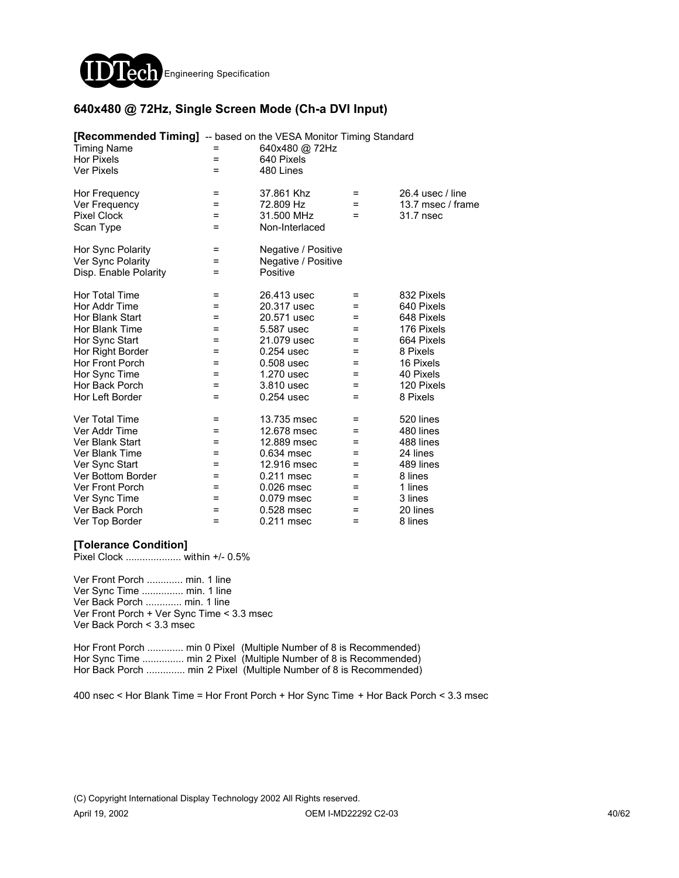

### **640x480 @ 72Hz, Single Screen Mode (Ch-a DVI Input)**

| <b>[Recommended Timing]</b> -- based on the VESA Monitor Timing Standard<br><b>Timing Name</b> |     | 640x480 @ 72Hz      |     |                    |
|------------------------------------------------------------------------------------------------|-----|---------------------|-----|--------------------|
| <b>Hor Pixels</b>                                                                              | $=$ | 640 Pixels          |     |                    |
| <b>Ver Pixels</b>                                                                              | $=$ | 480 Lines           |     |                    |
| Hor Frequency                                                                                  | =   | 37.861 Khz          | =   | 26.4 usec $/$ line |
| Ver Frequency                                                                                  | =   | 72.809 Hz           | =   | 13.7 msec / frame  |
| <b>Pixel Clock</b>                                                                             | $=$ | 31.500 MHz          | $=$ | 31.7 nsec          |
| Scan Type                                                                                      | Ξ   | Non-Interlaced      |     |                    |
| Hor Sync Polarity                                                                              | Ξ   | Negative / Positive |     |                    |
| Ver Sync Polarity                                                                              | =   | Negative / Positive |     |                    |
| Disp. Enable Polarity                                                                          | =   | Positive            |     |                    |
| Hor Total Time                                                                                 | =   | 26.413 usec         | =   | 832 Pixels         |
| Hor Addr Time                                                                                  | $=$ | 20.317 usec         | $=$ | 640 Pixels         |
| Hor Blank Start                                                                                | =   | 20.571 usec         | =   | 648 Pixels         |
| Hor Blank Time                                                                                 | =   | 5.587 usec          | =   | 176 Pixels         |
| Hor Sync Start                                                                                 | =   | 21.079 usec         | =   | 664 Pixels         |
| Hor Right Border                                                                               | Ξ   | 0.254 usec          | $=$ | 8 Pixels           |
| Hor Front Porch                                                                                | Ξ   | 0.508 usec          | $=$ | 16 Pixels          |
| Hor Sync Time                                                                                  | $=$ | 1.270 usec          | $=$ | 40 Pixels          |
| Hor Back Porch                                                                                 | =   | 3.810 usec          | =   | 120 Pixels         |
| Hor Left Border                                                                                | $=$ | 0.254 usec          | $=$ | 8 Pixels           |
| Ver Total Time                                                                                 | =   | 13.735 msec         | =   | 520 lines          |
| Ver Addr Time                                                                                  | $=$ | 12.678 msec         | =   | 480 lines          |
| Ver Blank Start                                                                                | $=$ | 12.889 msec         | =   | 488 lines          |
| Ver Blank Time                                                                                 | =   | 0.634 msec          | =   | 24 lines           |
| Ver Sync Start                                                                                 | =   | 12.916 msec         | =   | 489 lines          |
| Ver Bottom Border                                                                              | =   | 0.211 msec          | =   | 8 lines            |
| <b>Ver Front Porch</b>                                                                         | =   | 0.026 msec          | =   | 1 lines            |
| Ver Sync Time                                                                                  | =   | 0.079 msec          | =   | 3 lines            |
| Ver Back Porch                                                                                 | =   | 0.528 msec          | =   | 20 lines           |
| Ver Top Border                                                                                 | =   | 0.211 msec          | =   | 8 lines            |

### **[Tolerance Condition]**

Pixel Clock .................... within +/- 0.5%

Ver Front Porch ............. min. 1 line Ver Sync Time ............... min. 1 line Ver Back Porch ............. min. 1 line Ver Front Porch + Ver Sync Time < 3.3 msec Ver Back Porch < 3.3 msec

Hor Front Porch ............. min 0 Pixel (Multiple Number of 8 is Recommended) Hor Sync Time ............... min 2 Pixel (Multiple Number of 8 is Recommended) Hor Back Porch .............. min 2 Pixel (Multiple Number of 8 is Recommended)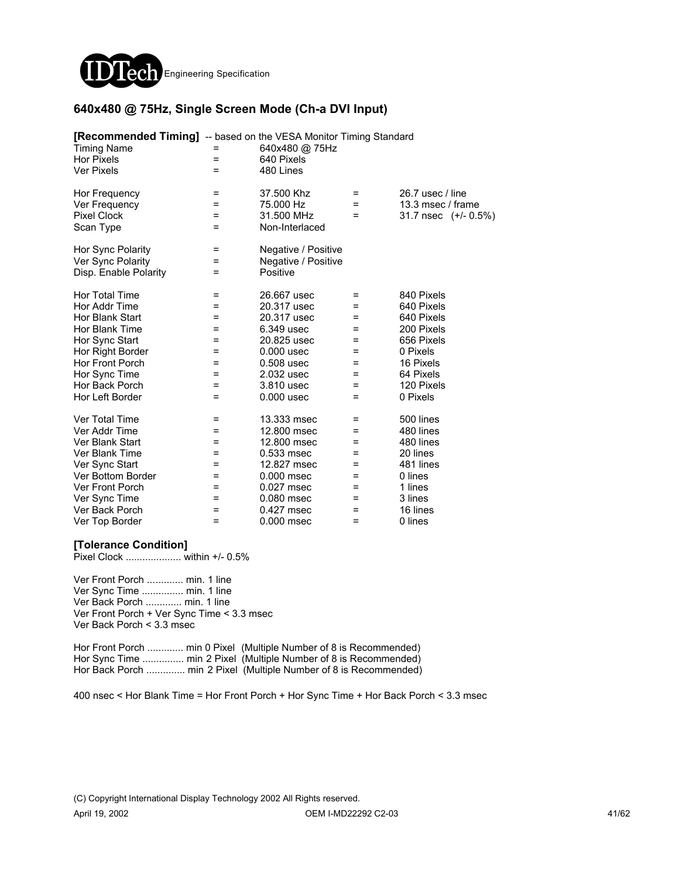

### **640x480 @ 75Hz, Single Screen Mode (Ch-a DVI Input)**

| <b>[Recommended Timing]</b> -- based on the VESA Monitor Timing Standard<br><b>Timing Name</b><br><b>Hor Pixels</b><br><b>Ver Pixels</b> | $=$<br>= | 640x480 @ 75Hz<br>640 Pixels<br>480 Lines |     |                      |
|------------------------------------------------------------------------------------------------------------------------------------------|----------|-------------------------------------------|-----|----------------------|
| Hor Frequency                                                                                                                            | $=$      | 37.500 Khz                                | =   | 26.7 usec / line     |
| Ver Frequency                                                                                                                            | $=$      | 75.000 Hz                                 | $=$ | 13.3 msec / frame    |
| <b>Pixel Clock</b>                                                                                                                       | $=$      | 31.500 MHz                                | =   | 31.7 nsec (+/- 0.5%) |
| Scan Type                                                                                                                                | $=$      | Non-Interlaced                            |     |                      |
| Hor Sync Polarity                                                                                                                        | $=$      | Negative / Positive                       |     |                      |
| Ver Sync Polarity                                                                                                                        | $=$      | Negative / Positive                       |     |                      |
| Disp. Enable Polarity                                                                                                                    | $=$      | Positive                                  |     |                      |
| Hor Total Time                                                                                                                           | $=$      | 26.667 usec                               | $=$ | 840 Pixels           |
| Hor Addr Time                                                                                                                            | $=$      | 20.317 usec                               | =   | 640 Pixels           |
| Hor Blank Start                                                                                                                          | Ξ        | 20.317 usec                               | =   | 640 Pixels           |
| Hor Blank Time                                                                                                                           | $=$      | 6.349 usec                                | =   | 200 Pixels           |
| Hor Sync Start                                                                                                                           | $=$      | 20.825 usec                               | =   | 656 Pixels           |
| Hor Right Border                                                                                                                         | $=$      | $0.000$ usec                              | $=$ | 0 Pixels             |
| Hor Front Porch                                                                                                                          | $=$      | 0.508 usec                                | =   | 16 Pixels            |
| Hor Sync Time                                                                                                                            | $=$      | 2.032 usec                                | =   | 64 Pixels            |
| Hor Back Porch                                                                                                                           | $=$      | 3.810 usec                                | =   | 120 Pixels           |
| Hor Left Border                                                                                                                          | =        | $0.000$ usec                              | $=$ | 0 Pixels             |
| Ver Total Time                                                                                                                           | =        | 13.333 msec                               | =   | 500 lines            |
| Ver Addr Time                                                                                                                            | $=$      | 12.800 msec                               | $=$ | 480 lines            |
| Ver Blank Start                                                                                                                          | $=$      | 12,800 msec                               | =   | 480 lines            |
| Ver Blank Time                                                                                                                           | $=$      | 0.533 msec                                | =   | 20 lines             |
| Ver Sync Start                                                                                                                           | $=$      | 12.827 msec                               | =   | 481 lines            |
| Ver Bottom Border                                                                                                                        | $=$      | $0.000$ msec                              | =   | 0 lines              |
| <b>Ver Front Porch</b>                                                                                                                   | $=$      | 0.027 msec                                | =   | 1 lines              |
| Ver Sync Time                                                                                                                            | $=$      | 0.080 msec                                | =   | 3 lines              |
| Ver Back Porch                                                                                                                           | $=$      | 0.427 msec                                | =   | 16 lines             |
| Ver Top Border                                                                                                                           | $=$      | $0.000$ msec                              | $=$ | 0 lines              |

### **[Tolerance Condition]**

Pixel Clock .................... within +/- 0.5%

Ver Front Porch ............. min. 1 line Ver Sync Time ............... min. 1 line Ver Back Porch ............. min. 1 line Ver Front Porch + Ver Sync Time < 3.3 msec Ver Back Porch < 3.3 msec

Hor Front Porch ............. min 0 Pixel (Multiple Number of 8 is Recommended) Hor Sync Time ............... min 2 Pixel (Multiple Number of 8 is Recommended) Hor Back Porch .............. min 2 Pixel (Multiple Number of 8 is Recommended)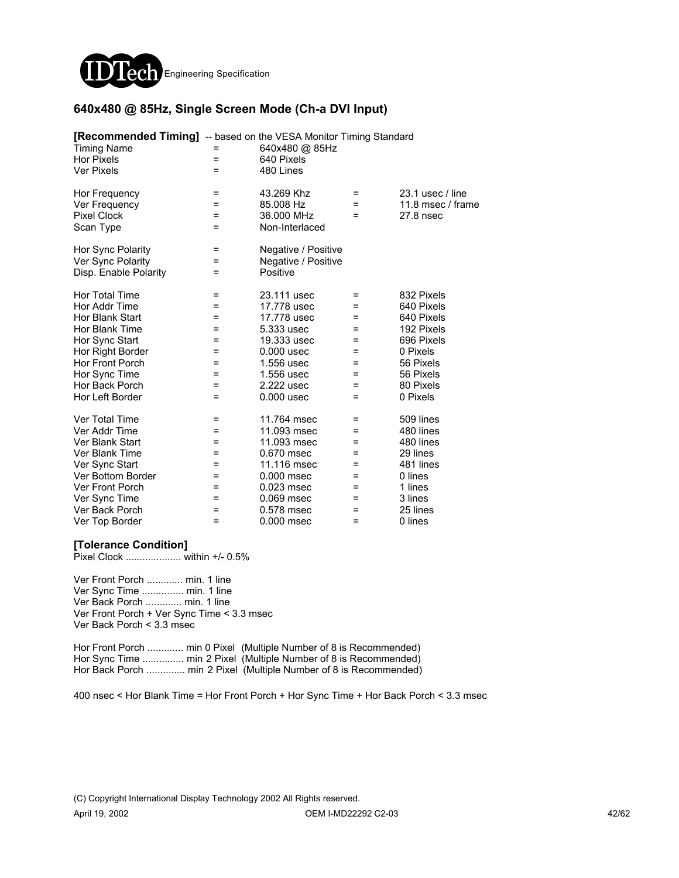

### **640x480 @ 85Hz, Single Screen Mode (Ch-a DVI Input)**

| <b>[Recommended Timing]</b> -- based on the VESA Monitor Timing Standard |     |                     |     |                    |
|--------------------------------------------------------------------------|-----|---------------------|-----|--------------------|
| <b>Timing Name</b>                                                       |     | 640x480 @ 85Hz      |     |                    |
| <b>Hor Pixels</b>                                                        | =   | 640 Pixels          |     |                    |
| <b>Ver Pixels</b>                                                        | =   | 480 Lines           |     |                    |
| Hor Frequency                                                            | $=$ | 43.269 Khz          | $=$ | $23.1$ usec / line |
| Ver Frequency                                                            | =   | 85.008 Hz           | =   | 11.8 msec / frame  |
| <b>Pixel Clock</b>                                                       | $=$ | 36.000 MHz          | $=$ | 27.8 nsec          |
| Scan Type                                                                | $=$ | Non-Interlaced      |     |                    |
| Hor Sync Polarity                                                        | =   | Negative / Positive |     |                    |
| Ver Sync Polarity                                                        | =   | Negative / Positive |     |                    |
| Disp. Enable Polarity                                                    | =   | Positive            |     |                    |
| Hor Total Time                                                           | $=$ | 23.111 usec         | =   | 832 Pixels         |
| Hor Addr Time                                                            | =   | 17.778 usec         | =   | 640 Pixels         |
| Hor Blank Start                                                          | =   | 17.778 usec         | =   | 640 Pixels         |
| Hor Blank Time                                                           | =   | 5.333 usec          | =   | 192 Pixels         |
| Hor Sync Start                                                           | =   | 19.333 usec         | =   | 696 Pixels         |
| Hor Right Border                                                         | =   | $0.000$ usec        | $=$ | 0 Pixels           |
| Hor Front Porch                                                          | =   | 1.556 usec          | =   | 56 Pixels          |
| Hor Sync Time                                                            | =   | 1.556 usec          | =   | 56 Pixels          |
| Hor Back Porch                                                           | =   | 2.222 usec          | =   | 80 Pixels          |
| Hor Left Border                                                          | Ξ   | $0.000$ usec        | $=$ | 0 Pixels           |
| Ver Total Time                                                           | Ξ   | 11.764 msec         | =   | 509 lines          |
| Ver Addr Time                                                            | =   | 11.093 msec         | =   | 480 lines          |
| Ver Blank Start                                                          | $=$ | 11.093 msec         | =   | 480 lines          |
| Ver Blank Time                                                           | $=$ | 0.670 msec          | =   | 29 lines           |
| Ver Sync Start                                                           | $=$ | 11.116 msec         | =   | 481 lines          |
| Ver Bottom Border                                                        | =   | 0.000 msec          | =   | 0 lines            |
| <b>Ver Front Porch</b>                                                   | =   | 0.023 msec          | =   | 1 lines            |
| Ver Sync Time                                                            | =   | 0.069 msec          | =   | 3 lines            |
| Ver Back Porch                                                           | =   | 0.578 msec          | =   | 25 lines           |
| Ver Top Border                                                           | =   | 0.000 msec          | =   | 0 lines            |

### **[Tolerance Condition]**

Pixel Clock .................... within +/- 0.5%

Ver Front Porch ............. min. 1 line Ver Sync Time ............... min. 1 line Ver Back Porch ............. min. 1 line Ver Front Porch + Ver Sync Time < 3.3 msec Ver Back Porch < 3.3 msec

Hor Front Porch ............. min 0 Pixel (Multiple Number of 8 is Recommended) Hor Sync Time ............... min 2 Pixel (Multiple Number of 8 is Recommended) Hor Back Porch .............. min 2 Pixel (Multiple Number of 8 is Recommended)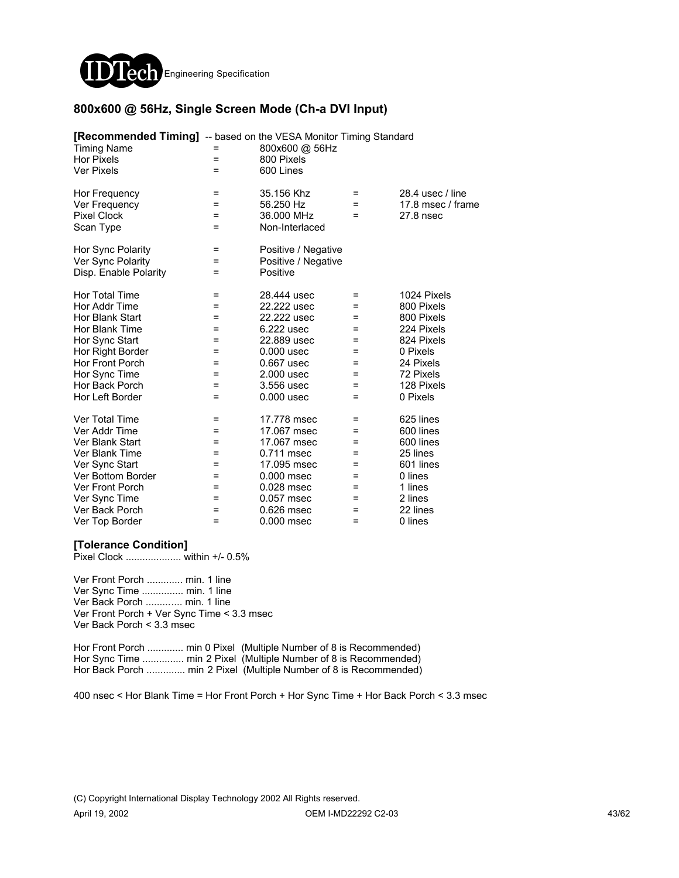

### **800x600 @ 56Hz, Single Screen Mode (Ch-a DVI Input)**

| <b>[Recommended Timing]</b> -- based on the VESA Monitor Timing Standard<br><b>Timing Name</b><br><b>Hor Pixels</b> | $=$      | 800x600 @ 56Hz<br>800 Pixels |     |                   |
|---------------------------------------------------------------------------------------------------------------------|----------|------------------------------|-----|-------------------|
| <b>Ver Pixels</b>                                                                                                   | $=$      | 600 Lines                    |     |                   |
| Hor Frequency                                                                                                       | =        | 35.156 Khz                   | =   | 28.4 usec / line  |
| Ver Frequency                                                                                                       | =        | 56.250 Hz                    | =   | 17.8 msec / frame |
| <b>Pixel Clock</b>                                                                                                  | $=$      | 36,000 MHz                   | $=$ | 27.8 nsec         |
| Scan Type                                                                                                           | $=$      | Non-Interlaced               |     |                   |
| Hor Sync Polarity                                                                                                   | $\equiv$ | Positive / Negative          |     |                   |
| Ver Sync Polarity                                                                                                   | $=$      | Positive / Negative          |     |                   |
| Disp. Enable Polarity                                                                                               | =        | Positive                     |     |                   |
| Hor Total Time                                                                                                      | =        | 28,444 usec                  | =   | 1024 Pixels       |
| Hor Addr Time                                                                                                       | =        | 22.222 usec                  | =   | 800 Pixels        |
| Hor Blank Start                                                                                                     | =        | 22.222 usec                  | =   | 800 Pixels        |
| Hor Blank Time                                                                                                      | =        | 6.222 usec                   | =   | 224 Pixels        |
| Hor Sync Start                                                                                                      | $=$      | 22.889 usec                  | =   | 824 Pixels        |
| Hor Right Border                                                                                                    | =        | $0.000$ usec                 | =   | 0 Pixels          |
| Hor Front Porch                                                                                                     | =        | 0.667 usec                   | =   | 24 Pixels         |
| Hor Sync Time                                                                                                       | =        | 2.000 usec                   | =   | 72 Pixels         |
| Hor Back Porch                                                                                                      | =        | 3.556 usec                   | =   | 128 Pixels        |
| Hor Left Border                                                                                                     | $=$      | $0.000$ usec                 | $=$ | 0 Pixels          |
| Ver Total Time                                                                                                      | =        | 17.778 msec                  | =   | 625 lines         |
| Ver Addr Time                                                                                                       | $=$      | 17.067 msec                  | $=$ | 600 lines         |
| Ver Blank Start                                                                                                     | $=$      | 17.067 msec                  | =   | 600 lines         |
| Ver Blank Time                                                                                                      | =        | 0.711 msec                   | =   | 25 lines          |
| Ver Sync Start                                                                                                      | =        | 17.095 msec                  | =   | 601 lines         |
| Ver Bottom Border                                                                                                   | =        | $0.000$ msec                 | =   | 0 lines           |
| <b>Ver Front Porch</b>                                                                                              | =        | $0.028$ msec                 | =   | 1 lines           |
| Ver Sync Time                                                                                                       | =        | 0.057 msec                   | =   | 2 lines           |
| Ver Back Porch                                                                                                      | =        | 0.626 msec                   | =   | 22 lines          |
| Ver Top Border                                                                                                      | $=$      | 0.000 msec                   | =   | 0 lines           |

### **[Tolerance Condition]**

Pixel Clock .................... within +/- 0.5%

Ver Front Porch ............. min. 1 line Ver Sync Time ............... min. 1 line Ver Back Porch ............. min. 1 line Ver Front Porch + Ver Sync Time < 3.3 msec Ver Back Porch < 3.3 msec

Hor Front Porch ............. min 0 Pixel (Multiple Number of 8 is Recommended) Hor Sync Time ............... min 2 Pixel (Multiple Number of 8 is Recommended) Hor Back Porch .............. min 2 Pixel (Multiple Number of 8 is Recommended)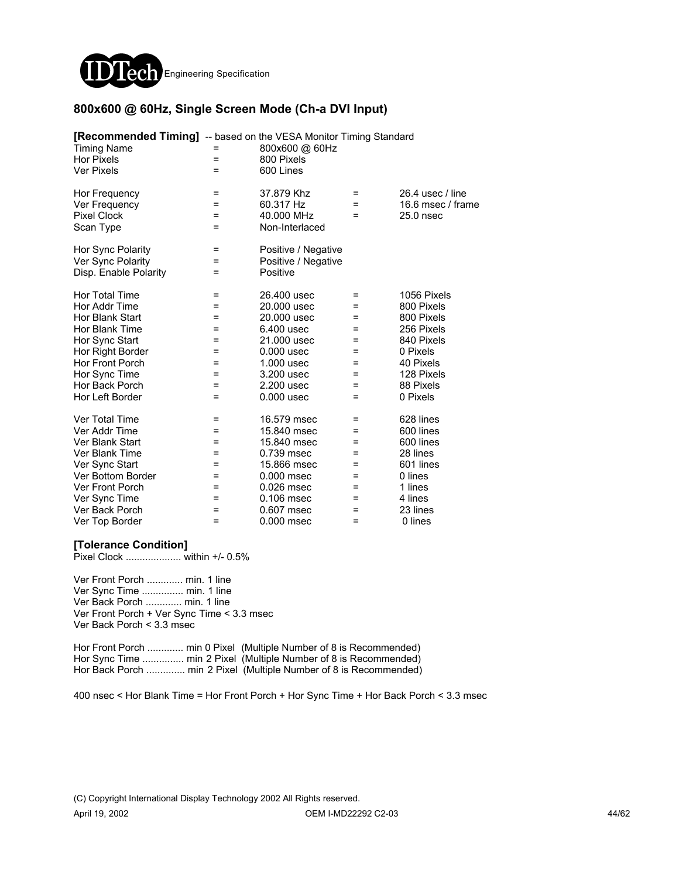

### **800x600 @ 60Hz, Single Screen Mode (Ch-a DVI Input)**

| <b>[Recommended Timing]</b> -- based on the VESA Monitor Timing Standard<br><b>Timing Name</b><br><b>Hor Pixels</b><br><b>Ver Pixels</b> | $=$<br>= | 800x600 @ 60Hz<br>800 Pixels<br>600 Lines |          |                                       |
|------------------------------------------------------------------------------------------------------------------------------------------|----------|-------------------------------------------|----------|---------------------------------------|
| Hor Frequency                                                                                                                            | =<br>=   | 37.879 Khz<br>60.317 Hz                   | =<br>$=$ | 26.4 usec / line<br>16.6 msec / frame |
| Ver Frequency<br><b>Pixel Clock</b>                                                                                                      | $=$      | 40.000 MHz                                | $=$      | $25.0$ nsec                           |
| Scan Type                                                                                                                                | Ξ        | Non-Interlaced                            |          |                                       |
| Hor Sync Polarity                                                                                                                        | Ξ        | Positive / Negative                       |          |                                       |
| Ver Sync Polarity                                                                                                                        | $=$      | Positive / Negative                       |          |                                       |
| Disp. Enable Polarity                                                                                                                    | Ξ        | Positive                                  |          |                                       |
| Hor Total Time                                                                                                                           | =        | 26,400 usec                               | =        | 1056 Pixels                           |
| Hor Addr Time                                                                                                                            | =        | 20.000 usec                               | =        | 800 Pixels                            |
| Hor Blank Start                                                                                                                          | =        | 20.000 usec                               | =        | 800 Pixels                            |
| Hor Blank Time                                                                                                                           | =        | 6.400 usec                                | $=$      | 256 Pixels                            |
| Hor Sync Start                                                                                                                           | =        | 21,000 usec                               | $=$      | 840 Pixels                            |
| Hor Right Border                                                                                                                         | =        | $0.000$ usec                              | $=$      | 0 Pixels                              |
| Hor Front Porch                                                                                                                          | =        | 1.000 usec                                | $=$      | 40 Pixels                             |
| Hor Sync Time                                                                                                                            | =        | 3.200 usec                                | =        | 128 Pixels                            |
| Hor Back Porch                                                                                                                           | =        | 2.200 usec                                | $=$      | 88 Pixels                             |
| Hor Left Border                                                                                                                          | =        | $0.000$ usec                              | =        | 0 Pixels                              |
| Ver Total Time                                                                                                                           | =        | 16.579 msec                               | =        | 628 lines                             |
| Ver Addr Time                                                                                                                            | $=$      | 15.840 msec                               | $=$      | 600 lines                             |
| Ver Blank Start                                                                                                                          | $=$      | 15.840 msec                               | $=$      | 600 lines                             |
| Ver Blank Time                                                                                                                           | =        | 0.739 msec                                | =        | 28 lines                              |
| Ver Sync Start                                                                                                                           | =        | 15.866 msec                               | =        | 601 lines                             |
| Ver Bottom Border                                                                                                                        | =        | $0.000$ msec                              | =        | 0 lines                               |
| <b>Ver Front Porch</b>                                                                                                                   | =        | 0.026 msec                                | =        | 1 lines                               |
| Ver Sync Time                                                                                                                            | =        | 0.106 msec                                | =        | 4 lines                               |
| Ver Back Porch                                                                                                                           | =        | 0.607 msec                                | =        | 23 lines                              |
| Ver Top Border                                                                                                                           | =        | 0.000 msec                                | =        | 0 lines                               |

### **[Tolerance Condition]**

Pixel Clock .................... within +/- 0.5%

Ver Front Porch ............. min. 1 line Ver Sync Time ............... min. 1 line Ver Back Porch ............. min. 1 line Ver Front Porch + Ver Sync Time < 3.3 msec Ver Back Porch < 3.3 msec

Hor Front Porch ............. min 0 Pixel (Multiple Number of 8 is Recommended) Hor Sync Time ............... min 2 Pixel (Multiple Number of 8 is Recommended) Hor Back Porch .............. min 2 Pixel (Multiple Number of 8 is Recommended)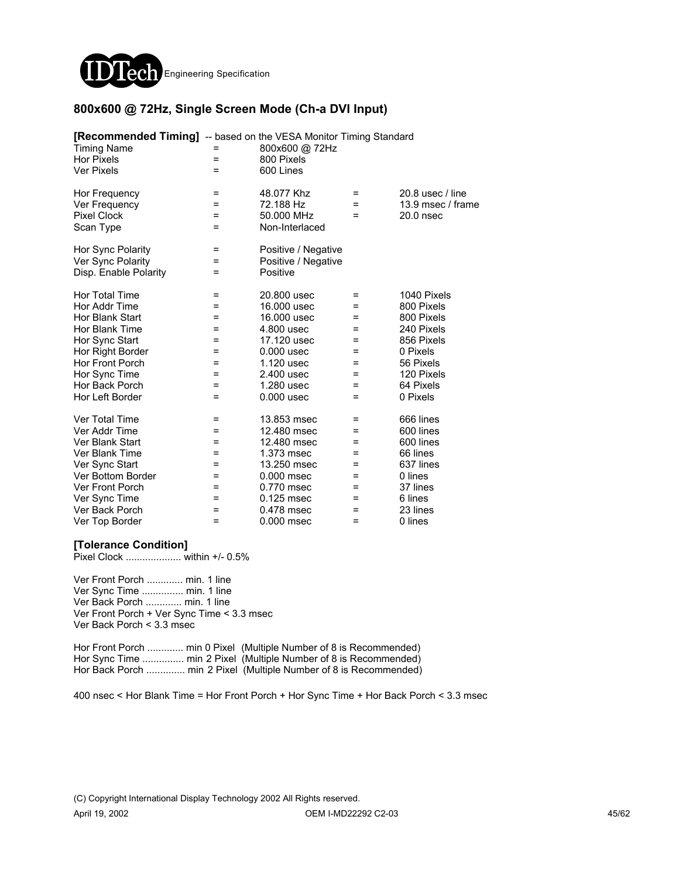

### **800x600 @ 72Hz, Single Screen Mode (Ch-a DVI Input)**

| <b>[Recommended Timing]</b> -- based on the VESA Monitor Timing Standard<br><b>Timing Name</b><br><b>Hor Pixels</b> | =<br>$=$ | 800x600 @ 72Hz<br>800 Pixels |     |                    |
|---------------------------------------------------------------------------------------------------------------------|----------|------------------------------|-----|--------------------|
| <b>Ver Pixels</b>                                                                                                   | $=$      | 600 Lines                    |     |                    |
|                                                                                                                     |          |                              |     |                    |
| Hor Frequency                                                                                                       | =        | 48.077 Khz                   | =   | $20.8$ usec / line |
| Ver Frequency                                                                                                       | =        | 72.188 Hz                    | =   | 13.9 msec / frame  |
| <b>Pixel Clock</b>                                                                                                  | $=$      | 50.000 MHz                   | $=$ | $20.0$ nsec        |
| Scan Type                                                                                                           | Ξ        | Non-Interlaced               |     |                    |
| Hor Sync Polarity                                                                                                   | =        | Positive / Negative          |     |                    |
| Ver Sync Polarity                                                                                                   | =        | Positive / Negative          |     |                    |
| Disp. Enable Polarity                                                                                               | $=$      | Positive                     |     |                    |
| Hor Total Time                                                                                                      | =        | 20,800 usec                  | =   | 1040 Pixels        |
| Hor Addr Time                                                                                                       | $=$      | 16,000 usec                  | $=$ | 800 Pixels         |
| Hor Blank Start                                                                                                     | =        | 16,000 usec                  | =   | 800 Pixels         |
| Hor Blank Time                                                                                                      | =        | 4.800 usec                   | =   | 240 Pixels         |
| Hor Sync Start                                                                                                      | =        | 17.120 usec                  | =   | 856 Pixels         |
| Hor Right Border                                                                                                    | Ξ        | $0.000$ usec                 | $=$ | 0 Pixels           |
| Hor Front Porch                                                                                                     | $=$      | 1.120 usec                   | $=$ | 56 Pixels          |
| Hor Sync Time                                                                                                       | $=$      | 2.400 usec                   | $=$ | 120 Pixels         |
| Hor Back Porch                                                                                                      | =        | 1.280 usec                   | =   | 64 Pixels          |
| Hor Left Border                                                                                                     | $=$      | $0.000$ usec                 | $=$ | 0 Pixels           |
| Ver Total Time                                                                                                      | =        | 13.853 msec                  | =   | 666 lines          |
| Ver Addr Time                                                                                                       | $=$      | 12.480 msec                  | =   | 600 lines          |
| Ver Blank Start                                                                                                     | $=$      | 12.480 msec                  | =   | 600 lines          |
| Ver Blank Time                                                                                                      | =        | 1.373 msec                   | =   | 66 lines           |
| Ver Sync Start                                                                                                      | =        | 13.250 msec                  | =   | 637 lines          |
| Ver Bottom Border                                                                                                   | =        | $0.000$ msec                 | =   | 0 lines            |
| <b>Ver Front Porch</b>                                                                                              | =        | 0.770 msec                   | =   | 37 lines           |
| Ver Sync Time                                                                                                       | =        | 0.125 msec                   | =   | 6 lines            |
| Ver Back Porch                                                                                                      | =        | 0.478 msec                   | =   | 23 lines           |
| Ver Top Border                                                                                                      | =        | 0.000 msec                   | =   | 0 lines            |

### **[Tolerance Condition]**

Pixel Clock .................... within +/- 0.5%

Ver Front Porch ............. min. 1 line Ver Sync Time ............... min. 1 line Ver Back Porch ............. min. 1 line Ver Front Porch + Ver Sync Time < 3.3 msec Ver Back Porch < 3.3 msec

Hor Front Porch ............. min 0 Pixel (Multiple Number of 8 is Recommended) Hor Sync Time ............... min 2 Pixel (Multiple Number of 8 is Recommended) Hor Back Porch .............. min 2 Pixel (Multiple Number of 8 is Recommended)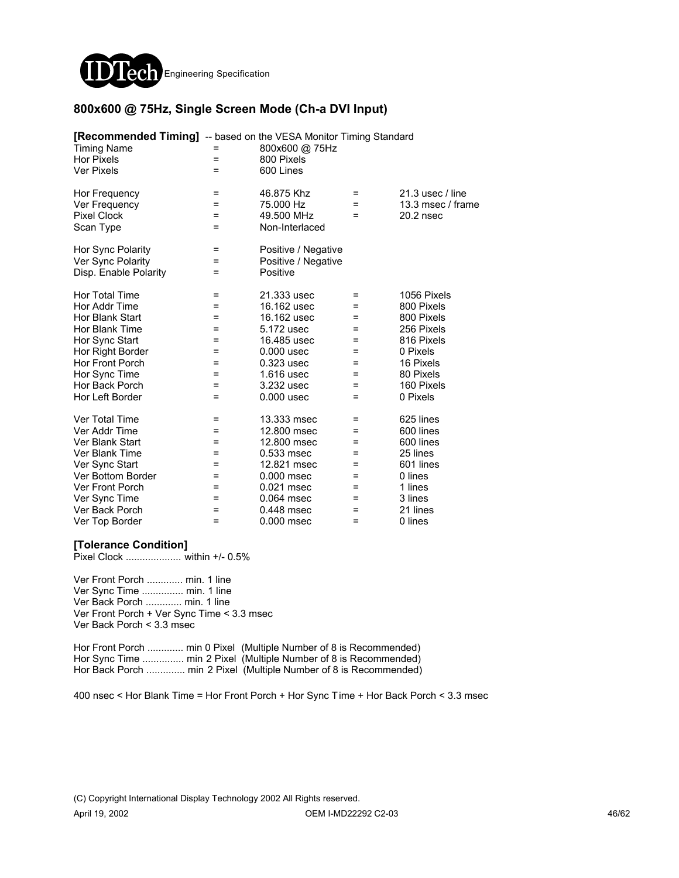

### **800x600 @ 75Hz, Single Screen Mode (Ch-a DVI Input)**

| <b>[Recommended Timing]</b> -- based on the VESA Monitor Timing Standard<br><b>Timing Name</b><br><b>Hor Pixels</b> | $=$ | 800x600 @ 75Hz<br>800 Pixels |     |                    |
|---------------------------------------------------------------------------------------------------------------------|-----|------------------------------|-----|--------------------|
| <b>Ver Pixels</b>                                                                                                   | $=$ | 600 Lines                    |     |                    |
| Hor Frequency                                                                                                       | =   | 46.875 Khz                   | =   | $21.3$ usec / line |
| Ver Frequency                                                                                                       | =   | 75.000 Hz                    | =   | 13.3 msec / frame  |
| <b>Pixel Clock</b>                                                                                                  | $=$ | 49.500 MHz                   | $=$ | 20.2 nsec          |
| Scan Type                                                                                                           | $=$ | Non-Interlaced               |     |                    |
| Hor Sync Polarity                                                                                                   | $=$ | Positive / Negative          |     |                    |
| Ver Sync Polarity                                                                                                   | $=$ | Positive / Negative          |     |                    |
| Disp. Enable Polarity                                                                                               | =   | Positive                     |     |                    |
| Hor Total Time                                                                                                      | =   | 21.333 usec                  | =   | 1056 Pixels        |
| Hor Addr Time                                                                                                       | =   | 16.162 usec                  | =   | 800 Pixels         |
| Hor Blank Start                                                                                                     | =   | 16.162 usec                  | =   | 800 Pixels         |
| Hor Blank Time                                                                                                      | =   | 5.172 usec                   | =   | 256 Pixels         |
| Hor Sync Start                                                                                                      | $=$ | 16,485 usec                  | =   | 816 Pixels         |
| Hor Right Border                                                                                                    | =   | $0.000$ usec                 | =   | 0 Pixels           |
| Hor Front Porch                                                                                                     | =   | $0.323$ usec                 | =   | 16 Pixels          |
| Hor Sync Time                                                                                                       | =   | 1.616 usec                   | =   | 80 Pixels          |
| Hor Back Porch                                                                                                      | =   | 3.232 usec                   | =   | 160 Pixels         |
| Hor Left Border                                                                                                     | $=$ | $0.000$ usec                 | $=$ | 0 Pixels           |
| Ver Total Time                                                                                                      | =   | 13.333 msec                  | =   | 625 lines          |
| Ver Addr Time                                                                                                       | $=$ | 12,800 msec                  | $=$ | 600 lines          |
| Ver Blank Start                                                                                                     | $=$ | 12,800 msec                  | =   | 600 lines          |
| Ver Blank Time                                                                                                      | =   | 0.533 msec                   | =   | 25 lines           |
| Ver Sync Start                                                                                                      | =   | 12.821 msec                  | =   | 601 lines          |
| Ver Bottom Border                                                                                                   | =   | $0.000$ msec                 | =   | 0 lines            |
| <b>Ver Front Porch</b>                                                                                              | =   | 0.021 msec                   | =   | 1 lines            |
| Ver Sync Time                                                                                                       | =   | 0.064 msec                   | =   | 3 lines            |
| Ver Back Porch                                                                                                      | =   | 0.448 msec                   | =   | 21 lines           |
| Ver Top Border                                                                                                      | $=$ | 0.000 msec                   | $=$ | 0 lines            |

### **[Tolerance Condition]**

Pixel Clock .................... within +/- 0.5%

Ver Front Porch ............. min. 1 line Ver Sync Time ............... min. 1 line Ver Back Porch ............. min. 1 line Ver Front Porch + Ver Sync Time < 3.3 msec Ver Back Porch < 3.3 msec

Hor Front Porch ............. min 0 Pixel (Multiple Number of 8 is Recommended) Hor Sync Time ............... min 2 Pixel (Multiple Number of 8 is Recommended) Hor Back Porch .............. min 2 Pixel (Multiple Number of 8 is Recommended)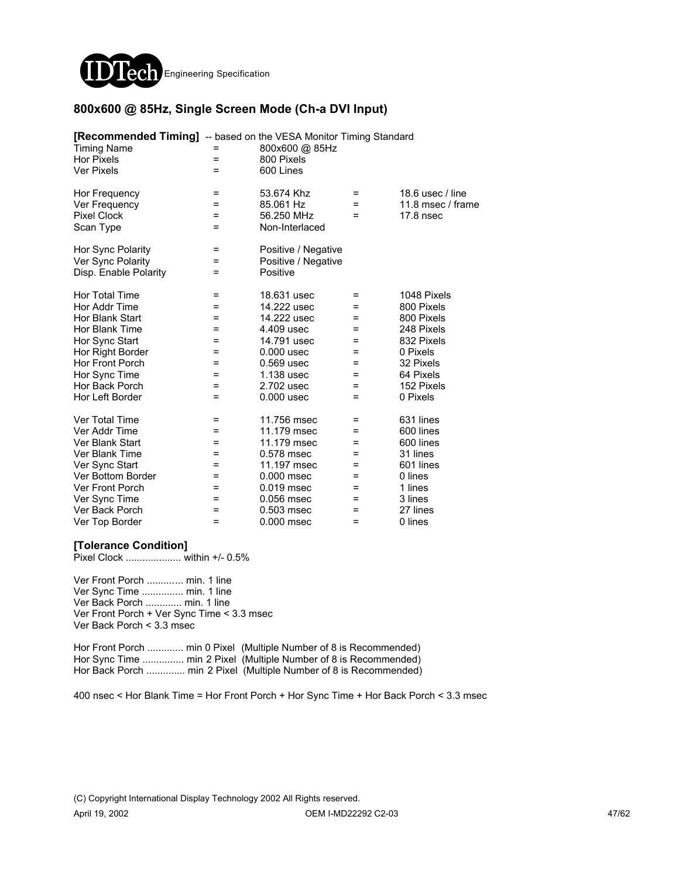

### **800x600 @ 85Hz, Single Screen Mode (Ch-a DVI Input)**

| <b>[Recommended Timing]</b> -- based on the VESA Monitor Timing Standard<br><b>Timing Name</b><br>Hor Pixels<br><b>Ver Pixels</b> | =<br>=<br>$=$ | 800x600 @ 85Hz<br>800 Pixels<br>600 Lines |     |                   |
|-----------------------------------------------------------------------------------------------------------------------------------|---------------|-------------------------------------------|-----|-------------------|
|                                                                                                                                   |               |                                           |     |                   |
| Hor Frequency                                                                                                                     | =             | 53.674 Khz                                | =   | 18.6 usec / line  |
| Ver Frequency                                                                                                                     | Ξ             | 85.061 Hz                                 | =   | 11.8 msec / frame |
| <b>Pixel Clock</b>                                                                                                                | $=$           | 56.250 MHz                                | =   | $17.8$ nsec       |
| Scan Type                                                                                                                         | Ξ             | Non-Interlaced                            |     |                   |
| Hor Sync Polarity                                                                                                                 | Ξ             | Positive / Negative                       |     |                   |
| Ver Sync Polarity                                                                                                                 | $=$           | Positive / Negative                       |     |                   |
| Disp. Enable Polarity                                                                                                             | =             | Positive                                  |     |                   |
| Hor Total Time                                                                                                                    | =             | 18.631 usec                               | =   | 1048 Pixels       |
| Hor Addr Time                                                                                                                     | =             | 14.222 usec                               | =   | 800 Pixels        |
| Hor Blank Start                                                                                                                   | =             | 14.222 usec                               | =   | 800 Pixels        |
| Hor Blank Time                                                                                                                    | =             | 4.409 usec                                | =   | 248 Pixels        |
| Hor Sync Start                                                                                                                    | =             | 14.791 usec                               | =   | 832 Pixels        |
| Hor Right Border                                                                                                                  | =             | $0.000$ usec                              | =   | 0 Pixels          |
| Hor Front Porch                                                                                                                   | =             | 0.569 usec                                | =   | 32 Pixels         |
| Hor Sync Time                                                                                                                     | =             | 1.138 usec                                | =   | 64 Pixels         |
| Hor Back Porch                                                                                                                    | $=$           | 2.702 usec                                | =   | 152 Pixels        |
| Hor Left Border                                                                                                                   | $=$           | $0.000$ usec                              | =   | 0 Pixels          |
| Ver Total Time                                                                                                                    | =             | 11.756 msec                               | =   | 631 lines         |
| Ver Addr Time                                                                                                                     | $=$           | 11.179 msec                               | =   | 600 lines         |
| Ver Blank Start                                                                                                                   | $=$           | 11.179 msec                               | $=$ | 600 lines         |
| Ver Blank Time                                                                                                                    | =             | 0.578 msec                                | =   | 31 lines          |
| Ver Sync Start                                                                                                                    | =             | 11.197 msec                               | =   | 601 lines         |
| Ver Bottom Border                                                                                                                 | =             | $0.000$ msec                              | =   | 0 lines           |
| Ver Front Porch                                                                                                                   | =             | $0.019$ msec                              | =   | 1 lines           |
| Ver Sync Time                                                                                                                     | =             | 0.056 msec                                | =   | 3 lines           |
| Ver Back Porch                                                                                                                    | =             | 0.503 msec                                | =   | 27 lines          |
| Ver Top Border                                                                                                                    | =             | 0.000 msec                                | =   | 0 lines           |

### **[Tolerance Condition]**

Pixel Clock .................... within +/- 0.5%

Ver Front Porch ............. min. 1 line Ver Sync Time ............... min. 1 line Ver Back Porch ............. min. 1 line Ver Front Porch + Ver Sync Time < 3.3 msec Ver Back Porch < 3.3 msec

Hor Front Porch ............. min 0 Pixel (Multiple Number of 8 is Recommended) Hor Sync Time ................ min 2 Pixel (Multiple Number of 8 is Recommended) Hor Back Porch .............. min 2 Pixel (Multiple Number of 8 is Recommended)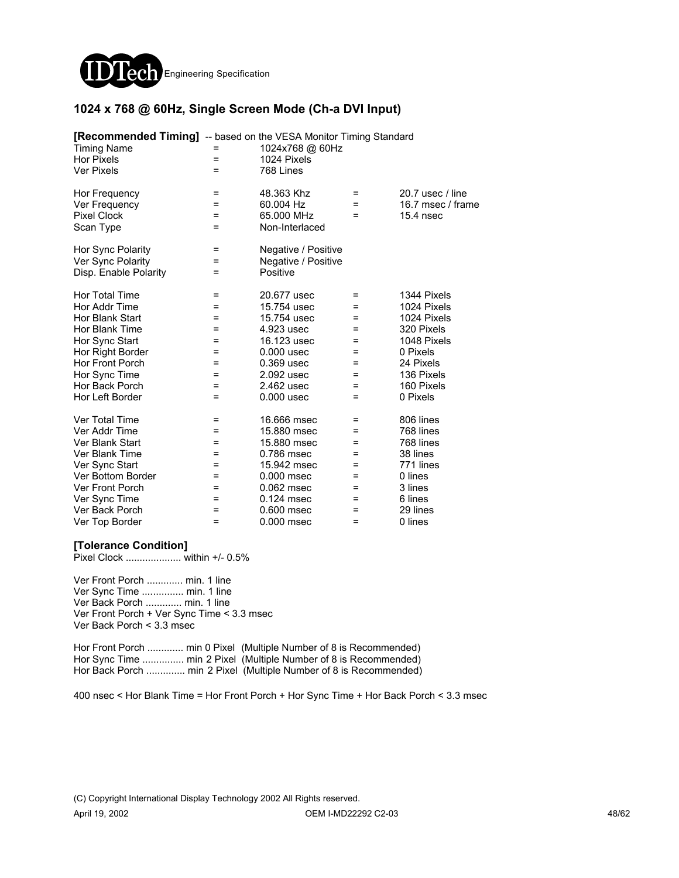

### **1024 x 768 @ 60Hz, Single Screen Mode (Ch-a DVI Input)**

| [Recommended Timing] -- based on the VESA Monitor Timing Standard |     |                     |     |                   |
|-------------------------------------------------------------------|-----|---------------------|-----|-------------------|
| <b>Timing Name</b>                                                | =   | 1024x768 @ 60Hz     |     |                   |
| Hor Pixels                                                        | $=$ | 1024 Pixels         |     |                   |
| <b>Ver Pixels</b>                                                 | $=$ | 768 Lines           |     |                   |
| Hor Frequency                                                     | =   | 48.363 Khz          | =   | 20.7 usec / line  |
| Ver Frequency                                                     | Ξ   | 60.004 Hz           | =   | 16.7 msec / frame |
| <b>Pixel Clock</b>                                                | $=$ | 65.000 MHz          | $=$ | 15.4 nsec         |
| Scan Type                                                         | Ξ   | Non-Interlaced      |     |                   |
| Hor Sync Polarity                                                 | =   | Negative / Positive |     |                   |
| Ver Sync Polarity                                                 | =   | Negative / Positive |     |                   |
| Disp. Enable Polarity                                             | Ξ   | Positive            |     |                   |
| Hor Total Time                                                    | =   | 20.677 usec         | =   | 1344 Pixels       |
| Hor Addr Time                                                     | =   | 15.754 usec         | =   | 1024 Pixels       |
| Hor Blank Start                                                   | =   | 15.754 usec         | =   | 1024 Pixels       |
| Hor Blank Time                                                    | =   | 4.923 usec          | =   | 320 Pixels        |
| Hor Sync Start                                                    | $=$ | 16.123 usec         | $=$ | 1048 Pixels       |
| Hor Right Border                                                  | =   | $0.000$ usec        | =   | 0 Pixels          |
| Hor Front Porch                                                   | =   | 0.369 usec          | =   | 24 Pixels         |
| Hor Sync Time                                                     | =   | 2.092 usec          | =   | 136 Pixels        |
| Hor Back Porch                                                    | =   | 2.462 usec          | =   | 160 Pixels        |
| Hor Left Border                                                   | Ξ   | $0.000$ usec        | $=$ | 0 Pixels          |
| Ver Total Time                                                    | =   | 16,666 msec         | =   | 806 lines         |
| Ver Addr Time                                                     | $=$ | 15,880 msec         | =   | 768 lines         |
| Ver Blank Start                                                   | $=$ | 15,880 msec         | =   | 768 lines         |
| Ver Blank Time                                                    | Ξ   | 0.786 msec          | =   | 38 lines          |
| Ver Sync Start                                                    | =   | 15.942 msec         | =   | 771 lines         |
| Ver Bottom Border                                                 | =   | $0.000$ msec        | =   | 0 lines           |
| <b>Ver Front Porch</b>                                            | =   | $0.062$ msec        | =   | 3 lines           |
| Ver Sync Time                                                     | =   | 0.124 msec          | =   | 6 lines           |
| Ver Back Porch                                                    | =   | 0.600 msec          | =   | 29 lines          |
| Ver Top Border                                                    | $=$ | 0.000 msec          | =   | 0 lines           |

### **[Tolerance Condition]**

Pixel Clock .................... within +/- 0.5%

Ver Front Porch ............. min. 1 line Ver Sync Time ............... min. 1 line Ver Back Porch ............. min. 1 line Ver Front Porch + Ver Sync Time < 3.3 msec Ver Back Porch < 3.3 msec

Hor Front Porch ............. min 0 Pixel (Multiple Number of 8 is Recommended) Hor Sync Time ................ min 2 Pixel (Multiple Number of 8 is Recommended) Hor Back Porch .............. min 2 Pixel (Multiple Number of 8 is Recommended)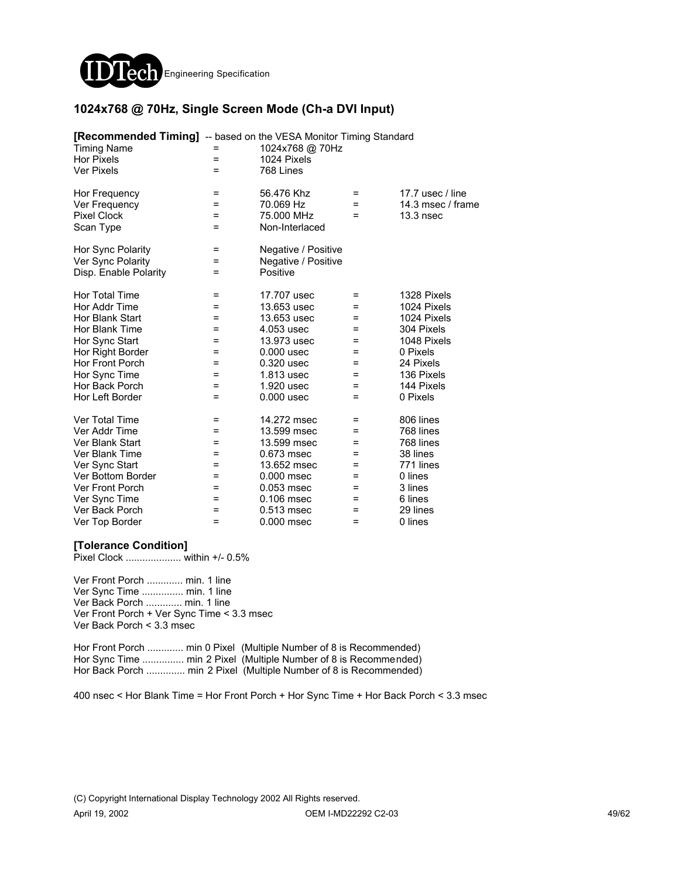

### **1024x768 @ 70Hz, Single Screen Mode (Ch-a DVI Input)**

| <b>[Recommended Timing]</b> -- based on the VESA Monitor Timing Standard<br><b>Timing Name</b> | =   | 1024x768 @ 70Hz     |     |                   |
|------------------------------------------------------------------------------------------------|-----|---------------------|-----|-------------------|
| Hor Pixels                                                                                     | =   | 1024 Pixels         |     |                   |
| <b>Ver Pixels</b>                                                                              | $=$ | 768 Lines           |     |                   |
|                                                                                                |     |                     |     |                   |
| Hor Frequency                                                                                  | =   | 56.476 Khz          | =   | 17.7 usec / line  |
| Ver Frequency                                                                                  | Ξ   | 70.069 Hz           | =   | 14.3 msec / frame |
| <b>Pixel Clock</b>                                                                             | =   | 75.000 MHz          | =   | 13.3nsec          |
| Scan Type                                                                                      | Ξ   | Non-Interlaced      |     |                   |
| Hor Sync Polarity                                                                              | Ξ   | Negative / Positive |     |                   |
| Ver Sync Polarity                                                                              | Ξ   | Negative / Positive |     |                   |
| Disp. Enable Polarity                                                                          | =   | Positive            |     |                   |
| Hor Total Time                                                                                 | =   | 17.707 usec         | =   | 1328 Pixels       |
| Hor Addr Time                                                                                  | =   | 13.653 usec         | =   | 1024 Pixels       |
| Hor Blank Start                                                                                | =   | 13.653 usec         | =   | 1024 Pixels       |
| Hor Blank Time                                                                                 | =   | 4.053 usec          | =   | 304 Pixels        |
| Hor Sync Start                                                                                 | =   | 13.973 usec         | =   | 1048 Pixels       |
| Hor Right Border                                                                               | =   | $0.000$ usec        | =   | 0 Pixels          |
| Hor Front Porch                                                                                | =   | 0.320 usec          | =   | 24 Pixels         |
| Hor Sync Time                                                                                  | =   | 1.813 usec          | =   | 136 Pixels        |
| Hor Back Porch                                                                                 | $=$ | 1.920 usec          | =   | 144 Pixels        |
| Hor Left Border                                                                                | $=$ | $0.000$ usec        | =   | 0 Pixels          |
| Ver Total Time                                                                                 | =   | 14.272 msec         | =   | 806 lines         |
| Ver Addr Time                                                                                  | $=$ | 13.599 msec         | =   | 768 lines         |
| Ver Blank Start                                                                                | $=$ | 13.599 msec         | $=$ | 768 lines         |
| Ver Blank Time                                                                                 | =   | 0.673 msec          | =   | 38 lines          |
| Ver Sync Start                                                                                 | =   | 13.652 msec         | =   | 771 lines         |
| Ver Bottom Border                                                                              | =   | $0.000$ msec        | =   | 0 lines           |
| Ver Front Porch                                                                                | =   | 0.053 msec          | =   | 3 lines           |
| Ver Sync Time                                                                                  | =   | 0.106 msec          | =   | 6 lines           |
| Ver Back Porch                                                                                 | =   | $0.513$ msec        | =   | 29 lines          |
| Ver Top Border                                                                                 | =   | 0.000 msec          | =   | 0 lines           |

### **[Tolerance Condition]**

Pixel Clock .................... within +/- 0.5%

Ver Front Porch ............. min. 1 line Ver Sync Time ............... min. 1 line Ver Back Porch ............. min. 1 line Ver Front Porch + Ver Sync Time < 3.3 msec Ver Back Porch < 3.3 msec

Hor Front Porch ............. min 0 Pixel (Multiple Number of 8 is Recommended) Hor Sync Time ................ min 2 Pixel (Multiple Number of 8 is Recommended) Hor Back Porch .............. min 2 Pixel (Multiple Number of 8 is Recommended)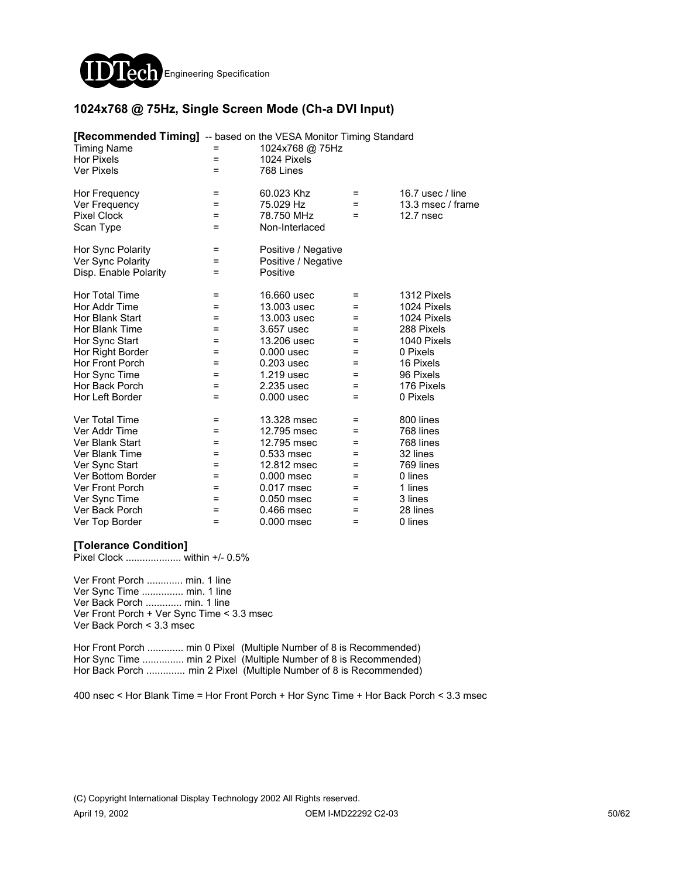

### **1024x768 @ 75Hz, Single Screen Mode (Ch-a DVI Input)**

| <b>[Recommended Timing]</b> -- based on the VESA Monitor Timing Standard<br><b>Timing Name</b> |     | 1024x768 @ 75Hz     |     |                   |
|------------------------------------------------------------------------------------------------|-----|---------------------|-----|-------------------|
| <b>Hor Pixels</b>                                                                              | =   | 1024 Pixels         |     |                   |
| <b>Ver Pixels</b>                                                                              | =   | 768 Lines           |     |                   |
| Hor Frequency                                                                                  | =   | 60.023 Khz          | $=$ | 16.7 usec / line  |
| Ver Frequency                                                                                  | Ξ   | 75.029 Hz           | $=$ | 13.3 msec / frame |
| <b>Pixel Clock</b>                                                                             | $=$ | 78.750 MHz          | $=$ | $12.7$ nsec       |
| Scan Type                                                                                      | Ξ   | Non-Interlaced      |     |                   |
| Hor Sync Polarity                                                                              | =   | Positive / Negative |     |                   |
| Ver Sync Polarity                                                                              | =   | Positive / Negative |     |                   |
| Disp. Enable Polarity                                                                          | $=$ | Positive            |     |                   |
| Hor Total Time                                                                                 | $=$ | 16,660 usec         | =   | 1312 Pixels       |
| Hor Addr Time                                                                                  | =   | 13.003 usec         | =   | 1024 Pixels       |
| Hor Blank Start                                                                                | =   | 13.003 usec         | =   | 1024 Pixels       |
| Hor Blank Time                                                                                 | =   | 3.657 usec          | =   | 288 Pixels        |
| Hor Sync Start                                                                                 | =   | 13.206 usec         | =   | 1040 Pixels       |
| Hor Right Border                                                                               | =   | $0.000$ usec        | $=$ | 0 Pixels          |
| Hor Front Porch                                                                                | =   | $0.203$ usec        | =   | 16 Pixels         |
| Hor Sync Time                                                                                  | =   | 1.219 usec          | =   | 96 Pixels         |
| Hor Back Porch                                                                                 | =   | 2.235 usec          | =   | 176 Pixels        |
| Hor Left Border                                                                                | Ξ   | $0.000$ usec        | $=$ | 0 Pixels          |
| Ver Total Time                                                                                 | Ξ   | 13.328 msec         | =   | 800 lines         |
| Ver Addr Time                                                                                  | =   | 12.795 msec         | =   | 768 lines         |
| Ver Blank Start                                                                                | $=$ | 12.795 msec         | =   | 768 lines         |
| Ver Blank Time                                                                                 | $=$ | 0.533 msec          | =   | 32 lines          |
| Ver Sync Start                                                                                 | $=$ | 12.812 msec         | =   | 769 lines         |
| Ver Bottom Border                                                                              | =   | 0.000 msec          | =   | 0 lines           |
| <b>Ver Front Porch</b>                                                                         | =   | 0.017 msec          | =   | 1 lines           |
| Ver Sync Time                                                                                  | =   | 0.050 msec          | =   | 3 lines           |
| Ver Back Porch                                                                                 | =   | 0.466 msec          | =   | 28 lines          |
| Ver Top Border                                                                                 | =   | 0.000 msec          | =   | 0 lines           |

### **[Tolerance Condition]**

Pixel Clock .................... within +/- 0.5%

Ver Front Porch ............. min. 1 line Ver Sync Time ............... min. 1 line Ver Back Porch ............. min. 1 line Ver Front Porch + Ver Sync Time < 3.3 msec Ver Back Porch < 3.3 msec

Hor Front Porch ............. min 0 Pixel (Multiple Number of 8 is Recommended) Hor Sync Time ................ min 2 Pixel (Multiple Number of 8 is Recommended) Hor Back Porch .............. min 2 Pixel (Multiple Number of 8 is Recommended)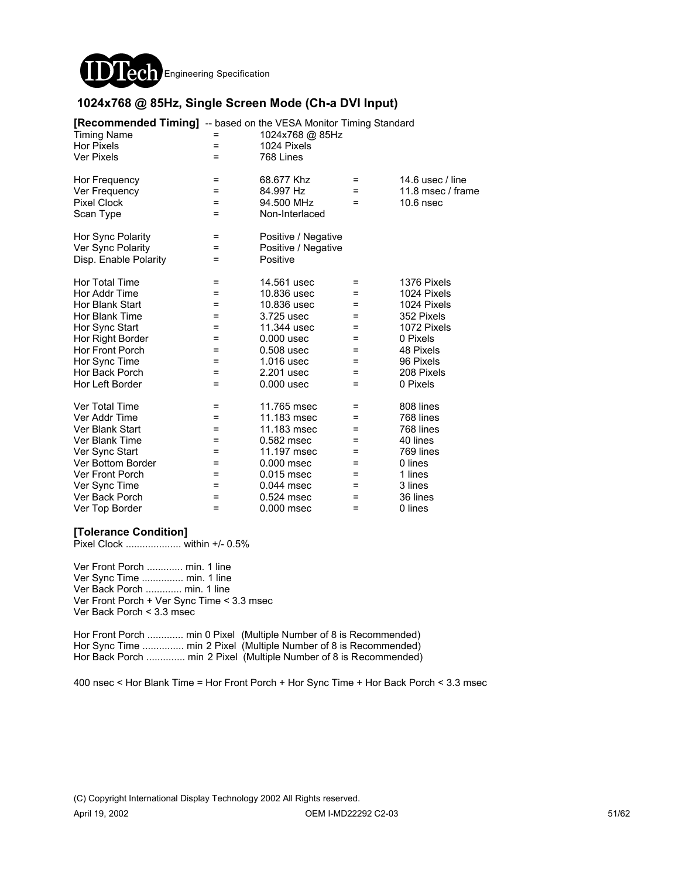

### **1024x768 @ 85Hz, Single Screen Mode (Ch-a DVI Input)**

| <b>[Recommended Timing]</b> -- based on the VESA Monitor Timing Standard<br><b>Timing Name</b><br><b>Hor Pixels</b><br><b>Ver Pixels</b> | $=$<br>$=$ | 1024x768 @ 85Hz<br>1024 Pixels<br>768 Lines |     |                    |
|------------------------------------------------------------------------------------------------------------------------------------------|------------|---------------------------------------------|-----|--------------------|
| Hor Frequency                                                                                                                            | =          | 68.677 Khz                                  | $=$ | 14.6 usec $/$ line |
| Ver Frequency                                                                                                                            | =          | 84.997 Hz                                   | $=$ | 11.8 msec / frame  |
| <b>Pixel Clock</b>                                                                                                                       | $=$        | 94.500 MHz                                  | $=$ | $10.6$ nsec        |
| Scan Type                                                                                                                                | $=$        | Non-Interlaced                              |     |                    |
| Hor Sync Polarity                                                                                                                        | $\equiv$   | Positive / Negative                         |     |                    |
| Ver Sync Polarity                                                                                                                        | =          | Positive / Negative                         |     |                    |
| Disp. Enable Polarity                                                                                                                    | =          | Positive                                    |     |                    |
| Hor Total Time                                                                                                                           | $\equiv$   | 14.561 usec                                 | $=$ | 1376 Pixels        |
| Hor Addr Time                                                                                                                            | =          | 10.836 usec                                 | =   | 1024 Pixels        |
| Hor Blank Start                                                                                                                          | =          | 10.836 usec                                 | =   | 1024 Pixels        |
| Hor Blank Time                                                                                                                           | =          | 3.725 usec                                  | $=$ | 352 Pixels         |
| Hor Sync Start                                                                                                                           | =          | 11.344 usec                                 | $=$ | 1072 Pixels        |
| Hor Right Border                                                                                                                         | =          | $0.000$ usec                                | $=$ | 0 Pixels           |
| Hor Front Porch                                                                                                                          | $=$        | 0.508 usec                                  | =   | 48 Pixels          |
| Hor Sync Time                                                                                                                            | =          | 1.016 usec                                  | =   | 96 Pixels          |
| Hor Back Porch                                                                                                                           | =          | 2.201 usec                                  | =   | 208 Pixels         |
| Hor Left Border                                                                                                                          | $=$        | $0.000$ usec                                | $=$ | 0 Pixels           |
| Ver Total Time                                                                                                                           | =          | 11.765 msec                                 | $=$ | 808 lines          |
| Ver Addr Time                                                                                                                            | $=$        | 11.183 msec                                 | $=$ | 768 lines          |
| Ver Blank Start                                                                                                                          | $=$        | 11.183 msec                                 | $=$ | 768 lines          |
| Ver Blank Time                                                                                                                           | $=$        | 0.582 msec                                  | =   | 40 lines           |
| Ver Sync Start                                                                                                                           | =          | 11.197 msec                                 | =   | 769 lines          |
| Ver Bottom Border                                                                                                                        | =          | 0.000 msec                                  | =   | 0 lines            |
| <b>Ver Front Porch</b>                                                                                                                   | =          | 0.015 msec                                  | =   | 1 lines            |
| Ver Sync Time                                                                                                                            | =          | $0.044$ msec                                | =   | 3 lines            |
| Ver Back Porch                                                                                                                           | =          | 0.524 msec                                  | =   | 36 lines           |
| Ver Top Border                                                                                                                           | =          | 0.000 msec                                  | $=$ | 0 lines            |

### **[Tolerance Condition]**

Pixel Clock .................... within +/- 0.5%

Ver Front Porch ............. min. 1 line Ver Sync Time ............... min. 1 line Ver Back Porch ............. min. 1 line Ver Front Porch + Ver Sync Time < 3.3 msec Ver Back Porch < 3.3 msec

Hor Front Porch ............. min 0 Pixel (Multiple Number of 8 is Recommended) Hor Sync Time ................ min 2 Pixel (Multiple Number of 8 is Recommended) Hor Back Porch ............... min 2 Pixel (Multiple Number of 8 is Recommended)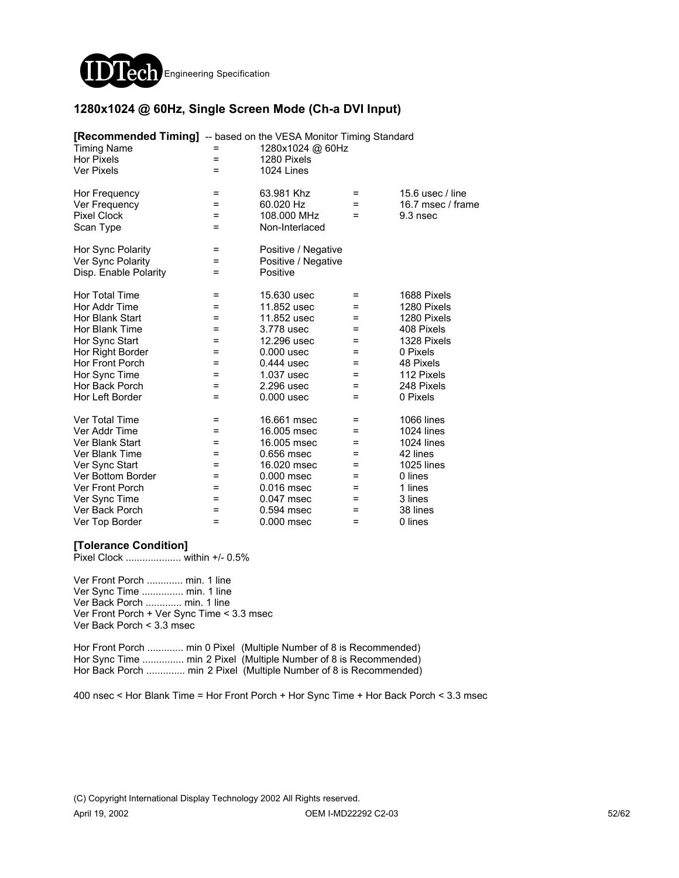

### **1280x1024 @ 60Hz, Single Screen Mode (Ch-a DVI Input)**

| <b>[Recommended Timing]</b> -- based on the VESA Monitor Timing Standard<br><b>Timing Name</b> | =        | 1280x1024 @ 60Hz    |     |                    |
|------------------------------------------------------------------------------------------------|----------|---------------------|-----|--------------------|
| <b>Hor Pixels</b>                                                                              | $=$      | 1280 Pixels         |     |                    |
| <b>Ver Pixels</b>                                                                              | $=$      | 1024 Lines          |     |                    |
| Hor Frequency                                                                                  | =        | 63.981 Khz          | =   | 15.6 usec $/$ line |
| Ver Frequency                                                                                  | $=$      | 60.020 Hz           | $=$ | 16.7 msec / frame  |
| <b>Pixel Clock</b>                                                                             | =        | 108,000 MHz         | =   | 9.3 nsec           |
| Scan Type                                                                                      | $=$      | Non-Interlaced      |     |                    |
| Hor Sync Polarity                                                                              | $=$      | Positive / Negative |     |                    |
| Ver Sync Polarity                                                                              | $=$      | Positive / Negative |     |                    |
| Disp. Enable Polarity                                                                          | =        | Positive            |     |                    |
| Hor Total Time                                                                                 | $\equiv$ | 15.630 usec         | =   | 1688 Pixels        |
| Hor Addr Time                                                                                  | =        | 11.852 usec         | =   | 1280 Pixels        |
| Hor Blank Start                                                                                | Ξ        | 11.852 usec         | =   | 1280 Pixels        |
| Hor Blank Time                                                                                 | =        | 3.778 usec          | =   | 408 Pixels         |
| Hor Sync Start                                                                                 | =        | 12.296 usec         | =   | 1328 Pixels        |
| Hor Right Border                                                                               | $=$      | $0.000$ usec        | $=$ | 0 Pixels           |
| Hor Front Porch                                                                                | $=$      | 0.444 usec          | =   | 48 Pixels          |
| Hor Sync Time                                                                                  | =        | 1.037 usec          | =   | 112 Pixels         |
| Hor Back Porch                                                                                 | =        | 2.296 usec          | =   | 248 Pixels         |
| Hor Left Border                                                                                | $=$      | $0.000$ usec        | $=$ | 0 Pixels           |
| Ver Total Time                                                                                 | Ξ        | 16.661 msec         | =   | <b>1066 lines</b>  |
| Ver Addr Time                                                                                  | $=$      | 16.005 msec         | $=$ | 1024 lines         |
| Ver Blank Start                                                                                | $=$      | 16,005 msec         | =   | <b>1024 lines</b>  |
| Ver Blank Time                                                                                 | $=$      | 0.656 msec          | =   | 42 lines           |
| Ver Sync Start                                                                                 | =        | 16.020 msec         | =   | <b>1025 lines</b>  |
| Ver Bottom Border                                                                              | =        | 0.000 msec          | =   | 0 lines            |
| Ver Front Porch                                                                                | =        | 0.016 msec          | =   | 1 lines            |
| Ver Sync Time                                                                                  | =        | 0.047 msec          | =   | 3 lines            |
| Ver Back Porch                                                                                 | $=$      | 0.594 msec          | =   | 38 lines           |
| Ver Top Border                                                                                 | =        | 0.000 msec          | =   | 0 lines            |

### **[Tolerance Condition]**

Pixel Clock .................... within +/- 0.5%

Ver Front Porch ............. min. 1 line Ver Sync Time ............... min. 1 line Ver Back Porch ............. min. 1 line Ver Front Porch + Ver Sync Time < 3.3 msec Ver Back Porch < 3.3 msec

Hor Front Porch ............. min 0 Pixel (Multiple Number of 8 is Recommended) Hor Sync Time ................ min 2 Pixel (Multiple Number of 8 is Recommended) Hor Back Porch .............. min 2 Pixel (Multiple Number of 8 is Recommended)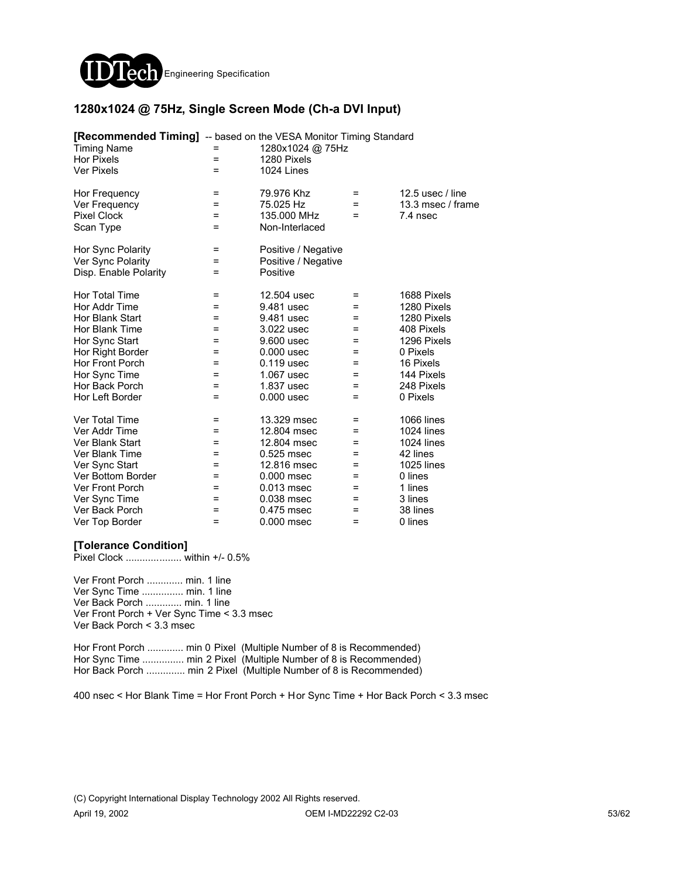

### **1280x1024 @ 75Hz, Single Screen Mode (Ch-a DVI Input)**

| <b>[Recommended Timing]</b> -- based on the VESA Monitor Timing Standard<br><b>Timing Name</b><br><b>Hor Pixels</b><br><b>Ver Pixels</b> | $=$<br>$=$ | 1280x1024 @ 75Hz<br>1280 Pixels<br>1024 Lines |     |                    |
|------------------------------------------------------------------------------------------------------------------------------------------|------------|-----------------------------------------------|-----|--------------------|
| Hor Frequency                                                                                                                            | =          | 79.976 Khz                                    | =   | 12.5 usec $/$ line |
| Ver Frequency                                                                                                                            | $=$        | 75.025 Hz                                     | $=$ | 13.3 msec / frame  |
| <b>Pixel Clock</b>                                                                                                                       | $=$        | 135,000 MHz                                   | $=$ | 7.4 nsec           |
| Scan Type                                                                                                                                | $=$        | Non-Interlaced                                |     |                    |
| Hor Sync Polarity                                                                                                                        | $\equiv$   | Positive / Negative                           |     |                    |
| Ver Sync Polarity                                                                                                                        | Ξ          | Positive / Negative                           |     |                    |
| Disp. Enable Polarity                                                                                                                    | $=$        | Positive                                      |     |                    |
| Hor Total Time                                                                                                                           | Ξ          | 12.504 usec                                   | $=$ | 1688 Pixels        |
| Hor Addr Time                                                                                                                            | =          | 9.481 usec                                    | =   | 1280 Pixels        |
| Hor Blank Start                                                                                                                          | =          | 9.481 usec                                    | $=$ | 1280 Pixels        |
| Hor Blank Time                                                                                                                           | =          | 3.022 usec                                    | $=$ | 408 Pixels         |
| Hor Sync Start                                                                                                                           | $=$        | 9.600 usec                                    | $=$ | 1296 Pixels        |
| Hor Right Border                                                                                                                         | =          | $0.000$ usec                                  | =   | 0 Pixels           |
| Hor Front Porch                                                                                                                          | =          | 0.119 usec                                    | =   | 16 Pixels          |
| Hor Sync Time                                                                                                                            | =          | 1.067 usec                                    | =   | 144 Pixels         |
| Hor Back Porch                                                                                                                           | Ξ          | 1.837 usec                                    | $=$ | 248 Pixels         |
| Hor Left Border                                                                                                                          | $=$        | $0.000$ usec                                  | $=$ | 0 Pixels           |
| Ver Total Time                                                                                                                           | $\equiv$   | 13.329 msec                                   | $=$ | <b>1066 lines</b>  |
| Ver Addr Time                                                                                                                            | $=$        | 12.804 msec                                   | $=$ | 1024 lines         |
| Ver Blank Start                                                                                                                          | $=$        | 12.804 msec                                   | =   | <b>1024 lines</b>  |
| Ver Blank Time                                                                                                                           | $=$        | 0.525 msec                                    | =   | 42 lines           |
| Ver Sync Start                                                                                                                           | =          | 12.816 msec                                   | =   | <b>1025 lines</b>  |
| Ver Bottom Border                                                                                                                        | =          | 0.000 msec                                    | $=$ | 0 lines            |
| Ver Front Porch                                                                                                                          | =          | $0.013$ msec                                  | $=$ | 1 lines            |
| Ver Sync Time                                                                                                                            | =          | 0.038 msec                                    | $=$ | 3 lines            |
| Ver Back Porch                                                                                                                           | =          | 0.475 msec                                    | $=$ | 38 lines           |
| Ver Top Border                                                                                                                           | =          | 0.000 msec                                    | $=$ | 0 lines            |

### **[Tolerance Condition]**

Pixel Clock .................... within +/- 0.5%

Ver Front Porch ............. min. 1 line Ver Sync Time ............... min. 1 line Ver Back Porch ............. min. 1 line Ver Front Porch + Ver Sync Time < 3.3 msec Ver Back Porch < 3.3 msec

Hor Front Porch ............. min 0 Pixel (Multiple Number of 8 is Recommended) Hor Sync Time ................ min 2 Pixel (Multiple Number of 8 is Recommended) Hor Back Porch .............. min 2 Pixel (Multiple Number of 8 is Recommended)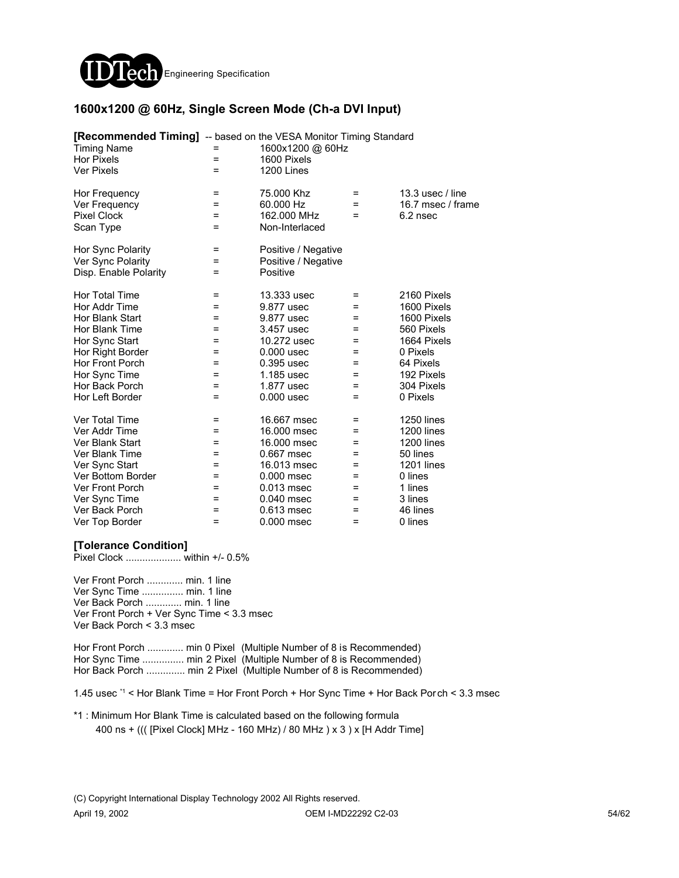

### **1600x1200 @ 60Hz, Single Screen Mode (Ch-a DVI Input)**

| [Recommended Timing] -- based on the VESA Monitor Timing Standard<br><b>Timing Name</b><br><b>Hor Pixels</b><br><b>Ver Pixels</b> | $=$<br>= | 1600x1200 @ 60Hz<br>1600 Pixels<br>1200 Lines |     |                    |
|-----------------------------------------------------------------------------------------------------------------------------------|----------|-----------------------------------------------|-----|--------------------|
| Hor Frequency                                                                                                                     | =        | 75,000 Khz                                    | =   | 13.3 usec $/$ line |
| Ver Frequency                                                                                                                     | =        | 60.000 Hz                                     | $=$ | 16.7 msec / frame  |
| <b>Pixel Clock</b>                                                                                                                | $=$      | 162.000 MHz                                   | $=$ | $6.2$ nsec         |
| Scan Type                                                                                                                         | Ξ        | Non-Interlaced                                |     |                    |
| Hor Sync Polarity                                                                                                                 | Ξ        | Positive / Negative                           |     |                    |
| Ver Sync Polarity                                                                                                                 | $=$      | Positive / Negative                           |     |                    |
| Disp. Enable Polarity                                                                                                             | Ξ        | Positive                                      |     |                    |
| Hor Total Time                                                                                                                    | $\equiv$ | 13.333 usec                                   | $=$ | 2160 Pixels        |
| Hor Addr Time                                                                                                                     | =        | 9.877 usec                                    | =   | 1600 Pixels        |
| Hor Blank Start                                                                                                                   | =        | 9.877 usec                                    | =   | 1600 Pixels        |
| Hor Blank Time                                                                                                                    | =        | 3.457 usec                                    | $=$ | 560 Pixels         |
| Hor Sync Start                                                                                                                    | Ξ        | 10.272 usec                                   | $=$ | 1664 Pixels        |
| Hor Right Border                                                                                                                  | =        | $0.000$ usec                                  | =   | 0 Pixels           |
| Hor Front Porch                                                                                                                   | =        | 0.395 usec                                    | =   | 64 Pixels          |
| Hor Sync Time                                                                                                                     | =        | 1.185 usec                                    | =   | 192 Pixels         |
| Hor Back Porch                                                                                                                    | =        | 1.877 usec                                    | $=$ | 304 Pixels         |
| Hor Left Border                                                                                                                   | =        | $0.000$ usec                                  | $=$ | 0 Pixels           |
| Ver Total Time                                                                                                                    | $\equiv$ | 16.667 msec                                   | $=$ | <b>1250 lines</b>  |
| Ver Addr Time                                                                                                                     | $=$      | 16,000 msec                                   | $=$ | <b>1200 lines</b>  |
| Ver Blank Start                                                                                                                   | $=$      | 16,000 msec                                   | =   | <b>1200 lines</b>  |
| Ver Blank Time                                                                                                                    | $=$      | 0.667 msec                                    | =   | 50 lines           |
| Ver Sync Start                                                                                                                    | =        | 16.013 msec                                   | =   | <b>1201 lines</b>  |
| Ver Bottom Border                                                                                                                 | =        | $0.000$ msec                                  | =   | 0 lines            |
| <b>Ver Front Porch</b>                                                                                                            | =        | $0.013$ msec                                  | =   | 1 lines            |
| Ver Sync Time                                                                                                                     | =        | 0.040 msec                                    | $=$ | 3 lines            |
| Ver Back Porch                                                                                                                    | =        | 0.613 msec                                    | =   | 46 lines           |
| Ver Top Border                                                                                                                    | $=$      | 0.000 msec                                    | $=$ | 0 lines            |

#### **[Tolerance Condition]**

Pixel Clock .................... within +/- 0.5%

Ver Front Porch ............. min. 1 line Ver Sync Time ............... min. 1 line Ver Back Porch ............. min. 1 line Ver Front Porch + Ver Sync Time < 3.3 msec Ver Back Porch < 3.3 msec

Hor Front Porch ............. min 0 Pixel (Multiple Number of 8 is Recommended) Hor Sync Time ................ min 2 Pixel (Multiple Number of 8 is Recommended) Hor Back Porch .............. min 2 Pixel (Multiple Number of 8 is Recommended)

1.45 usec \*1 < Hor Blank Time = Hor Front Porch + Hor Sync Time + Hor Back Porch < 3.3 msec

\*1 : Minimum Hor Blank Time is calculated based on the following formula 400 ns + ((( [Pixel Clock] MHz - 160 MHz) / 80 MHz ) x 3 ) x [H Addr Time]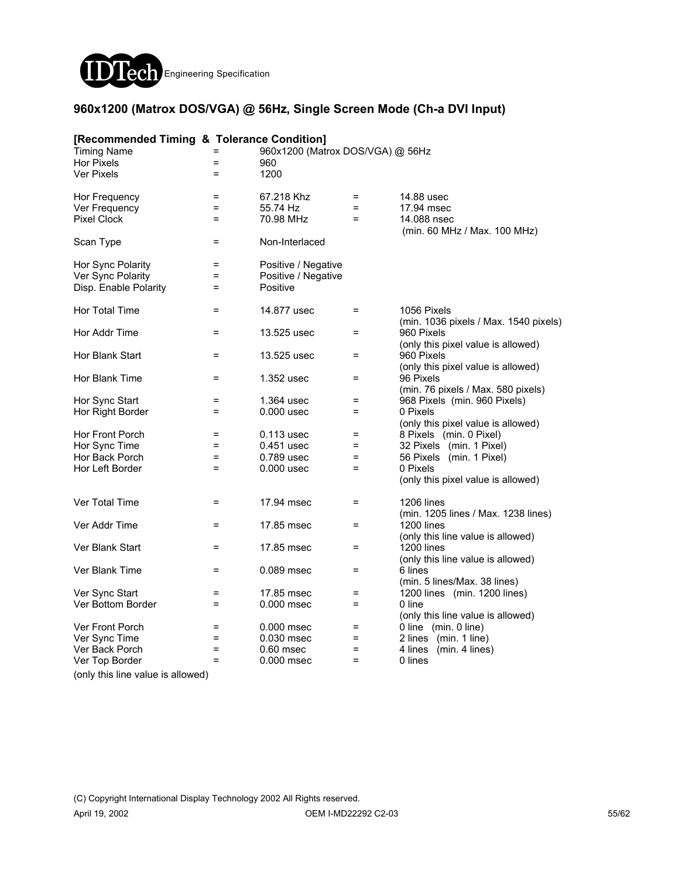

### **960x1200 (Matrox DOS/VGA) @ 56Hz, Single Screen Mode (Ch-a DVI Input)**

| [Recommended Timing & Tolerance Condition] |                   |                                  |     |                                                        |
|--------------------------------------------|-------------------|----------------------------------|-----|--------------------------------------------------------|
| <b>Timing Name</b>                         | $=$               | 960x1200 (Matrox DOS/VGA) @ 56Hz |     |                                                        |
| Hor Pixels                                 | $\equiv$          | 960                              |     |                                                        |
| <b>Ver Pixels</b>                          | $=$               | 1200                             |     |                                                        |
| Hor Frequency                              | $\equiv$          | 67.218 Khz                       | $=$ | 14.88 usec                                             |
| Ver Frequency                              | $=$               | 55.74 Hz                         | $=$ | 17.94 msec                                             |
| <b>Pixel Clock</b>                         | $\equiv$          | 70.98 MHz                        | $=$ | 14.088 nsec<br>(min. 60 MHz / Max. 100 MHz)            |
| Scan Type                                  | $\qquad \qquad =$ | Non-Interlaced                   |     |                                                        |
| Hor Sync Polarity                          | $=$               | Positive / Negative              |     |                                                        |
| Ver Sync Polarity                          | $=$               | Positive / Negative              |     |                                                        |
| Disp. Enable Polarity                      | $=$               | Positive                         |     |                                                        |
| <b>Hor Total Time</b>                      | $=$               | 14.877 usec                      | $=$ | 1056 Pixels<br>(min. 1036 pixels / Max. 1540 pixels)   |
| Hor Addr Time                              | $=$               | 13.525 usec                      | $=$ | 960 Pixels<br>(only this pixel value is allowed)       |
| Hor Blank Start                            | $=$               | 13.525 usec                      | $=$ | 960 Pixels                                             |
|                                            |                   |                                  |     | (only this pixel value is allowed)                     |
| Hor Blank Time                             | $=$               | 1.352 usec                       | $=$ | 96 Pixels                                              |
|                                            |                   |                                  |     | (min. 76 pixels / Max. 580 pixels)                     |
| Hor Sync Start                             | $=$               | 1.364 usec                       | $=$ | 968 Pixels (min. 960 Pixels)                           |
| Hor Right Border                           | $=$               | $0.000$ usec                     | $=$ | 0 Pixels<br>(only this pixel value is allowed)         |
| Hor Front Porch                            | $=$               | 0.113 usec                       | $=$ | 8 Pixels (min. 0 Pixel)                                |
| Hor Sync Time                              | $\equiv$          | 0.451 usec                       | $=$ | 32 Pixels (min. 1 Pixel)                               |
| Hor Back Porch                             | $=$               | 0.789 usec                       | $=$ | 56 Pixels (min. 1 Pixel)                               |
| Hor Left Border                            | $=$               | $0.000$ usec                     | $=$ | 0 Pixels                                               |
|                                            |                   |                                  |     | (only this pixel value is allowed)                     |
| Ver Total Time                             | $=$               | 17.94 msec                       | $=$ | 1206 lines                                             |
|                                            |                   |                                  |     | (min. 1205 lines / Max. 1238 lines)                    |
| Ver Addr Time                              | $=$               | 17.85 msec                       | $=$ | <b>1200 lines</b>                                      |
|                                            |                   |                                  |     | (only this line value is allowed)                      |
| Ver Blank Start                            | $=$               | 17.85 msec                       | $=$ | <b>1200 lines</b><br>(only this line value is allowed) |
| Ver Blank Time                             | $=$               | 0.089 msec                       | $=$ | 6 lines                                                |
|                                            |                   |                                  |     | (min. 5 lines/Max. 38 lines)                           |
| Ver Sync Start                             | Ξ                 | 17.85 msec                       | $=$ | 1200 lines (min. 1200 lines)                           |
| Ver Bottom Border                          | Ξ                 | 0.000 msec                       | $=$ | 0 line                                                 |
|                                            |                   |                                  |     | (only this line value is allowed)                      |
| Ver Front Porch                            | $=$               | 0.000 msec                       | $=$ | 0 line (min. 0 line)                                   |
| Ver Sync Time                              | $=$               | 0.030 msec                       | $=$ | 2 lines (min. 1 line)                                  |
| Ver Back Porch                             | $\equiv$          | $0.60$ msec                      | $=$ | 4 lines<br>(min. 4 lines)                              |
| Ver Top Border                             | $\equiv$          | 0.000 msec                       | Ξ   | 0 lines                                                |
| (only this line value is allowed)          |                   |                                  |     |                                                        |
|                                            |                   |                                  |     |                                                        |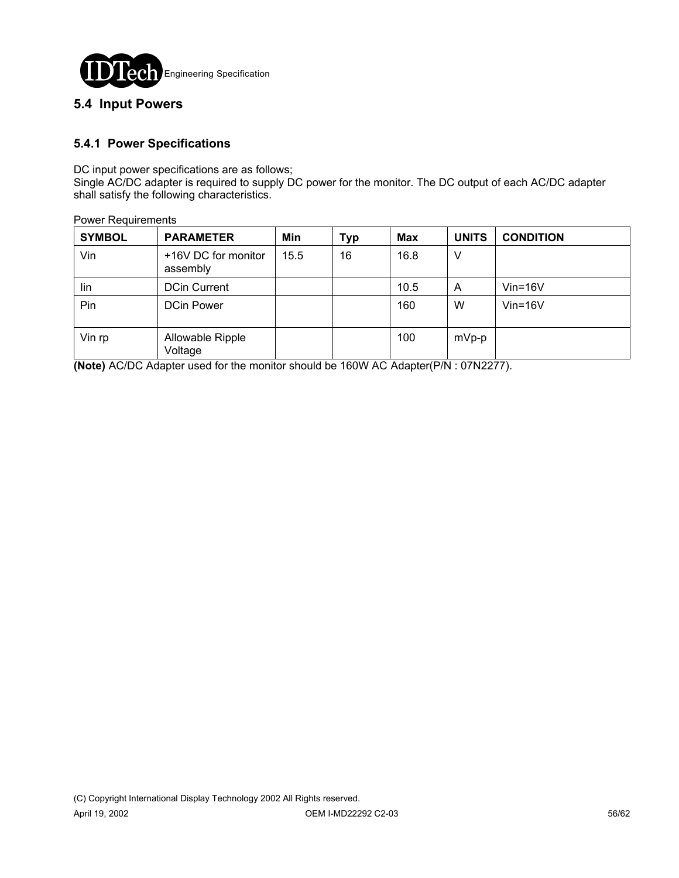

### **5.4 Input Powers**

### **5.4.1 Power Specifications**

DC input power specifications are as follows;

Single AC/DC adapter is required to supply DC power for the monitor. The DC output of each AC/DC adapter shall satisfy the following characteristics.

|  |  | <b>Power Requirements</b> |
|--|--|---------------------------|
|--|--|---------------------------|

| <b>SYMBOL</b> | <b>PARAMETER</b>                | Min  | <b>Typ</b> | <b>Max</b> | <b>UNITS</b> | <b>CONDITION</b> |
|---------------|---------------------------------|------|------------|------------|--------------|------------------|
| Vin           | +16V DC for monitor<br>assembly | 15.5 | 16         | 16.8       | V            |                  |
| lin           | <b>DCin Current</b>             |      |            | 10.5       | A            | $V$ in=16 $V$    |
| Pin           | <b>DCin Power</b>               |      |            | 160        | W            | $V$ in=16 $V$    |
| Vin rp        | Allowable Ripple<br>Voltage     |      |            | 100        | $mVp-p$      |                  |

**(Note)** AC/DC Adapter used for the monitor should be 160W AC Adapter(P/N : 07N2277).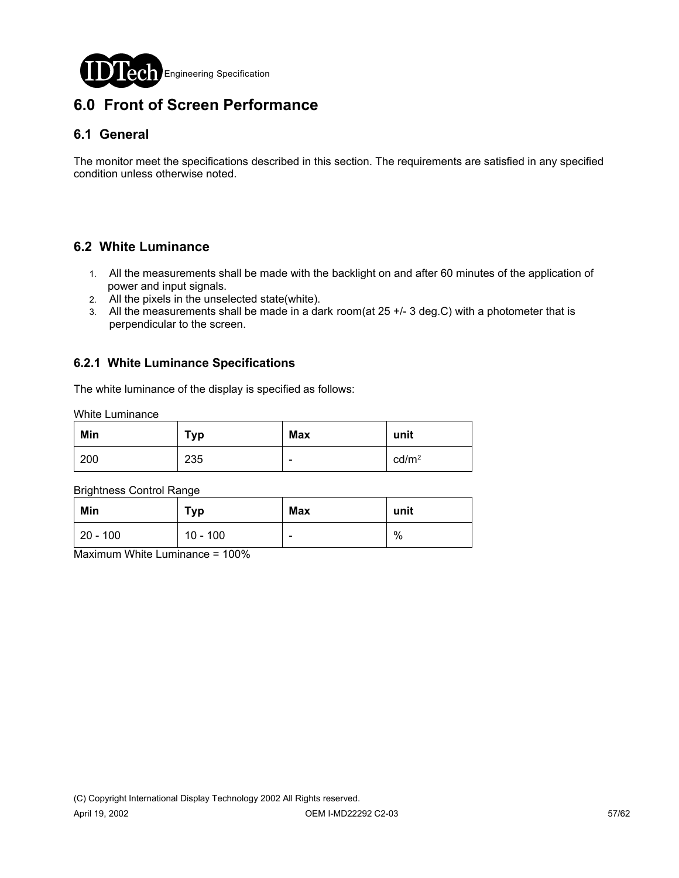

# **6.0 Front of Screen Performance**

# **6.1 General**

The monitor meet the specifications described in this section. The requirements are satisfied in any specified condition unless otherwise noted.

# **6.2 White Luminance**

- 1. All the measurements shall be made with the backlight on and after 60 minutes of the application of power and input signals.
- 2. All the pixels in the unselected state(white).
- 3. All the measurements shall be made in a dark room(at 25 +/- 3 deg.C) with a photometer that is perpendicular to the screen.

### **6.2.1 White Luminance Specifications**

The white luminance of the display is specified as follows:

White Luminance

| Min | <b>Typ</b> | Max | unit              |
|-----|------------|-----|-------------------|
| 200 | 235        | -   | cd/m <sup>2</sup> |

Brightness Control Range

| Min          | <b>Typ</b> | <b>Max</b>               | unit |
|--------------|------------|--------------------------|------|
| $ 20 - 100 $ | $10 - 100$ | $\overline{\phantom{0}}$ | %    |

Maximum White Luminance = 100%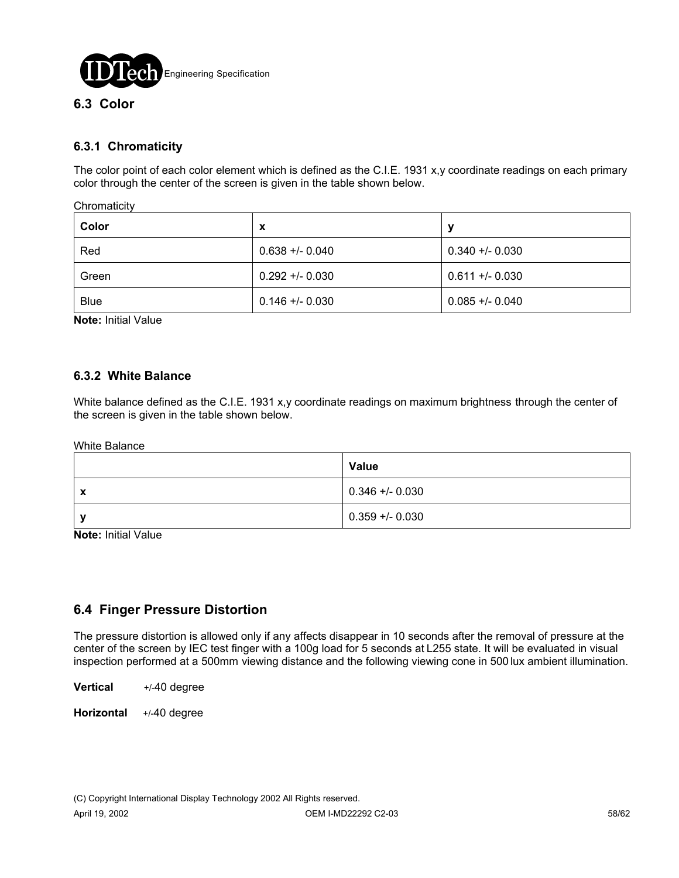

# **6.3.1 Chromaticity**

The color point of each color element which is defined as the C.I.E. 1931 x,y coordinate readings on each primary color through the center of the screen is given in the table shown below.

**Chromaticity** 

| Color       | x               | N               |
|-------------|-----------------|-----------------|
| Red         | $0.638 + 0.040$ | $0.340 + 0.030$ |
| Green       | $0.292 + 0.030$ | $0.611 + 0.030$ |
| <b>Blue</b> | $0.146 + 0.030$ | $0.085 + 0.040$ |

**Note:** Initial Value

### **6.3.2 White Balance**

White balance defined as the C.I.E. 1931 x,y coordinate readings on maximum brightness through the center of the screen is given in the table shown below.

White Balance

|   | Value           |
|---|-----------------|
| X | $0.346 + 0.030$ |
|   | $0.359 + 0.030$ |

**Note:** Initial Value

### **6.4 Finger Pressure Distortion**

The pressure distortion is allowed only if any affects disappear in 10 seconds after the removal of pressure at the center of the screen by IEC test finger with a 100g load for 5 seconds at L255 state. It will be evaluated in visual inspection performed at a 500mm viewing distance and the following viewing cone in 500 lux ambient illumination.

**Vertical** +/-40 degree

**Horizontal** +/-40 degree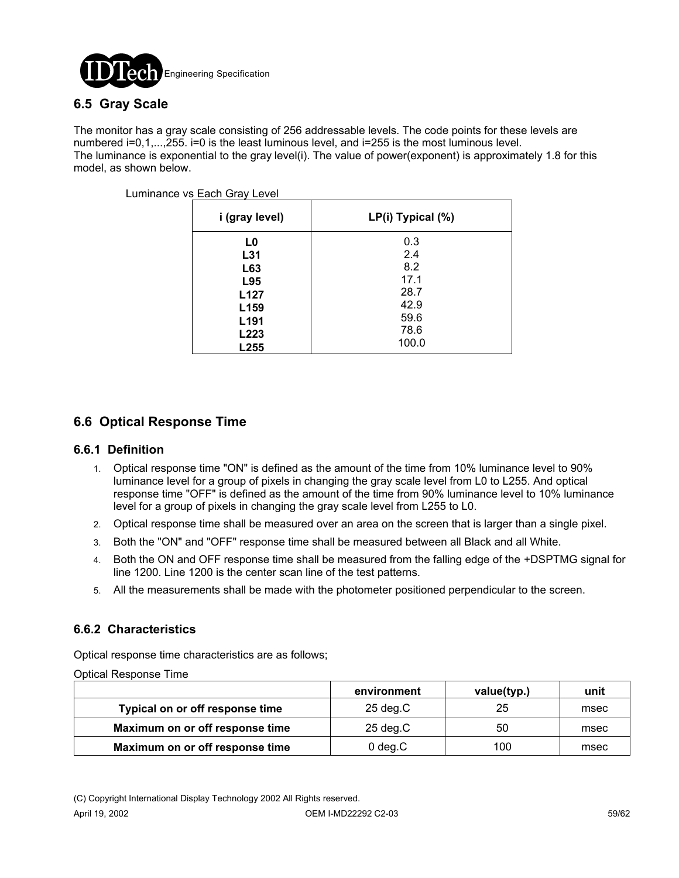

# **6.5 Gray Scale**

The monitor has a gray scale consisting of 256 addressable levels. The code points for these levels are numbered i=0,1,...,255. i=0 is the least luminous level, and i=255 is the most luminous level. The luminance is exponential to the gray level(i). The value of power(exponent) is approximately 1.8 for this model, as shown below.

| i (gray level)   | LP(i) Typical (%) |
|------------------|-------------------|
| L0               | 0.3               |
| L31              | 2.4               |
| L63              | 8.2               |
| L95              | 17.1              |
| L <sub>127</sub> | 28.7              |
| L <sub>159</sub> | 42.9              |
| L <sub>191</sub> | 59.6              |
| L223             | 78.6              |
| L255             | 100.0             |

Luminance vs Each Gray Level

# **6.6 Optical Response Time**

### **6.6.1 Definition**

- 1. Optical response time "ON" is defined as the amount of the time from 10% luminance level to 90% luminance level for a group of pixels in changing the gray scale level from L0 to L255. And optical response time "OFF" is defined as the amount of the time from 90% luminance level to 10% luminance level for a group of pixels in changing the gray scale level from L255 to L0.
- 2. Optical response time shall be measured over an area on the screen that is larger than a single pixel.
- 3. Both the "ON" and "OFF" response time shall be measured between all Black and all White.
- 4. Both the ON and OFF response time shall be measured from the falling edge of the +DSPTMG signal for line 1200. Line 1200 is the center scan line of the test patterns.
- 5. All the measurements shall be made with the photometer positioned perpendicular to the screen.

### **6.6.2 Characteristics**

Optical response time characteristics are as follows;

Optical Response Time

|                                 | environment        | value(typ.) | unit |
|---------------------------------|--------------------|-------------|------|
| Typical on or off response time | $25 \text{ deg.C}$ | 25          | msec |
| Maximum on or off response time | $25 \text{ deg.C}$ | 50          | msec |
| Maximum on or off response time | $0$ deg. $C$       | 100         | msec |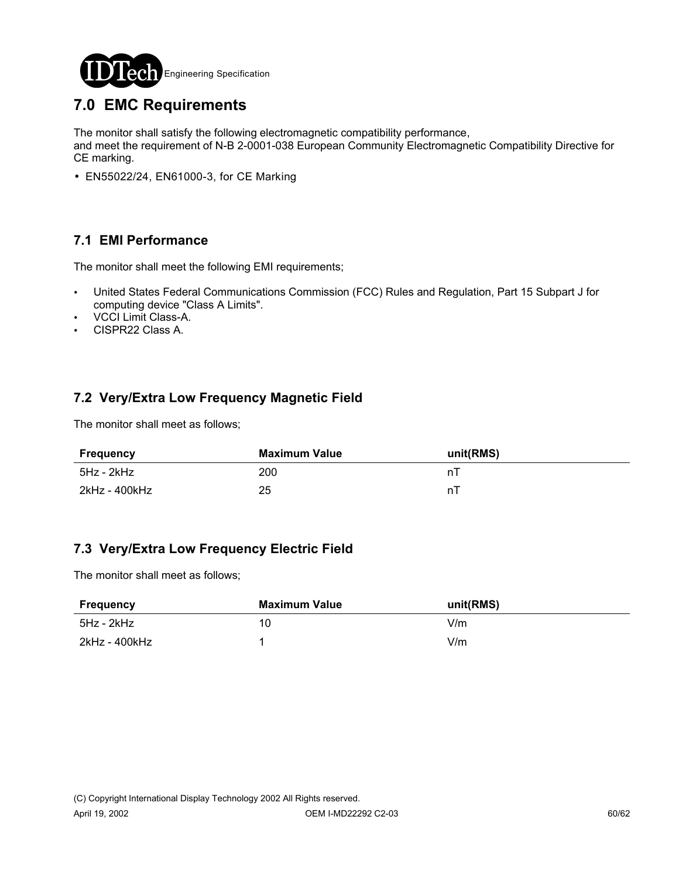

# **7.0 EMC Requirements**

The monitor shall satisfy the following electromagnetic compatibility performance,

and meet the requirement of N-B 2-0001-038 European Community Electromagnetic Compatibility Directive for CE marking.

• EN55022/24, EN61000-3, for CE Marking

# **7.1 EMI Performance**

The monitor shall meet the following EMI requirements;

- ! United States Federal Communications Commission (FCC) Rules and Regulation, Part 15 Subpart J for computing device "Class A Limits".
- VCCI Limit Class-A.
- . CISPR22 Class A.

# **7.2 Very/Extra Low Frequency Magnetic Field**

The monitor shall meet as follows;

| Frequency     | Maximum Value | unit(RMS) |
|---------------|---------------|-----------|
| 5Hz - 2kHz    | 200           |           |
| 2kHz - 400kHz | 25            | n.        |

### **7.3 Very/Extra Low Frequency Electric Field**

The monitor shall meet as follows;

| Frequency     | Maximum Value | unit(RMS) |
|---------------|---------------|-----------|
| 5Hz - 2kHz    | 10            | V/m       |
| 2kHz - 400kHz |               | V/m       |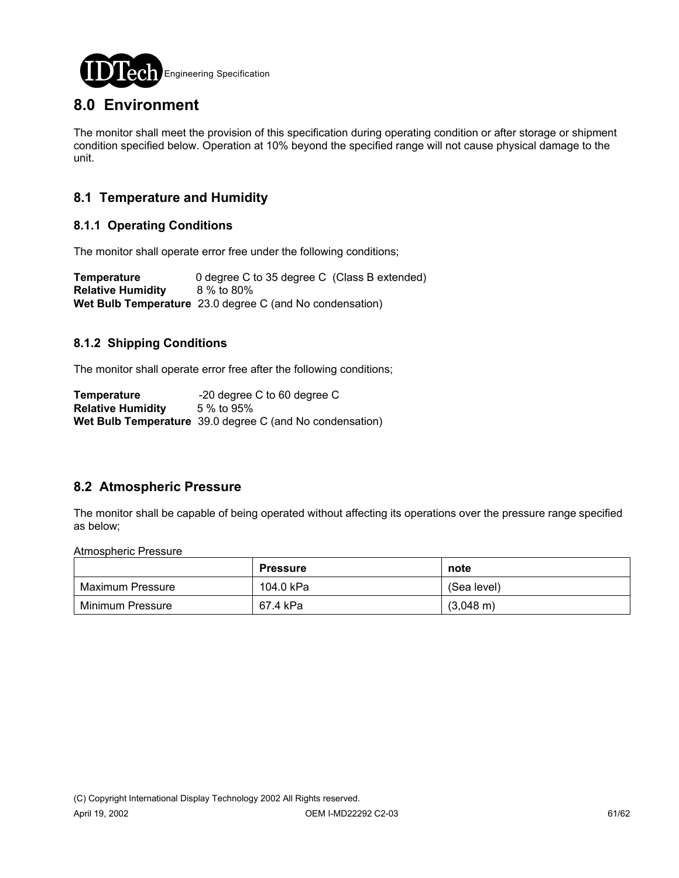

# **8.0 Environment**

The monitor shall meet the provision of this specification during operating condition or after storage or shipment condition specified below. Operation at 10% beyond the specified range will not cause physical damage to the unit.

# **8.1 Temperature and Humidity**

### **8.1.1 Operating Conditions**

The monitor shall operate error free under the following conditions;

**Temperature** 0 degree C to 35 degree C (Class B extended) **Relative Humidity** 8 % to 80% **Wet Bulb Temperature** 23.0 degree C (and No condensation)

### **8.1.2 Shipping Conditions**

The monitor shall operate error free after the following conditions;

**Temperature** -20 degree C to 60 degree C **Relative Humidity** 5 % to 95% **Wet Bulb Temperature** 39.0 degree C (and No condensation)

# **8.2 Atmospheric Pressure**

The monitor shall be capable of being operated without affecting its operations over the pressure range specified as below;

Atmospheric Pressure

|                  | <b>Pressure</b> | note                |
|------------------|-----------------|---------------------|
| Maximum Pressure | 104.0 kPa       | (Sea level)         |
| Minimum Pressure | 67.4 kPa        | $(3,048 \text{ m})$ |